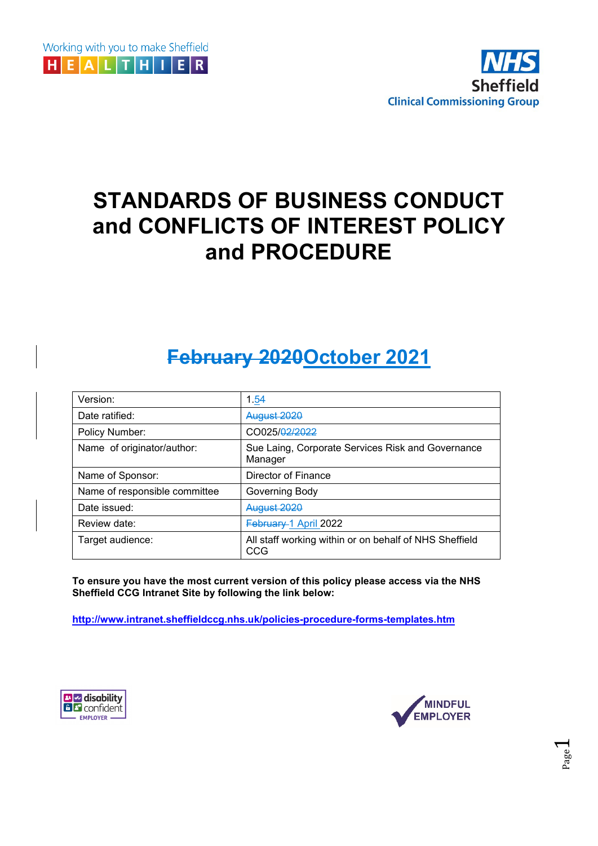



# **STANDARDS OF BUSINESS CONDUCT and CONFLICTS OF INTEREST POLICY and PROCEDURE**

## **February 2020October 2021**

| Version:                      | 1.54                                                          |
|-------------------------------|---------------------------------------------------------------|
| Date ratified:                | August 2020                                                   |
| Policy Number:                | CO025/02/2022                                                 |
| Name of originator/author:    | Sue Laing, Corporate Services Risk and Governance<br>Manager  |
| Name of Sponsor:              | <b>Director of Finance</b>                                    |
| Name of responsible committee | Governing Body                                                |
| Date issued:                  | August 2020                                                   |
| Review date:                  | February 1 April 2022                                         |
| Target audience:              | All staff working within or on behalf of NHS Sheffield<br>CCG |

**To ensure you have the most current version of this policy please access via the NHS Sheffield CCG Intranet Site by following the link below:**

**<http://www.intranet.sheffieldccg.nhs.uk/policies-procedure-forms-templates.htm>**



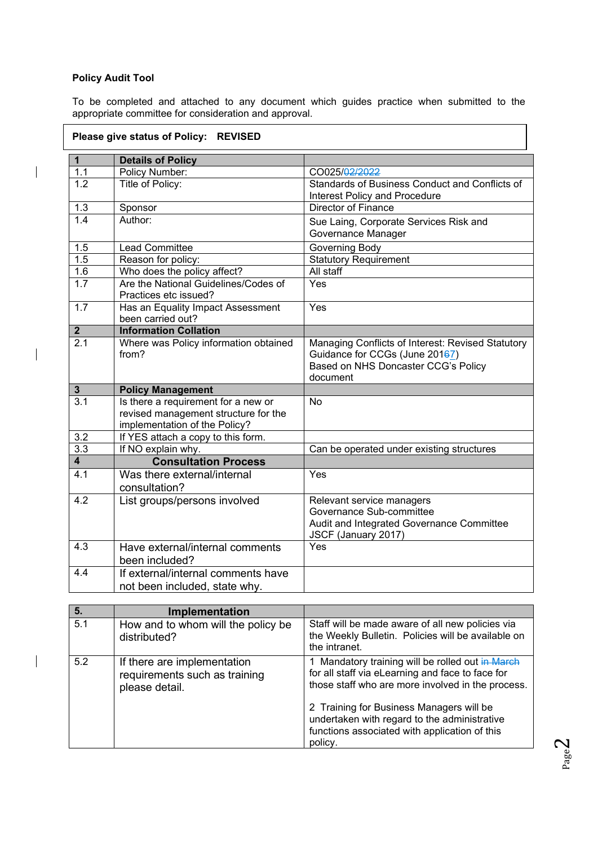#### **Policy Audit Tool**

 $\overline{\phantom{a}}$ 

 $\overline{\phantom{a}}$ 

To be completed and attached to any document which guides practice when submitted to the appropriate committee for consideration and approval.

| Please give status of Policy: REVISED |                                                                                                              |                                                                                                                                        |
|---------------------------------------|--------------------------------------------------------------------------------------------------------------|----------------------------------------------------------------------------------------------------------------------------------------|
| $\mathbf{1}$                          | <b>Details of Policy</b>                                                                                     |                                                                                                                                        |
| 1.1                                   | Policy Number:                                                                                               | CO025/02/2022                                                                                                                          |
| 1.2                                   | Title of Policy:                                                                                             | Standards of Business Conduct and Conflicts of<br>Interest Policy and Procedure                                                        |
| 1.3                                   | Sponsor                                                                                                      | <b>Director of Finance</b>                                                                                                             |
| 1.4                                   | Author:                                                                                                      | Sue Laing, Corporate Services Risk and<br>Governance Manager                                                                           |
| 1.5                                   | <b>Lead Committee</b>                                                                                        | Governing Body                                                                                                                         |
| 1.5                                   | Reason for policy:                                                                                           | <b>Statutory Requirement</b>                                                                                                           |
| 1.6                                   | Who does the policy affect?                                                                                  | All staff                                                                                                                              |
| 1.7                                   | Are the National Guidelines/Codes of<br>Practices etc issued?                                                | Yes                                                                                                                                    |
| 1.7                                   | Has an Equality Impact Assessment<br>been carried out?                                                       | Yes                                                                                                                                    |
| $\mathbf{2}$                          | <b>Information Collation</b>                                                                                 |                                                                                                                                        |
| 2.1                                   | Where was Policy information obtained<br>from?                                                               | Managing Conflicts of Interest: Revised Statutory<br>Guidance for CCGs (June 20167)<br>Based on NHS Doncaster CCG's Policy<br>document |
| $3\phantom{a}$                        | <b>Policy Management</b>                                                                                     |                                                                                                                                        |
| 3.1                                   | Is there a requirement for a new or<br>revised management structure for the<br>implementation of the Policy? | No                                                                                                                                     |
| 3.2                                   | If YES attach a copy to this form.                                                                           |                                                                                                                                        |
| $\overline{3.3}$                      | If NO explain why.                                                                                           | Can be operated under existing structures                                                                                              |
| $\overline{4}$                        | <b>Consultation Process</b>                                                                                  |                                                                                                                                        |
| 4.1                                   | Was there external/internal<br>consultation?                                                                 | Yes                                                                                                                                    |
| 4.2                                   | List groups/persons involved                                                                                 | Relevant service managers<br>Governance Sub-committee<br>Audit and Integrated Governance Committee<br>JSCF (January 2017)              |
| 4.3                                   | Have external/internal comments<br>been included?                                                            | Yes                                                                                                                                    |
| 4.4                                   | If external/internal comments have<br>not been included, state why.                                          |                                                                                                                                        |

| 5.  | Implementation                                                                 |                                                                                                                                                                                                                                                                                                        |
|-----|--------------------------------------------------------------------------------|--------------------------------------------------------------------------------------------------------------------------------------------------------------------------------------------------------------------------------------------------------------------------------------------------------|
| 5.1 | How and to whom will the policy be<br>distributed?                             | Staff will be made aware of all new policies via<br>the Weekly Bulletin. Policies will be available on<br>the intranet.                                                                                                                                                                                |
| 5.2 | If there are implementation<br>requirements such as training<br>please detail. | 1 Mandatory training will be rolled out in March<br>for all staff via eLearning and face to face for<br>those staff who are more involved in the process.<br>2 Training for Business Managers will be<br>undertaken with regard to the administrative<br>functions associated with application of this |
|     |                                                                                | policy.                                                                                                                                                                                                                                                                                                |

 $\overline{1}$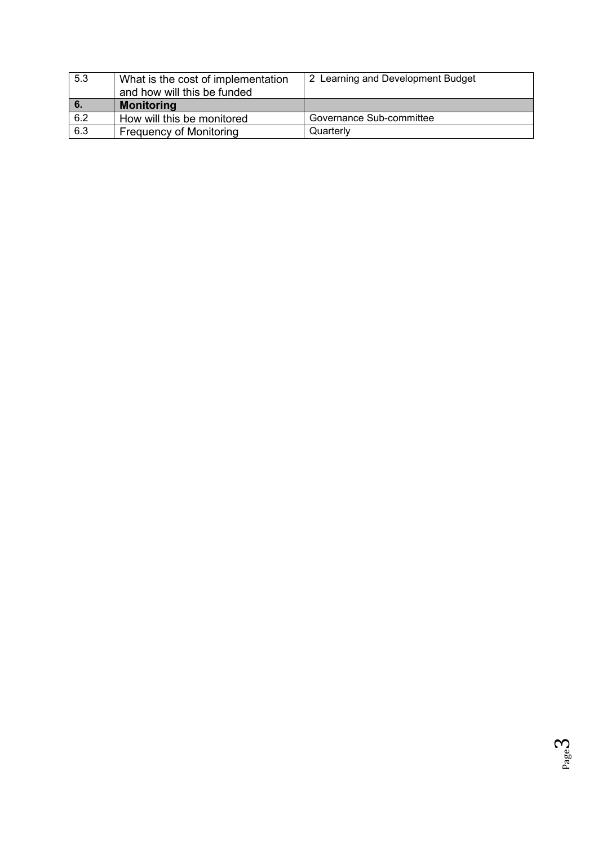| 5.3 | What is the cost of implementation<br>and how will this be funded | 2 Learning and Development Budget |
|-----|-------------------------------------------------------------------|-----------------------------------|
|     | <b>Monitoring</b>                                                 |                                   |
| 6.2 | How will this be monitored                                        | Governance Sub-committee          |
| 6.3 | <b>Frequency of Monitoring</b>                                    | Quarterly                         |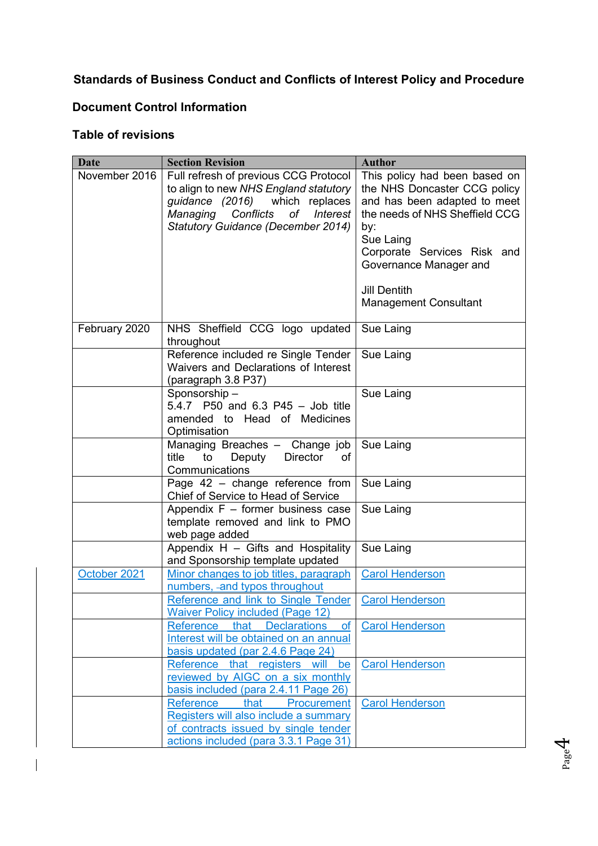## **Standards of Business Conduct and Conflicts of Interest Policy and Procedure**

#### **Document Control Information**

#### **Table of revisions**

| Date          | <b>Section Revision</b>                                                                                                                                                                                      | <b>Author</b>                                                                                                                                                                                                                                                       |
|---------------|--------------------------------------------------------------------------------------------------------------------------------------------------------------------------------------------------------------|---------------------------------------------------------------------------------------------------------------------------------------------------------------------------------------------------------------------------------------------------------------------|
| November 2016 | Full refresh of previous CCG Protocol<br>to align to new NHS England statutory<br>guidance (2016) which replaces<br>Managing Conflicts<br>of<br><b>Interest</b><br><b>Statutory Guidance (December 2014)</b> | This policy had been based on<br>the NHS Doncaster CCG policy<br>and has been adapted to meet<br>the needs of NHS Sheffield CCG<br>by:<br>Sue Laing<br>Corporate Services Risk and<br>Governance Manager and<br><b>Jill Dentith</b><br><b>Management Consultant</b> |
| February 2020 | NHS Sheffield CCG logo updated<br>throughout                                                                                                                                                                 | Sue Laing                                                                                                                                                                                                                                                           |
|               | Reference included re Single Tender<br>Waivers and Declarations of Interest<br>(paragraph 3.8 P37)                                                                                                           | Sue Laing                                                                                                                                                                                                                                                           |
|               | Sponsorship-<br>5.4.7 P50 and 6.3 P45 - Job title<br>amended to Head of Medicines<br>Optimisation                                                                                                            | Sue Laing                                                                                                                                                                                                                                                           |
|               | Managing Breaches - Change job<br>title<br>Deputy<br><b>Director</b><br>to<br>of<br>Communications                                                                                                           | Sue Laing                                                                                                                                                                                                                                                           |
|               | Page $42$ – change reference from<br>Chief of Service to Head of Service                                                                                                                                     | Sue Laing                                                                                                                                                                                                                                                           |
|               | Appendix $F -$ former business case<br>template removed and link to PMO<br>web page added                                                                                                                    | Sue Laing                                                                                                                                                                                                                                                           |
|               | Appendix H - Gifts and Hospitality<br>and Sponsorship template updated                                                                                                                                       | Sue Laing                                                                                                                                                                                                                                                           |
| October 2021  | Minor changes to job titles, paragraph<br>numbers, -and typos throughout                                                                                                                                     | <b>Carol Henderson</b>                                                                                                                                                                                                                                              |
|               | Reference and link to Single Tender<br><b>Waiver Policy included (Page 12)</b>                                                                                                                               | <b>Carol Henderson</b>                                                                                                                                                                                                                                              |
|               | Reference that Declarations<br><b>of</b><br>Interest will be obtained on an annual<br>basis updated (par 2.4.6 Page 24)                                                                                      | <b>Carol Henderson</b>                                                                                                                                                                                                                                              |
|               | Reference that registers will<br>be<br>reviewed by AIGC on a six monthly<br>basis included (para 2.4.11 Page 26)                                                                                             | <b>Carol Henderson</b>                                                                                                                                                                                                                                              |
|               | Reference<br>that<br>Procurement<br>Registers will also include a summary<br>of contracts issued by single tender<br>actions included (para 3.3.1 Page 31)                                                   | <b>Carol Henderson</b>                                                                                                                                                                                                                                              |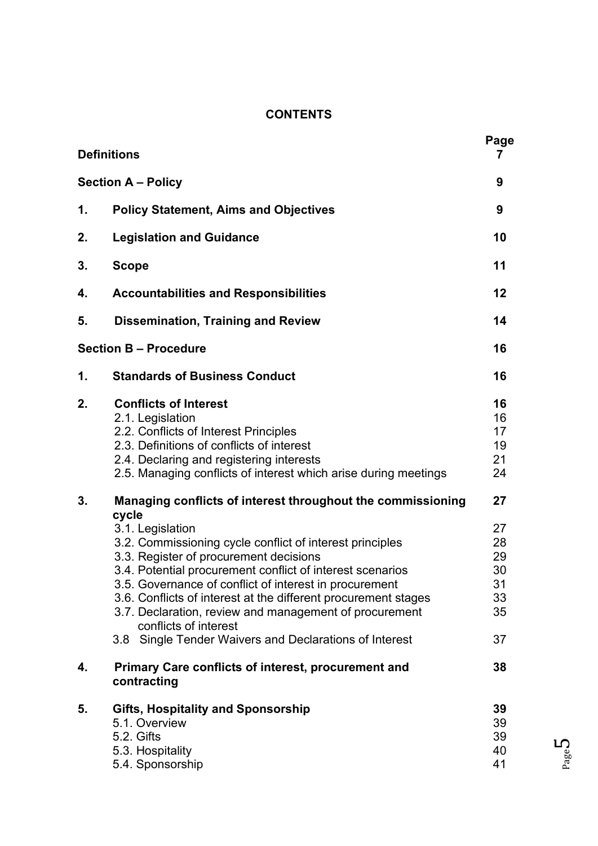#### **CONTENTS**

|    | <b>Definitions</b>                                                                                                                                                                                                                                                                                                                                                                                                                                                                                                                   |                                                    |  |
|----|--------------------------------------------------------------------------------------------------------------------------------------------------------------------------------------------------------------------------------------------------------------------------------------------------------------------------------------------------------------------------------------------------------------------------------------------------------------------------------------------------------------------------------------|----------------------------------------------------|--|
|    | <b>Section A - Policy</b>                                                                                                                                                                                                                                                                                                                                                                                                                                                                                                            | 9                                                  |  |
| 1. | <b>Policy Statement, Aims and Objectives</b>                                                                                                                                                                                                                                                                                                                                                                                                                                                                                         | 9                                                  |  |
| 2. | <b>Legislation and Guidance</b>                                                                                                                                                                                                                                                                                                                                                                                                                                                                                                      | 10                                                 |  |
| 3. | <b>Scope</b>                                                                                                                                                                                                                                                                                                                                                                                                                                                                                                                         | 11                                                 |  |
| 4. | <b>Accountabilities and Responsibilities</b>                                                                                                                                                                                                                                                                                                                                                                                                                                                                                         | 12                                                 |  |
| 5. | <b>Dissemination, Training and Review</b>                                                                                                                                                                                                                                                                                                                                                                                                                                                                                            | 14                                                 |  |
|    | <b>Section B - Procedure</b>                                                                                                                                                                                                                                                                                                                                                                                                                                                                                                         | 16                                                 |  |
| 1. | <b>Standards of Business Conduct</b>                                                                                                                                                                                                                                                                                                                                                                                                                                                                                                 | 16                                                 |  |
| 2. | <b>Conflicts of Interest</b><br>2.1. Legislation<br>2.2. Conflicts of Interest Principles<br>2.3. Definitions of conflicts of interest<br>2.4. Declaring and registering interests<br>2.5. Managing conflicts of interest which arise during meetings                                                                                                                                                                                                                                                                                | 16<br>16<br>17<br>19<br>21<br>24                   |  |
| 3. | Managing conflicts of interest throughout the commissioning<br>cycle<br>3.1. Legislation<br>3.2. Commissioning cycle conflict of interest principles<br>3.3. Register of procurement decisions<br>3.4. Potential procurement conflict of interest scenarios<br>3.5. Governance of conflict of interest in procurement<br>3.6. Conflicts of interest at the different procurement stages<br>3.7. Declaration, review and management of procurement<br>conflicts of interest<br>3.8 Single Tender Waivers and Declarations of Interest | 27<br>27<br>28<br>29<br>30<br>31<br>33<br>35<br>37 |  |
| 4. | Primary Care conflicts of interest, procurement and<br>contracting                                                                                                                                                                                                                                                                                                                                                                                                                                                                   | 38                                                 |  |
| 5. | <b>Gifts, Hospitality and Sponsorship</b><br>5.1. Overview<br><b>5.2. Gifts</b><br>5.3. Hospitality<br>5.4. Sponsorship                                                                                                                                                                                                                                                                                                                                                                                                              | 39<br>39<br>39<br>40<br>41                         |  |

Page ம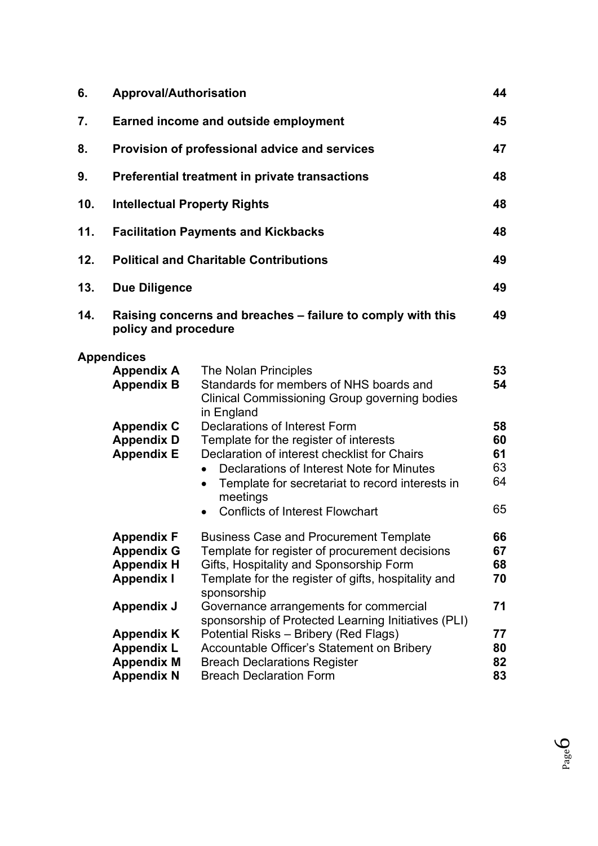| 6.  | <b>Approval/Authorisation</b>                                                       |                                                                                                                                                                                                                                                                                     | 44                         |
|-----|-------------------------------------------------------------------------------------|-------------------------------------------------------------------------------------------------------------------------------------------------------------------------------------------------------------------------------------------------------------------------------------|----------------------------|
| 7.  | Earned income and outside employment                                                |                                                                                                                                                                                                                                                                                     | 45                         |
| 8.  |                                                                                     | Provision of professional advice and services                                                                                                                                                                                                                                       | 47                         |
| 9.  |                                                                                     | Preferential treatment in private transactions                                                                                                                                                                                                                                      | 48                         |
| 10. | <b>Intellectual Property Rights</b>                                                 |                                                                                                                                                                                                                                                                                     | 48                         |
| 11. |                                                                                     | <b>Facilitation Payments and Kickbacks</b>                                                                                                                                                                                                                                          | 48                         |
| 12. |                                                                                     | <b>Political and Charitable Contributions</b>                                                                                                                                                                                                                                       | 49                         |
| 13. | <b>Due Diligence</b>                                                                |                                                                                                                                                                                                                                                                                     | 49                         |
| 14. | Raising concerns and breaches – failure to comply with this<br>policy and procedure |                                                                                                                                                                                                                                                                                     | 49                         |
|     | <b>Appendices</b><br><b>Appendix A</b><br><b>Appendix B</b><br><b>Appendix C</b>    | The Nolan Principles<br>Standards for members of NHS boards and<br><b>Clinical Commissioning Group governing bodies</b><br>in England<br><b>Declarations of Interest Form</b>                                                                                                       | 53<br>54<br>58             |
|     | <b>Appendix D</b><br><b>Appendix E</b>                                              | Template for the register of interests<br>Declaration of interest checklist for Chairs<br>Declarations of Interest Note for Minutes<br>$\bullet$<br>Template for secretariat to record interests in<br>$\bullet$<br>meetings<br><b>Conflicts of Interest Flowchart</b><br>$\bullet$ | 60<br>61<br>63<br>64<br>65 |
|     | <b>Appendix F</b><br><b>Appendix G</b><br><b>Appendix H</b><br><b>Appendix I</b>    | <b>Business Case and Procurement Template</b><br>Template for register of procurement decisions<br>Gifts, Hospitality and Sponsorship Form<br>Template for the register of gifts, hospitality and<br>sponsorship                                                                    | 66<br>67<br>68<br>70       |
|     | <b>Appendix J</b>                                                                   | Governance arrangements for commercial<br>sponsorship of Protected Learning Initiatives (PLI)                                                                                                                                                                                       | 71                         |
|     | <b>Appendix K</b><br><b>Appendix L</b><br><b>Appendix M</b><br><b>Appendix N</b>    | Potential Risks - Bribery (Red Flags)<br>Accountable Officer's Statement on Bribery<br><b>Breach Declarations Register</b><br><b>Breach Declaration Form</b>                                                                                                                        | 77<br>80<br>82<br>83       |

Page  $\tilde{\mathcal{O}}$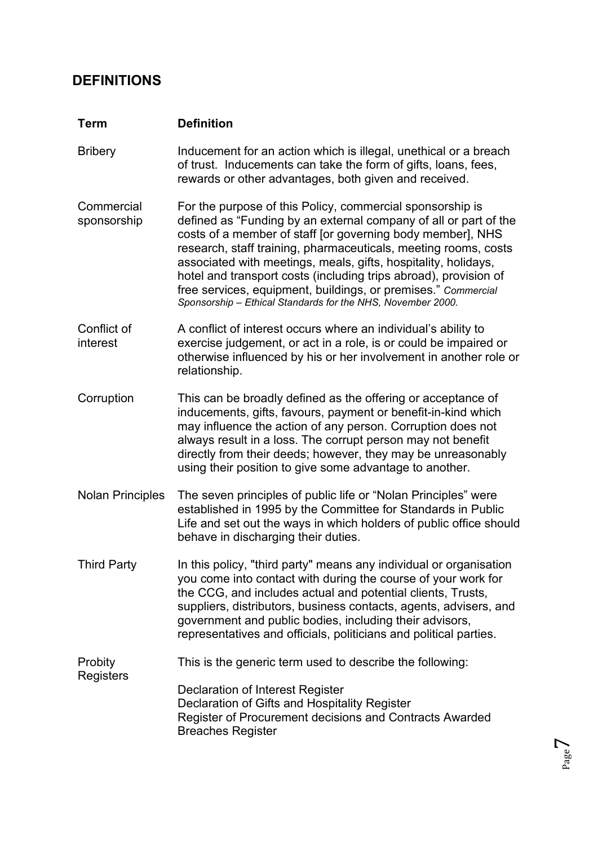## **DEFINITIONS**

| <b>Term</b>                 | <b>Definition</b>                                                                                                                                                                                                                                                                                                                                                                                                                                                                                                                    |
|-----------------------------|--------------------------------------------------------------------------------------------------------------------------------------------------------------------------------------------------------------------------------------------------------------------------------------------------------------------------------------------------------------------------------------------------------------------------------------------------------------------------------------------------------------------------------------|
| <b>Bribery</b>              | Inducement for an action which is illegal, unethical or a breach<br>of trust. Inducements can take the form of gifts, loans, fees,<br>rewards or other advantages, both given and received.                                                                                                                                                                                                                                                                                                                                          |
| Commercial<br>sponsorship   | For the purpose of this Policy, commercial sponsorship is<br>defined as "Funding by an external company of all or part of the<br>costs of a member of staff [or governing body member], NHS<br>research, staff training, pharmaceuticals, meeting rooms, costs<br>associated with meetings, meals, gifts, hospitality, holidays,<br>hotel and transport costs (including trips abroad), provision of<br>free services, equipment, buildings, or premises." Commercial<br>Sponsorship - Ethical Standards for the NHS, November 2000. |
| Conflict of<br>interest     | A conflict of interest occurs where an individual's ability to<br>exercise judgement, or act in a role, is or could be impaired or<br>otherwise influenced by his or her involvement in another role or<br>relationship.                                                                                                                                                                                                                                                                                                             |
| Corruption                  | This can be broadly defined as the offering or acceptance of<br>inducements, gifts, favours, payment or benefit-in-kind which<br>may influence the action of any person. Corruption does not<br>always result in a loss. The corrupt person may not benefit<br>directly from their deeds; however, they may be unreasonably<br>using their position to give some advantage to another.                                                                                                                                               |
| <b>Nolan Principles</b>     | The seven principles of public life or "Nolan Principles" were<br>established in 1995 by the Committee for Standards in Public<br>Life and set out the ways in which holders of public office should<br>behave in discharging their duties.                                                                                                                                                                                                                                                                                          |
| <b>Third Party</b>          | In this policy, "third party" means any individual or organisation<br>you come into contact with during the course of your work for<br>the CCG, and includes actual and potential clients, Trusts,<br>suppliers, distributors, business contacts, agents, advisers, and<br>government and public bodies, including their advisors,<br>representatives and officials, politicians and political parties.                                                                                                                              |
| <b>Probity</b><br>Registers | This is the generic term used to describe the following:                                                                                                                                                                                                                                                                                                                                                                                                                                                                             |
|                             | <b>Declaration of Interest Register</b><br>Declaration of Gifts and Hospitality Register<br>Register of Procurement decisions and Contracts Awarded<br><b>Breaches Register</b>                                                                                                                                                                                                                                                                                                                                                      |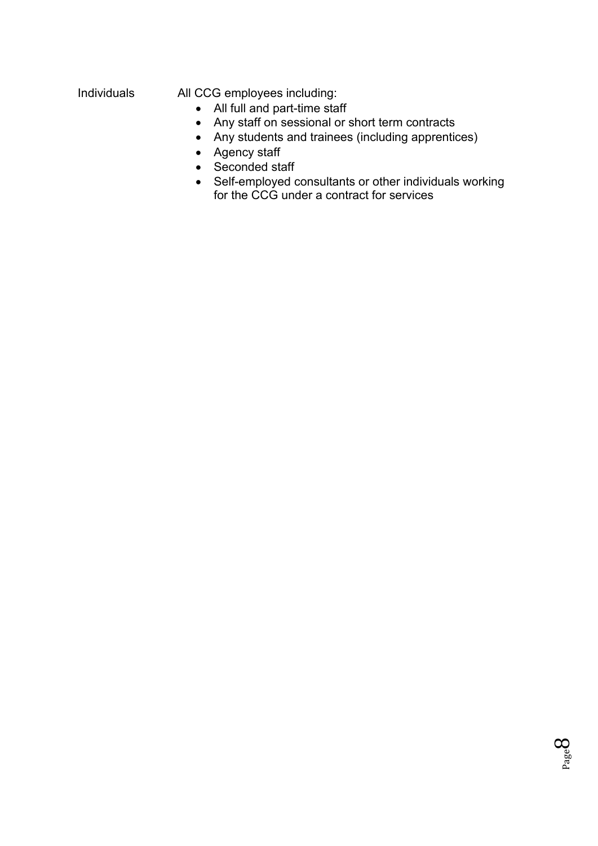Individuals All CCG employees including:

- All full and part-time staff
- Any staff on sessional or short term contracts
- Any students and trainees (including apprentices)
- Agency staff
- Seconded staff
- Self-employed consultants or other individuals working for the CCG under a contract for services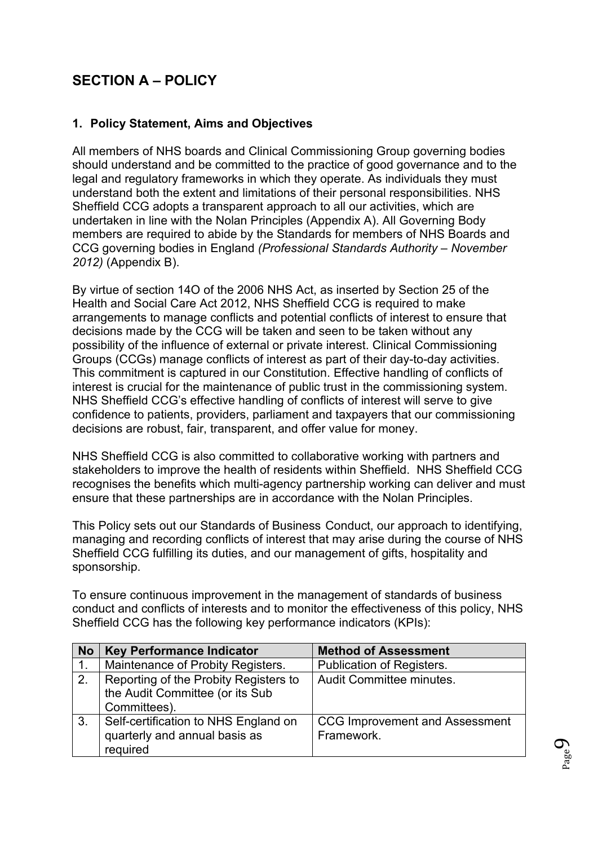### **SECTION A – POLICY**

#### **1. Policy Statement, Aims and Objectives**

All members of NHS boards and Clinical Commissioning Group governing bodies should understand and be committed to the practice of good governance and to the legal and regulatory frameworks in which they operate. As individuals they must understand both the extent and limitations of their personal responsibilities. NHS Sheffield CCG adopts a transparent approach to all our activities, which are undertaken in line with the Nolan Principles (Appendix A). All Governing Body members are required to abide by the Standards for members of NHS Boards and CCG governing bodies in England *(Professional Standards Authority – November 2012)* (Appendix B).

By virtue of section 14O of the 2006 NHS Act, as inserted by Section 25 of the Health and Social Care Act 2012, NHS Sheffield CCG is required to make arrangements to manage conflicts and potential conflicts of interest to ensure that decisions made by the CCG will be taken and seen to be taken without any possibility of the influence of external or private interest. Clinical Commissioning Groups (CCGs) manage conflicts of interest as part of their day-to-day activities. This commitment is captured in our Constitution. Effective handling of conflicts of interest is crucial for the maintenance of public trust in the commissioning system. NHS Sheffield CCG's effective handling of conflicts of interest will serve to give confidence to patients, providers, parliament and taxpayers that our commissioning decisions are robust, fair, transparent, and offer value for money.

NHS Sheffield CCG is also committed to collaborative working with partners and stakeholders to improve the health of residents within Sheffield. NHS Sheffield CCG recognises the benefits which multi-agency partnership working can deliver and must ensure that these partnerships are in accordance with the Nolan Principles.

This Policy sets out our Standards of Business Conduct, our approach to identifying, managing and recording conflicts of interest that may arise during the course of NHS Sheffield CCG fulfilling its duties, and our management of gifts, hospitality and sponsorship.

To ensure continuous improvement in the management of standards of business conduct and conflicts of interests and to monitor the effectiveness of this policy, NHS Sheffield CCG has the following key performance indicators (KPIs):

| <b>No</b> | <b>Key Performance Indicator</b>      | <b>Method of Assessment</b>           |
|-----------|---------------------------------------|---------------------------------------|
|           | Maintenance of Probity Registers.     | Publication of Registers.             |
| 2.        | Reporting of the Probity Registers to | Audit Committee minutes.              |
|           | the Audit Committee (or its Sub       |                                       |
|           | Committees).                          |                                       |
| 3.        | Self-certification to NHS England on  | <b>CCG Improvement and Assessment</b> |
|           | quarterly and annual basis as         | Framework.                            |
|           | required                              |                                       |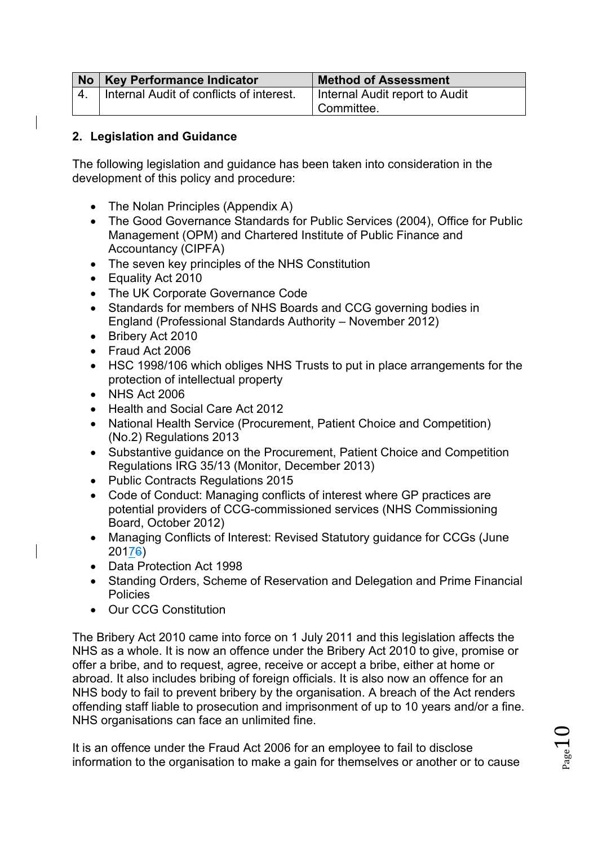| No   Key Performance Indicator           | <b>Method of Assessment</b>    |
|------------------------------------------|--------------------------------|
| Internal Audit of conflicts of interest. | Internal Audit report to Audit |
|                                          | l Committee.                   |

#### **2. Legislation and Guidance**

The following legislation and guidance has been taken into consideration in the development of this policy and procedure:

- The Nolan Principles (Appendix A)
- The Good Governance Standards for Public Services (2004), Office for Public Management (OPM) and Chartered Institute of Public Finance and Accountancy (CIPFA)
- The seven key principles of the NHS Constitution
- Equality Act 2010
- The UK Corporate Governance Code
- Standards for members of NHS Boards and CCG governing bodies in England (Professional Standards Authority – November 2012)
- Bribery Act 2010
- Fraud Act 2006
- HSC 1998/106 which obliges NHS Trusts to put in place arrangements for the protection of intellectual property
- NHS Act 2006
- Health and Social Care Act 2012
- National Health Service (Procurement, Patient Choice and Competition) (No.2) Regulations 2013
- Substantive guidance on the Procurement, Patient Choice and Competition Regulations IRG 35/13 (Monitor, December 2013)
- Public Contracts Regulations 2015
- Code of Conduct: Managing conflicts of interest where GP practices are potential providers of CCG-commissioned services (NHS Commissioning Board, October 2012)
- Managing Conflicts of Interest: Revised Statutory guidance for CCGs (June 20176)
- Data Protection Act 1998
- Standing Orders, Scheme of Reservation and Delegation and Prime Financial Policies
- Our CCG Constitution

The Bribery Act 2010 came into force on 1 July 2011 and this legislation affects the NHS as a whole. It is now an offence under the Bribery Act 2010 to give, promise or offer a bribe, and to request, agree, receive or accept a bribe, either at home or abroad. It also includes bribing of foreign officials. It is also now an offence for an NHS body to fail to prevent bribery by the organisation. A breach of the Act renders offending staff liable to prosecution and imprisonment of up to 10 years and/or a fine. NHS organisations can face an unlimited fine.

It is an offence under the Fraud Act 2006 for an employee to fail to disclose information to the organisation to make a gain for themselves or another or to cause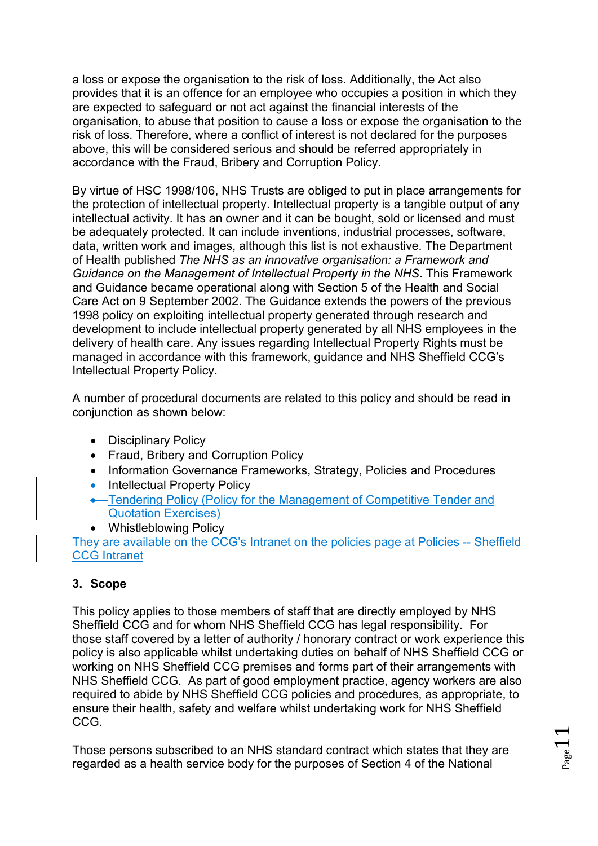a loss or expose the organisation to the risk of loss. Additionally, the Act also provides that it is an offence for an employee who occupies a position in which they are expected to safeguard or not act against the financial interests of the organisation, to abuse that position to cause a loss or expose the organisation to the risk of loss. Therefore, where a conflict of interest is not declared for the purposes above, this will be considered serious and should be referred appropriately in accordance with the Fraud, Bribery and Corruption Policy.

By virtue of HSC 1998/106, NHS Trusts are obliged to put in place arrangements for the protection of intellectual property. Intellectual property is a tangible output of any intellectual activity. It has an owner and it can be bought, sold or licensed and must be adequately protected. It can include inventions, industrial processes, software, data, written work and images, although this list is not exhaustive. The Department of Health published *[The NHS as an innovative organisation: a](http://www.dh.gov.uk/assetRoot/04/07/73/07/04077307.pdf) Framework and [Guidance on the Management of Intellectual Property in the NHS](http://www.dh.gov.uk/assetRoot/04/07/73/07/04077307.pdf)*. This Framework and Guidance became operational along with Section 5 of the Health and Social Care Act on 9 September 2002. The Guidance extends the powers of the previous 1998 [policy](http://www.innovations.nhs.uk/pdfs/106HSC.pdf) on exploiting intellectual property generated through research and development to include intellectual property generated by all NHS employees in the delivery of health care. Any issues regarding Intellectual Property Rights must be managed in accordance with this framework, guidance and NHS Sheffield CCG's Intellectual Property Policy.

A number of procedural documents are related to this policy and should be read in conjunction as shown below:

- Disciplinary Policy
- Fraud, Bribery and Corruption Policy
- Information Governance Frameworks, Strategy, Policies and Procedures
- Intellectual Property Policy
- Tendering Policy (Policy for the Management of Competitive Tender and Quotation Exercises)
- Whistleblowing Policy

They are available on the CCG's Intranet on the policies page at [Policies --](https://www.intranet.sheffieldccg.nhs.uk/policies.htm) Sheffield [CCG Intranet](https://www.intranet.sheffieldccg.nhs.uk/policies.htm)

#### **3. Scope**

This policy applies to those members of staff that are directly employed by NHS Sheffield CCG and for whom NHS Sheffield CCG has legal responsibility. For those staff covered by a letter of authority / honorary contract or work experience this policy is also applicable whilst undertaking duties on behalf of NHS Sheffield CCG or working on NHS Sheffield CCG premises and forms part of their arrangements with NHS Sheffield CCG. As part of good employment practice, agency workers are also required to abide by NHS Sheffield CCG policies and procedures, as appropriate, to ensure their health, safety and welfare whilst undertaking work for NHS Sheffield CCG.

Those persons subscribed to an NHS standard contract which states that they are regarded as a health service body for the purposes of Section 4 of the National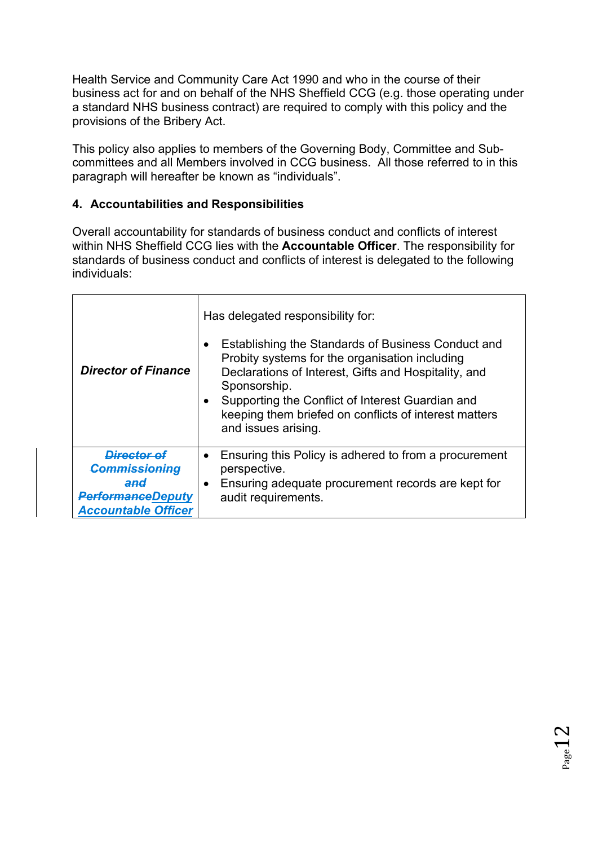Health Service and Community Care Act 1990 and who in the course of their business act for and on behalf of the NHS Sheffield CCG (e.g. those operating under a standard NHS business contract) are required to comply with this policy and the provisions of the Bribery Act.

This policy also applies to members of the Governing Body, Committee and Subcommittees and all Members involved in CCG business. All those referred to in this paragraph will hereafter be known as "individuals".

#### **4. Accountabilities and Responsibilities**

Overall accountability for standards of business conduct and conflicts of interest within NHS Sheffield CCG lies with the **Accountable Officer**. The responsibility for standards of business conduct and conflicts of interest is delegated to the following individuals:

| <b>Director of Finance</b>                                                                    | Has delegated responsibility for:<br>Establishing the Standards of Business Conduct and<br>$\bullet$<br>Probity systems for the organisation including<br>Declarations of Interest, Gifts and Hospitality, and<br>Sponsorship.<br>Supporting the Conflict of Interest Guardian and<br>$\bullet$<br>keeping them briefed on conflicts of interest matters<br>and issues arising. |
|-----------------------------------------------------------------------------------------------|---------------------------------------------------------------------------------------------------------------------------------------------------------------------------------------------------------------------------------------------------------------------------------------------------------------------------------------------------------------------------------|
| Director of<br>Commissionina<br>and<br><b>PerformanceDeputy</b><br><b>Accountable Officer</b> | Ensuring this Policy is adhered to from a procurement<br>$\bullet$<br>perspective.<br>Ensuring adequate procurement records are kept for<br>$\bullet$<br>audit requirements.                                                                                                                                                                                                    |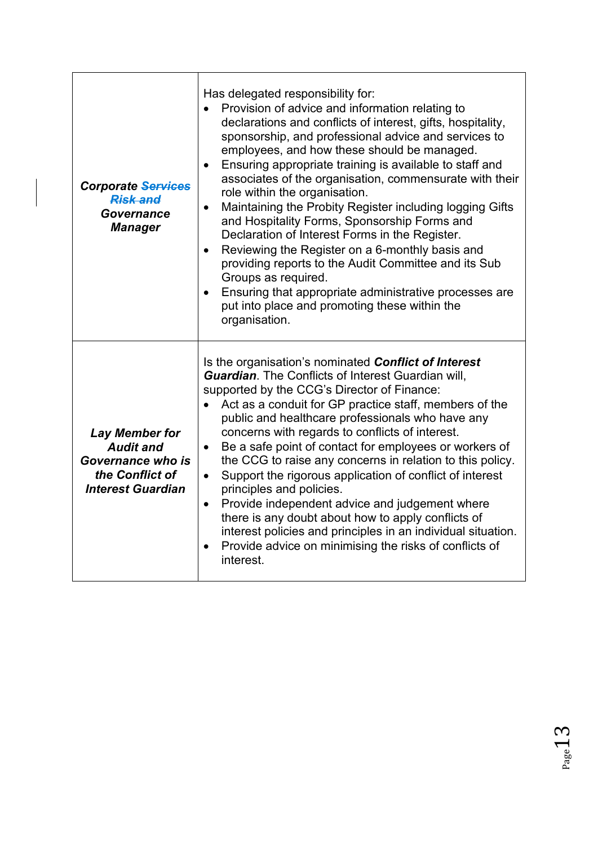| Corporate Services<br><b>Risk and</b><br>Governance<br><b>Manager</b>                                         | Has delegated responsibility for:<br>Provision of advice and information relating to<br>declarations and conflicts of interest, gifts, hospitality,<br>sponsorship, and professional advice and services to<br>employees, and how these should be managed.<br>Ensuring appropriate training is available to staff and<br>$\bullet$<br>associates of the organisation, commensurate with their<br>role within the organisation.<br>Maintaining the Probity Register including logging Gifts<br>$\bullet$<br>and Hospitality Forms, Sponsorship Forms and<br>Declaration of Interest Forms in the Register.<br>Reviewing the Register on a 6-monthly basis and<br>$\bullet$<br>providing reports to the Audit Committee and its Sub<br>Groups as required.<br>Ensuring that appropriate administrative processes are<br>put into place and promoting these within the<br>organisation. |  |
|---------------------------------------------------------------------------------------------------------------|--------------------------------------------------------------------------------------------------------------------------------------------------------------------------------------------------------------------------------------------------------------------------------------------------------------------------------------------------------------------------------------------------------------------------------------------------------------------------------------------------------------------------------------------------------------------------------------------------------------------------------------------------------------------------------------------------------------------------------------------------------------------------------------------------------------------------------------------------------------------------------------|--|
| <b>Lay Member for</b><br><b>Audit and</b><br>Governance who is<br>the Conflict of<br><b>Interest Guardian</b> | Is the organisation's nominated Conflict of Interest<br><b>Guardian.</b> The Conflicts of Interest Guardian will,<br>supported by the CCG's Director of Finance:<br>Act as a conduit for GP practice staff, members of the<br>public and healthcare professionals who have any<br>concerns with regards to conflicts of interest.<br>Be a safe point of contact for employees or workers of<br>$\bullet$<br>the CCG to raise any concerns in relation to this policy.<br>Support the rigorous application of conflict of interest<br>$\bullet$<br>principles and policies.<br>Provide independent advice and judgement where<br>$\bullet$<br>there is any doubt about how to apply conflicts of<br>interest policies and principles in an individual situation.<br>Provide advice on minimising the risks of conflicts of<br>interest.                                               |  |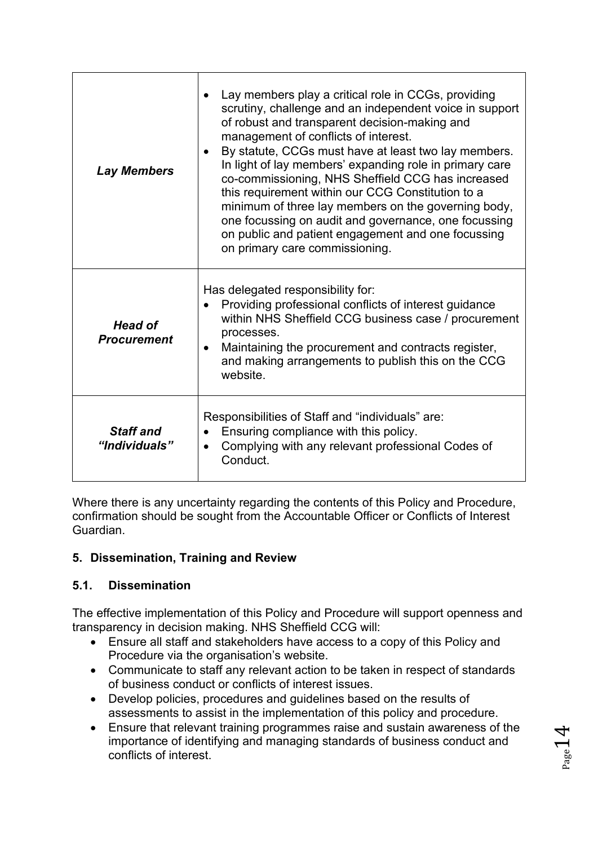| <b>Lay Members</b>                   | Lay members play a critical role in CCGs, providing<br>scrutiny, challenge and an independent voice in support<br>of robust and transparent decision-making and<br>management of conflicts of interest.<br>By statute, CCGs must have at least two lay members.<br>In light of lay members' expanding role in primary care<br>co-commissioning, NHS Sheffield CCG has increased<br>this requirement within our CCG Constitution to a<br>minimum of three lay members on the governing body,<br>one focussing on audit and governance, one focussing<br>on public and patient engagement and one focussing<br>on primary care commissioning. |
|--------------------------------------|---------------------------------------------------------------------------------------------------------------------------------------------------------------------------------------------------------------------------------------------------------------------------------------------------------------------------------------------------------------------------------------------------------------------------------------------------------------------------------------------------------------------------------------------------------------------------------------------------------------------------------------------|
| <b>Head of</b><br><b>Procurement</b> | Has delegated responsibility for:<br>Providing professional conflicts of interest guidance<br>$\bullet$<br>within NHS Sheffield CCG business case / procurement<br>processes.<br>Maintaining the procurement and contracts register,<br>and making arrangements to publish this on the CCG<br>website.                                                                                                                                                                                                                                                                                                                                      |
| <b>Staff and</b><br>"Individuals"    | Responsibilities of Staff and "individuals" are:<br>Ensuring compliance with this policy.<br>Complying with any relevant professional Codes of<br>Conduct.                                                                                                                                                                                                                                                                                                                                                                                                                                                                                  |

Where there is any uncertainty regarding the contents of this Policy and Procedure, confirmation should be sought from the Accountable Officer or Conflicts of Interest Guardian.

#### **5. Dissemination, Training and Review**

#### **5.1. Dissemination**

The effective implementation of this Policy and Procedure will support openness and transparency in decision making. NHS Sheffield CCG will:

- Ensure all staff and stakeholders have access to a copy of this Policy and Procedure via the organisation's website.
- Communicate to staff any relevant action to be taken in respect of standards of business conduct or conflicts of interest issues.
- Develop policies, procedures and guidelines based on the results of assessments to assist in the implementation of this policy and procedure.
- Ensure that relevant training programmes raise and sustain awareness of the importance of identifying and managing standards of business conduct and conflicts of interest.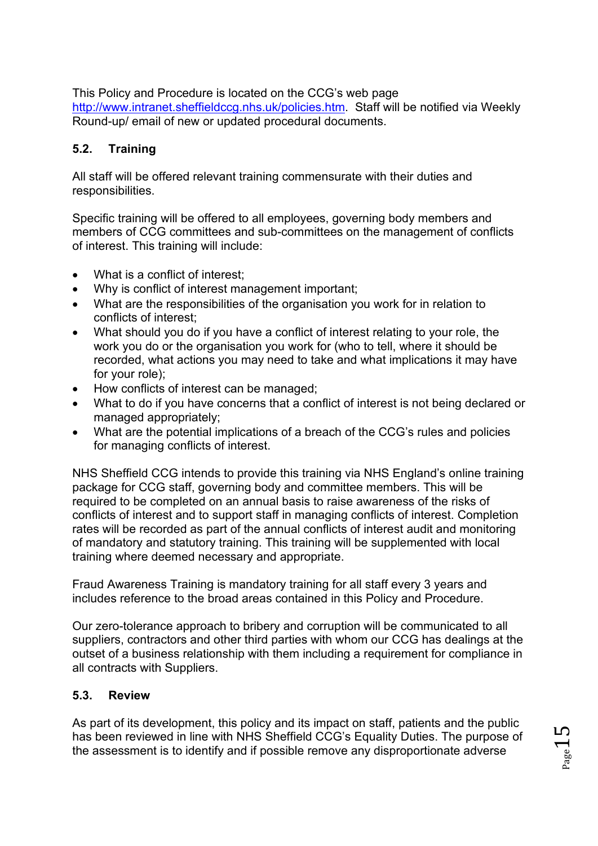This Policy and Procedure is located on the CCG's web page [http://www.intranet.sheffieldccg.nhs.uk/policies.htm.](http://www.intranet.sheffieldccg.nhs.uk/policies.htm) Staff will be notified via Weekly Round-up/ email of new or updated procedural documents.

#### **5.2. Training**

All staff will be offered relevant training commensurate with their duties and responsibilities.

Specific training will be offered to all employees, governing body members and members of CCG committees and sub-committees on the management of conflicts of interest. This training will include:

- What is a conflict of interest:
- Why is conflict of interest management important;
- What are the responsibilities of the organisation you work for in relation to conflicts of interest;
- What should you do if you have a conflict of interest relating to your role, the work you do or the organisation you work for (who to tell, where it should be recorded, what actions you may need to take and what implications it may have for your role);
- How conflicts of interest can be managed;
- What to do if you have concerns that a conflict of interest is not being declared or managed appropriately;
- What are the potential implications of a breach of the CCG's rules and policies for managing conflicts of interest.

NHS Sheffield CCG intends to provide this training via NHS England's online training package for CCG staff, governing body and committee members. This will be required to be completed on an annual basis to raise awareness of the risks of conflicts of interest and to support staff in managing conflicts of interest. Completion rates will be recorded as part of the annual conflicts of interest audit and monitoring of mandatory and statutory training. This training will be supplemented with local training where deemed necessary and appropriate.

Fraud Awareness Training is mandatory training for all staff every 3 years and includes reference to the broad areas contained in this Policy and Procedure.

Our zero-tolerance approach to bribery and corruption will be communicated to all suppliers, contractors and other third parties with whom our CCG has dealings at the outset of a business relationship with them including a requirement for compliance in all contracts with Suppliers.

#### **5.3. Review**

As part of its development, this policy and its impact on staff, patients and the public has been reviewed in line with NHS Sheffield CCG's Equality Duties. The purpose of the assessment is to identify and if possible remove any disproportionate adverse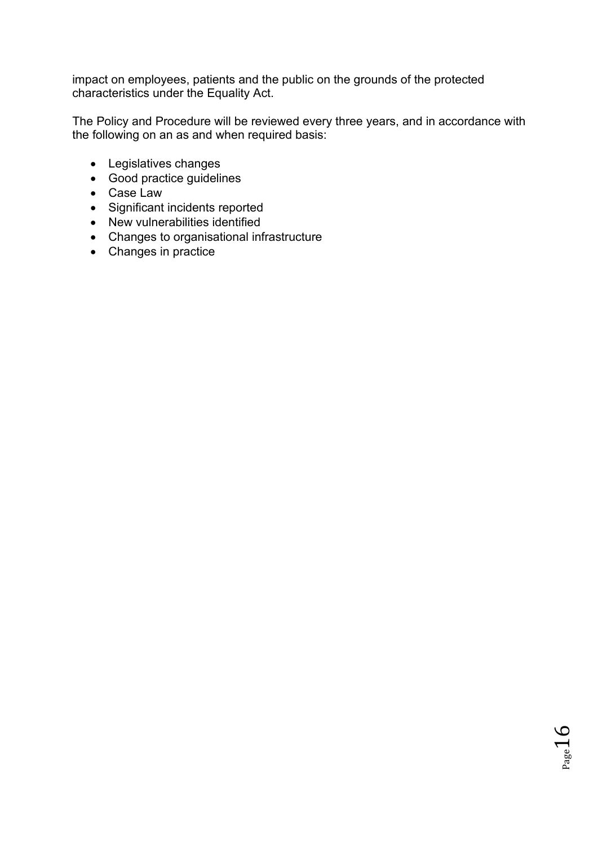impact on employees, patients and the public on the grounds of the protected characteristics under the Equality Act.

The Policy and Procedure will be reviewed every three years, and in accordance with the following on an as and when required basis:

- Legislatives changes
- Good practice guidelines
- Case Law
- Significant incidents reported
- New vulnerabilities identified
- Changes to organisational infrastructure
- Changes in practice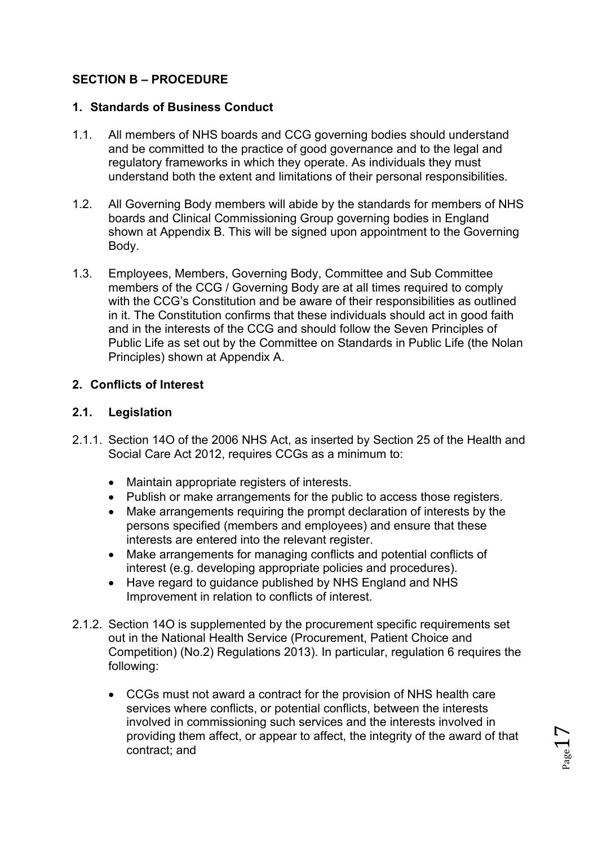#### **SECTION B – PROCEDURE**

#### **1. Standards of Business Conduct**

- 1.1. All members of NHS boards and CCG governing bodies should understand and be committed to the practice of good governance and to the legal and regulatory frameworks in which they operate. As individuals they must understand both the extent and limitations of their personal responsibilities.
- 1.2. All Governing Body members will abide by the standards for members of NHS boards and Clinical Commissioning Group governing bodies in England shown at Appendix B. This will be signed upon appointment to the Governing Body.
- 1.3. Employees, Members, Governing Body, Committee and Sub Committee members of the CCG / Governing Body are at all times required to comply with the CCG's Constitution and be aware of their responsibilities as outlined in it. The Constitution confirms that these individuals should act in good faith and in the interests of the CCG and should follow the Seven Principles of Public Life as set out by the Committee on Standards in Public Life (the Nolan Principles) shown at Appendix A.

#### **2. Conflicts of Interest**

#### **2.1. Legislation**

- 2.1.1. Section 14O of the 2006 NHS Act, as inserted by Section 25 of the Health and Social Care Act 2012, requires CCGs as a minimum to:
	- Maintain appropriate registers of interests.
	- Publish or make arrangements for the public to access those registers.
	- Make arrangements requiring the prompt declaration of interests by the persons specified (members and employees) and ensure that these interests are entered into the relevant register.
	- Make arrangements for managing conflicts and potential conflicts of interest (e.g. developing appropriate policies and procedures).
	- Have regard to guidance published by NHS England and NHS Improvement in relation to conflicts of interest.
- 2.1.2. Section 14O is supplemented by the procurement specific requirements set out in the National Health Service (Procurement, Patient Choice and Competition) (No.2) Regulations 2013). In particular, regulation 6 requires the following:
	- CCGs must not award a contract for the provision of NHS health care services where conflicts, or potential conflicts, between the interests involved in commissioning such services and the interests involved in providing them affect, or appear to affect, the integrity of the award of that contract; and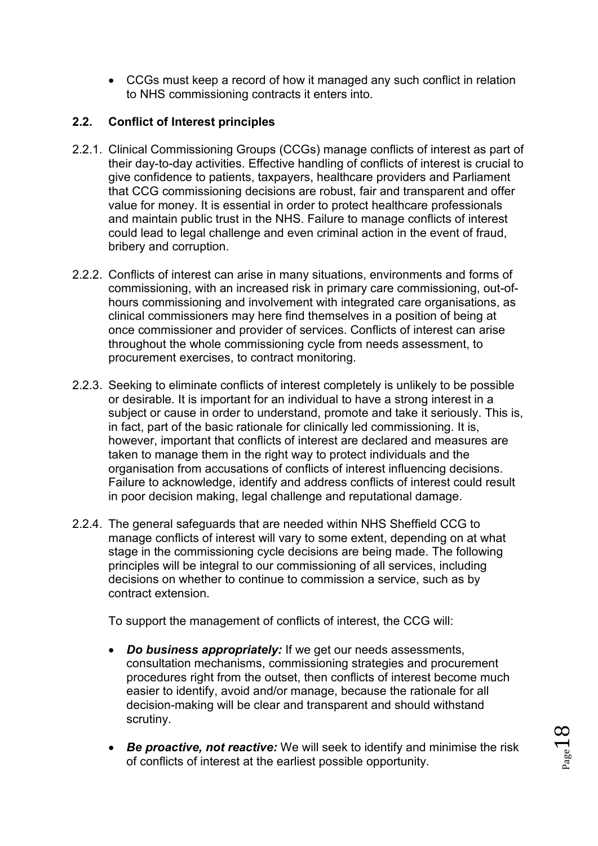• CCGs must keep a record of how it managed any such conflict in relation to NHS commissioning contracts it enters into.

#### **2.2. Conflict of Interest principles**

- 2.2.1. Clinical Commissioning Groups (CCGs) manage conflicts of interest as part of their day-to-day activities. Effective handling of conflicts of interest is crucial to give confidence to patients, taxpayers, healthcare providers and Parliament that CCG commissioning decisions are robust, fair and transparent and offer value for money. It is essential in order to protect healthcare professionals and maintain public trust in the NHS. Failure to manage conflicts of interest could lead to legal challenge and even criminal action in the event of fraud, bribery and corruption.
- 2.2.2. Conflicts of interest can arise in many situations, environments and forms of commissioning, with an increased risk in primary care commissioning, out-ofhours commissioning and involvement with integrated care organisations, as clinical commissioners may here find themselves in a position of being at once commissioner and provider of services. Conflicts of interest can arise throughout the whole commissioning cycle from needs assessment, to procurement exercises, to contract monitoring.
- 2.2.3. Seeking to eliminate conflicts of interest completely is unlikely to be possible or desirable. It is important for an individual to have a strong interest in a subject or cause in order to understand, promote and take it seriously. This is, in fact, part of the basic rationale for clinically led commissioning. It is, however, important that conflicts of interest are declared and measures are taken to manage them in the right way to protect individuals and the organisation from accusations of conflicts of interest influencing decisions. Failure to acknowledge, identify and address conflicts of interest could result in poor decision making, legal challenge and reputational damage.
- 2.2.4. The general safeguards that are needed within NHS Sheffield CCG to manage conflicts of interest will vary to some extent, depending on at what stage in the commissioning cycle decisions are being made. The following principles will be integral to our commissioning of all services, including decisions on whether to continue to commission a service, such as by contract extension.

To support the management of conflicts of interest, the CCG will:

- *Do business appropriately:* If we get our needs assessments, consultation mechanisms, commissioning strategies and procurement procedures right from the outset, then conflicts of interest become much easier to identify, avoid and/or manage, because the rationale for all decision-making will be clear and transparent and should withstand scrutiny.
- *Be proactive, not reactive:* We will seek to identify and minimise the risk of conflicts of interest at the earliest possible opportunity.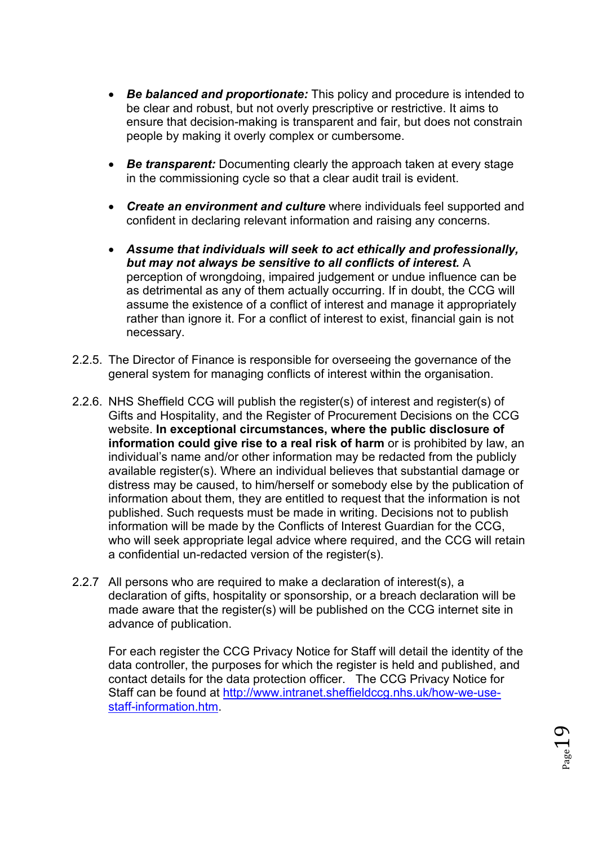- *Be balanced and proportionate:* This policy and procedure is intended to be clear and robust, but not overly prescriptive or restrictive. It aims to ensure that decision-making is transparent and fair, but does not constrain people by making it overly complex or cumbersome.
- *Be transparent:* Documenting clearly the approach taken at every stage in the commissioning cycle so that a clear audit trail is evident.
- *Create an environment and culture* where individuals feel supported and confident in declaring relevant information and raising any concerns.
- *Assume that individuals will seek to act ethically and professionally, but may not always be sensitive to all conflicts of interest.* A perception of wrongdoing, impaired judgement or undue influence can be as detrimental as any of them actually occurring. If in doubt, the CCG will assume the existence of a conflict of interest and manage it appropriately rather than ignore it. For a conflict of interest to exist, financial gain is not necessary.
- 2.2.5. The Director of Finance is responsible for overseeing the governance of the general system for managing conflicts of interest within the organisation.
- 2.2.6. NHS Sheffield CCG will publish the register(s) of interest and register(s) of Gifts and Hospitality, and the Register of Procurement Decisions on the CCG website. **In exceptional circumstances, where the public disclosure of information could give rise to a real risk of harm** or is prohibited by law, an individual's name and/or other information may be redacted from the publicly available register(s). Where an individual believes that substantial damage or distress may be caused, to him/herself or somebody else by the publication of information about them, they are entitled to request that the information is not published. Such requests must be made in writing. Decisions not to publish information will be made by the Conflicts of Interest Guardian for the CCG, who will seek appropriate legal advice where required, and the CCG will retain a confidential un-redacted version of the register(s).
- 2.2.7 All persons who are required to make a declaration of interest(s), a declaration of gifts, hospitality or sponsorship, or a breach declaration will be made aware that the register(s) will be published on the CCG internet site in advance of publication.

For each register the CCG Privacy Notice for Staff will detail the identity of the data controller, the purposes for which the register is held and published, and contact details for the data protection officer. The CCG Privacy Notice for Staff can be found at [http://www.intranet.sheffieldccg.nhs.uk/how-we-use](http://www.intranet.sheffieldccg.nhs.uk/how-we-use-staff-information.htm)[staff-information.htm.](http://www.intranet.sheffieldccg.nhs.uk/how-we-use-staff-information.htm)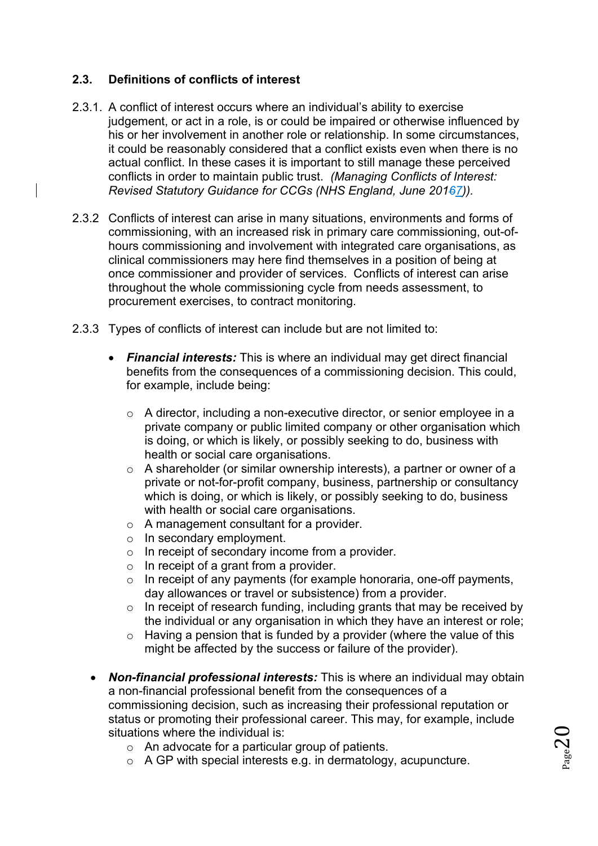#### **2.3. Definitions of conflicts of interest**

- 2.3.1. A conflict of interest occurs where an individual's ability to exercise judgement, or act in a role, is or could be impaired or otherwise influenced by his or her involvement in another role or relationship. In some circumstances, it could be reasonably considered that a conflict exists even when there is no actual conflict. In these cases it is important to still manage these perceived conflicts in order to maintain public trust. *(Managing Conflicts of Interest: Revised Statutory Guidance for CCGs (NHS England, June 20167)).*
- 2.3.2 Conflicts of interest can arise in many situations, environments and forms of commissioning, with an increased risk in primary care commissioning, out-ofhours commissioning and involvement with integrated care organisations, as clinical commissioners may here find themselves in a position of being at once commissioner and provider of services. Conflicts of interest can arise throughout the whole commissioning cycle from needs assessment, to procurement exercises, to contract monitoring.
- 2.3.3 Types of conflicts of interest can include but are not limited to:
	- *Financial interests:* This is where an individual may get direct financial benefits from the consequences of a commissioning decision. This could, for example, include being:
		- o A director, including a non-executive director, or senior employee in a private company or public limited company or other organisation which is doing, or which is likely, or possibly seeking to do, business with health or social care organisations.
		- $\circ$  A shareholder (or similar ownership interests), a partner or owner of a private or not-for-profit company, business, partnership or consultancy which is doing, or which is likely, or possibly seeking to do, business with health or social care organisations.
		- o A management consultant for a provider.
		- o In secondary employment.
		- o In receipt of secondary income from a provider.
		- $\circ$  In receipt of a grant from a provider.
		- $\circ$  In receipt of any payments (for example honoraria, one-off payments, day allowances or travel or subsistence) from a provider.
		- o In receipt of research funding, including grants that may be received by the individual or any organisation in which they have an interest or role;
		- $\circ$  Having a pension that is funded by a provider (where the value of this might be affected by the success or failure of the provider).
	- *Non-financial professional interests:* This is where an individual may obtain a non-financial professional benefit from the consequences of a commissioning decision, such as increasing their professional reputation or status or promoting their professional career. This may, for example, include situations where the individual is:
		- o An advocate for a particular group of patients.
		- o A GP with special interests e.g. in dermatology, acupuncture.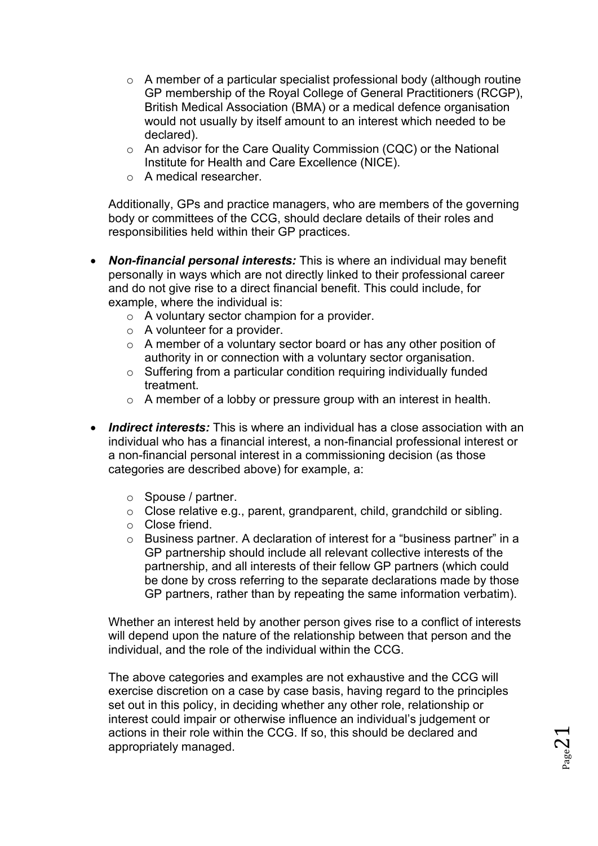- $\circ$  A member of a particular specialist professional body (although routine GP membership of the Royal College of General Practitioners (RCGP), British Medical Association (BMA) or a medical defence organisation would not usually by itself amount to an interest which needed to be declared).
- o An advisor for the Care Quality Commission (CQC) or the National Institute for Health and Care Excellence (NICE).
- o A medical researcher.

Additionally, GPs and practice managers, who are members of the governing body or committees of the CCG, should declare details of their roles and responsibilities held within their GP practices.

- *Non-financial personal interests:* This is where an individual may benefit personally in ways which are not directly linked to their professional career and do not give rise to a direct financial benefit. This could include, for example, where the individual is:
	- o A voluntary sector champion for a provider.
	- $\circ$  A volunteer for a provider.
	- o A member of a voluntary sector board or has any other position of authority in or connection with a voluntary sector organisation.
	- o Suffering from a particular condition requiring individually funded treatment.
	- $\circ$  A member of a lobby or pressure group with an interest in health.
- *Indirect interests:* This is where an individual has a close association with an individual who has a financial interest, a non-financial professional interest or a non-financial personal interest in a commissioning decision (as those categories are described above) for example, a:
	- o Spouse / partner.
	- o Close relative e.g., parent, grandparent, child, grandchild or sibling.
	- o Close friend.
	- o Business partner. A declaration of interest for a "business partner" in a GP partnership should include all relevant collective interests of the partnership, and all interests of their fellow GP partners (which could be done by cross referring to the separate declarations made by those GP partners, rather than by repeating the same information verbatim).

Whether an interest held by another person gives rise to a conflict of interests will depend upon the nature of the relationship between that person and the individual, and the role of the individual within the CCG.

The above categories and examples are not exhaustive and the CCG will exercise discretion on a case by case basis, having regard to the principles set out in this policy, in deciding whether any other role, relationship or interest could impair or otherwise influence an individual's judgement or actions in their role within the CCG. If so, this should be declared and appropriately managed.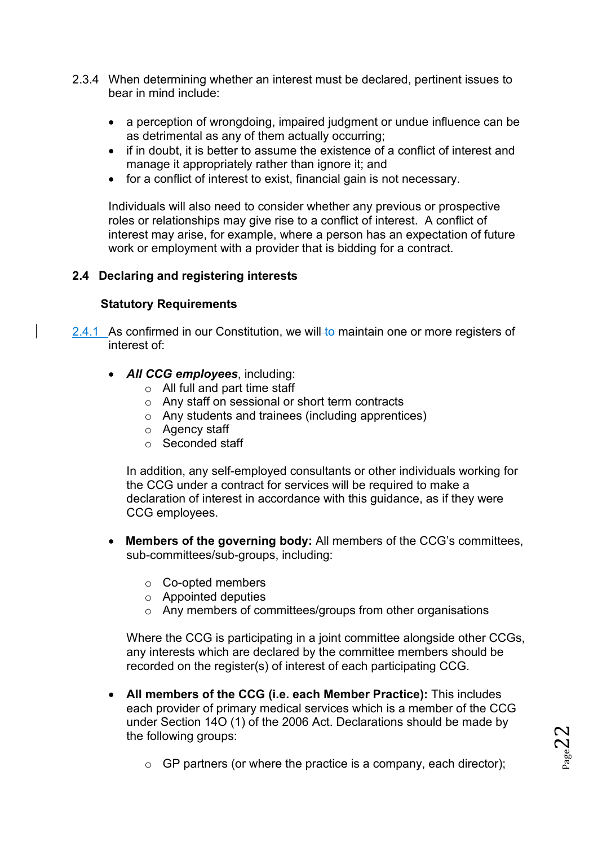- 2.3.4 When determining whether an interest must be declared, pertinent issues to bear in mind include:
	- a perception of wrongdoing, impaired judgment or undue influence can be as detrimental as any of them actually occurring;
	- if in doubt, it is better to assume the existence of a conflict of interest and manage it appropriately rather than ignore it; and
	- for a conflict of interest to exist, financial gain is not necessary.

Individuals will also need to consider whether any previous or prospective roles or relationships may give rise to a conflict of interest. A conflict of interest may arise, for example, where a person has an expectation of future work or employment with a provider that is bidding for a contract.

#### **2.4 Declaring and registering interests**

#### **Statutory Requirements**

 $2.4.1$  As confirmed in our Constitution, we will to maintain one or more registers of interest of:

- *All CCG employees*, including:
	- o All full and part time staff
	- o Any staff on sessional or short term contracts
	- o Any students and trainees (including apprentices)
	- o Agency staff
	- o Seconded staff

In addition, any self-employed consultants or other individuals working for the CCG under a contract for services will be required to make a declaration of interest in accordance with this guidance, as if they were CCG employees.

- **Members of the governing body:** All members of the CCG's committees, sub-committees/sub-groups, including:
	- o Co-opted members
	- o Appointed deputies
	- o Any members of committees/groups from other organisations

Where the CCG is participating in a joint committee alongside other CCGs, any interests which are declared by the committee members should be recorded on the register(s) of interest of each participating CCG.

- **All members of the CCG (i.e. each Member Practice):** This includes each provider of primary medical services which is a member of the CCG under Section 14O (1) of the 2006 Act. Declarations should be made by the following groups:
	- o GP partners (or where the practice is a company, each director);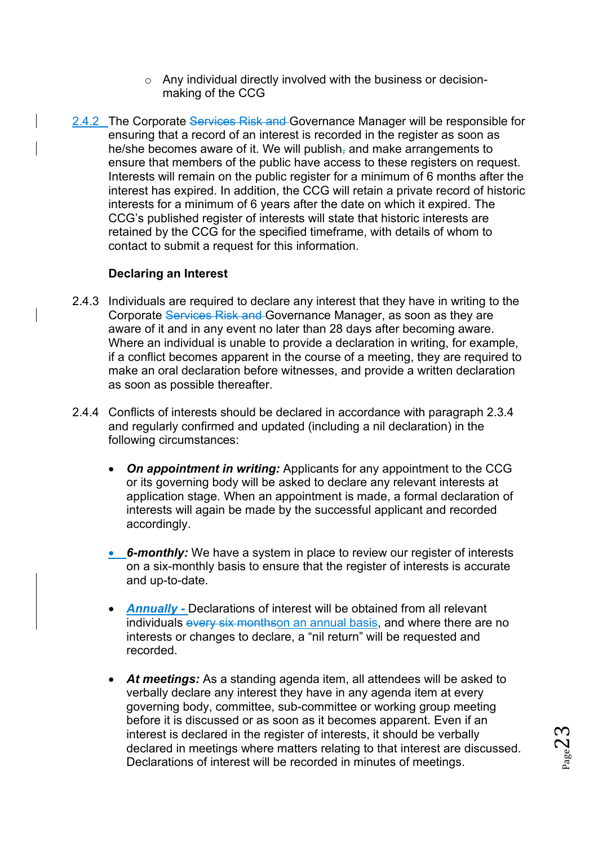- o Any individual directly involved with the business or decisionmaking of the CCG
- 2.4.2 The Corporate Services Risk and Governance Manager will be responsible for ensuring that a record of an interest is recorded in the register as soon as he/she becomes aware of it. We will publish, and make arrangements to ensure that members of the public have access to these registers on request. Interests will remain on the public register for a minimum of 6 months after the interest has expired. In addition, the CCG will retain a private record of historic interests for a minimum of 6 years after the date on which it expired. The CCG's published register of interests will state that historic interests are retained by the CCG for the specified timeframe, with details of whom to contact to submit a request for this information.

#### **Declaring an Interest**

- 2.4.3 Individuals are required to declare any interest that they have in writing to the Corporate Services Risk and Governance Manager, as soon as they are aware of it and in any event no later than 28 days after becoming aware. Where an individual is unable to provide a declaration in writing, for example, if a conflict becomes apparent in the course of a meeting, they are required to make an oral declaration before witnesses, and provide a written declaration as soon as possible thereafter.
- 2.4.4 Conflicts of interests should be declared in accordance with paragraph 2.3.4 and regularly confirmed and updated (including a nil declaration) in the following circumstances:
	- *On appointment in writing:* Applicants for any appointment to the CCG or its governing body will be asked to declare any relevant interests at application stage. When an appointment is made, a formal declaration of interests will again be made by the successful applicant and recorded accordingly.
	- *6-monthly:* We have a system in place to review our register of interests on a six-monthly basis to ensure that the register of interests is accurate and up-to-date.
	- *Annually -* Declarations of interest will be obtained from all relevant individuals every six monthson an annual basis, and where there are no interests or changes to declare, a "nil return" will be requested and recorded.
	- *At meetings:* As a standing agenda item, all attendees will be asked to verbally declare any interest they have in any agenda item at every governing body, committee, sub-committee or working group meeting before it is discussed or as soon as it becomes apparent. Even if an interest is declared in the register of interests, it should be verbally declared in meetings where matters relating to that interest are discussed. Declarations of interest will be recorded in minutes of meetings.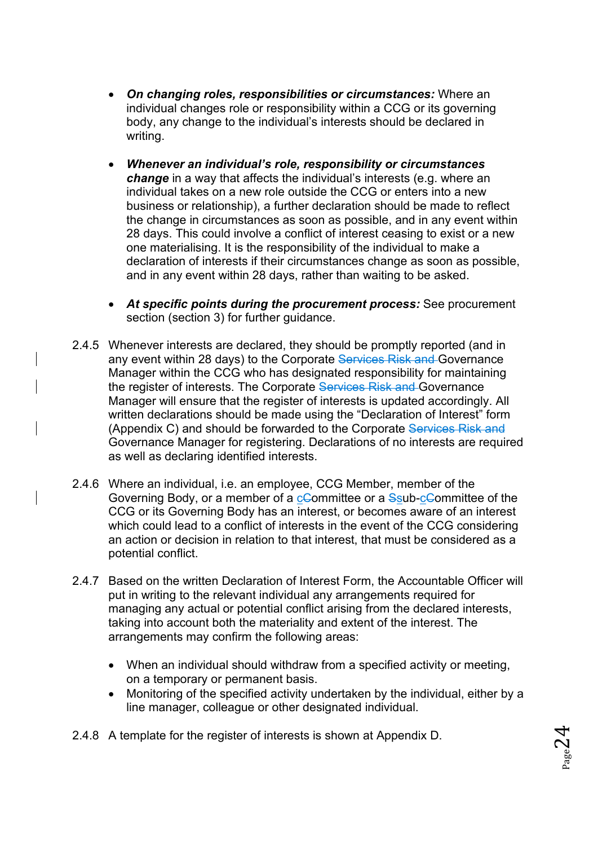- *On changing roles, responsibilities or circumstances:* Where an individual changes role or responsibility within a CCG or its governing body, any change to the individual's interests should be declared in writing.
- *Whenever an individual's role, responsibility or circumstances change* in a way that affects the individual's interests (e.g. where an individual takes on a new role outside the CCG or enters into a new business or relationship), a further declaration should be made to reflect the change in circumstances as soon as possible, and in any event within 28 days. This could involve a conflict of interest ceasing to exist or a new one materialising. It is the responsibility of the individual to make a declaration of interests if their circumstances change as soon as possible, and in any event within 28 days, rather than waiting to be asked.
- *At specific points during the procurement process:* See procurement section (section 3) for further guidance.
- 2.4.5 Whenever interests are declared, they should be promptly reported (and in any event within 28 days) to the Corporate Services Risk and Governance Manager within the CCG who has designated responsibility for maintaining the register of interests. The Corporate Services Risk and Governance Manager will ensure that the register of interests is updated accordingly. All written declarations should be made using the "Declaration of Interest" form (Appendix C) and should be forwarded to the Corporate Services Risk and Governance Manager for registering. Declarations of no interests are required as well as declaring identified interests.
- 2.4.6 Where an individual, i.e. an employee, CCG Member, member of the Governing Body, or a member of a cCommittee or a Ssub-cCommittee of the CCG or its Governing Body has an interest, or becomes aware of an interest which could lead to a conflict of interests in the event of the CCG considering an action or decision in relation to that interest, that must be considered as a potential conflict.
- 2.4.7 Based on the written Declaration of Interest Form, the Accountable Officer will put in writing to the relevant individual any arrangements required for managing any actual or potential conflict arising from the declared interests, taking into account both the materiality and extent of the interest. The arrangements may confirm the following areas:
	- When an individual should withdraw from a specified activity or meeting, on a temporary or permanent basis.
	- Monitoring of the specified activity undertaken by the individual, either by a line manager, colleague or other designated individual.
- 2.4.8 A template for the register of interests is shown at Appendix D.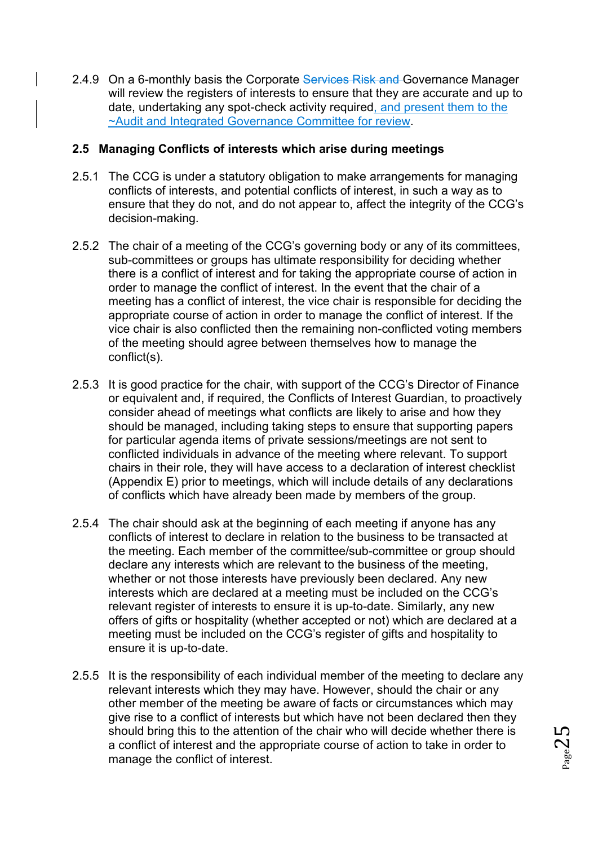2.4.9 On a 6-monthly basis the Corporate Services Risk and Governance Manager will review the registers of interests to ensure that they are accurate and up to date, undertaking any spot-check activity required, and present them to the ~Audit and Integrated Governance Committee for review.

#### **2.5 Managing Conflicts of interests which arise during meetings**

- 2.5.1 The CCG is under a statutory obligation to make arrangements for managing conflicts of interests, and potential conflicts of interest, in such a way as to ensure that they do not, and do not appear to, affect the integrity of the CCG's decision-making.
- 2.5.2 The chair of a meeting of the CCG's governing body or any of its committees, sub-committees or groups has ultimate responsibility for deciding whether there is a conflict of interest and for taking the appropriate course of action in order to manage the conflict of interest. In the event that the chair of a meeting has a conflict of interest, the vice chair is responsible for deciding the appropriate course of action in order to manage the conflict of interest. If the vice chair is also conflicted then the remaining non-conflicted voting members of the meeting should agree between themselves how to manage the conflict(s).
- 2.5.3 It is good practice for the chair, with support of the CCG's Director of Finance or equivalent and, if required, the Conflicts of Interest Guardian, to proactively consider ahead of meetings what conflicts are likely to arise and how they should be managed, including taking steps to ensure that supporting papers for particular agenda items of private sessions/meetings are not sent to conflicted individuals in advance of the meeting where relevant. To support chairs in their role, they will have access to a declaration of interest checklist (Appendix E) prior to meetings, which will include details of any declarations of conflicts which have already been made by members of the group.
- 2.5.4 The chair should ask at the beginning of each meeting if anyone has any conflicts of interest to declare in relation to the business to be transacted at the meeting. Each member of the committee/sub-committee or group should declare any interests which are relevant to the business of the meeting, whether or not those interests have previously been declared. Any new interests which are declared at a meeting must be included on the CCG's relevant register of interests to ensure it is up-to-date. Similarly, any new offers of gifts or hospitality (whether accepted or not) which are declared at a meeting must be included on the CCG's register of gifts and hospitality to ensure it is up-to-date.
- 2.5.5 It is the responsibility of each individual member of the meeting to declare any relevant interests which they may have. However, should the chair or any other member of the meeting be aware of facts or circumstances which may give rise to a conflict of interests but which have not been declared then they should bring this to the attention of the chair who will decide whether there is a conflict of interest and the appropriate course of action to take in order to manage the conflict of interest.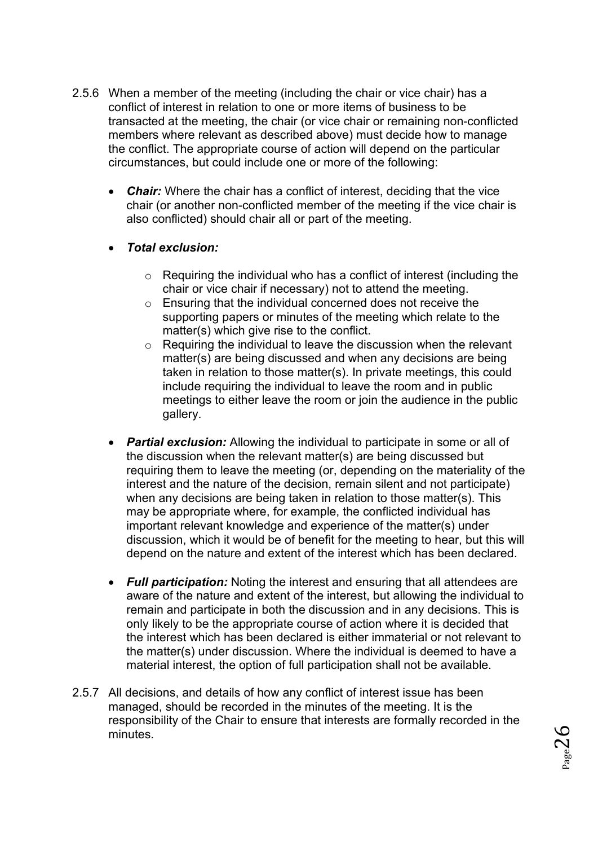- 2.5.6 When a member of the meeting (including the chair or vice chair) has a conflict of interest in relation to one or more items of business to be transacted at the meeting, the chair (or vice chair or remaining non-conflicted members where relevant as described above) must decide how to manage the conflict. The appropriate course of action will depend on the particular circumstances, but could include one or more of the following:
	- *Chair:* Where the chair has a conflict of interest, deciding that the vice chair (or another non-conflicted member of the meeting if the vice chair is also conflicted) should chair all or part of the meeting.
	- *Total exclusion:*
		- $\circ$  Requiring the individual who has a conflict of interest (including the chair or vice chair if necessary) not to attend the meeting.
		- o Ensuring that the individual concerned does not receive the supporting papers or minutes of the meeting which relate to the matter(s) which give rise to the conflict.
		- $\circ$  Requiring the individual to leave the discussion when the relevant matter(s) are being discussed and when any decisions are being taken in relation to those matter(s). In private meetings, this could include requiring the individual to leave the room and in public meetings to either leave the room or join the audience in the public gallery.
	- *Partial exclusion:* Allowing the individual to participate in some or all of the discussion when the relevant matter(s) are being discussed but requiring them to leave the meeting (or, depending on the materiality of the interest and the nature of the decision, remain silent and not participate) when any decisions are being taken in relation to those matter(s). This may be appropriate where, for example, the conflicted individual has important relevant knowledge and experience of the matter(s) under discussion, which it would be of benefit for the meeting to hear, but this will depend on the nature and extent of the interest which has been declared.
	- *Full participation:* Noting the interest and ensuring that all attendees are aware of the nature and extent of the interest, but allowing the individual to remain and participate in both the discussion and in any decisions. This is only likely to be the appropriate course of action where it is decided that the interest which has been declared is either immaterial or not relevant to the matter(s) under discussion. Where the individual is deemed to have a material interest, the option of full participation shall not be available.
- 2.5.7 All decisions, and details of how any conflict of interest issue has been managed, should be recorded in the minutes of the meeting. It is the responsibility of the Chair to ensure that interests are formally recorded in the minutes.

 $P_{\rm age}$ 26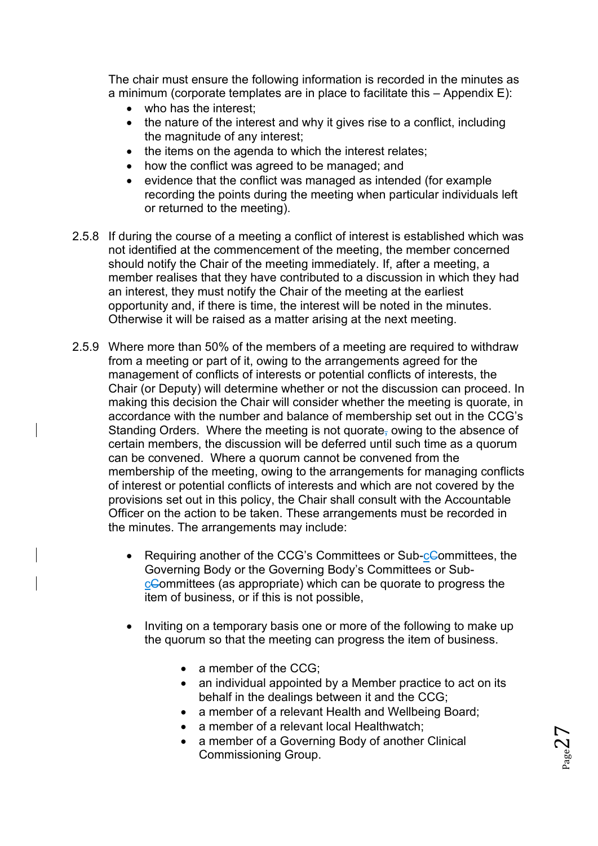The chair must ensure the following information is recorded in the minutes as a minimum (corporate templates are in place to facilitate this – Appendix E):

- who has the interest:
- the nature of the interest and why it gives rise to a conflict, including the magnitude of any interest;
- the items on the agenda to which the interest relates:
- how the conflict was agreed to be managed; and
- evidence that the conflict was managed as intended (for example recording the points during the meeting when particular individuals left or returned to the meeting).
- 2.5.8 If during the course of a meeting a conflict of interest is established which was not identified at the commencement of the meeting, the member concerned should notify the Chair of the meeting immediately. If, after a meeting, a member realises that they have contributed to a discussion in which they had an interest, they must notify the Chair of the meeting at the earliest opportunity and, if there is time, the interest will be noted in the minutes. Otherwise it will be raised as a matter arising at the next meeting.
- 2.5.9 Where more than 50% of the members of a meeting are required to withdraw from a meeting or part of it, owing to the arrangements agreed for the management of conflicts of interests or potential conflicts of interests, the Chair (or Deputy) will determine whether or not the discussion can proceed. In making this decision the Chair will consider whether the meeting is quorate, in accordance with the number and balance of membership set out in the CCG's Standing Orders. Where the meeting is not quorate, owing to the absence of certain members, the discussion will be deferred until such time as a quorum can be convened. Where a quorum cannot be convened from the membership of the meeting, owing to the arrangements for managing conflicts of interest or potential conflicts of interests and which are not covered by the provisions set out in this policy, the Chair shall consult with the Accountable Officer on the action to be taken. These arrangements must be recorded in the minutes. The arrangements may include:
	- Requiring another of the CCG's Committees or Sub-cCommittees, the Governing Body or the Governing Body's Committees or SubcCommittees (as appropriate) which can be quorate to progress the item of business, or if this is not possible,
	- Inviting on a temporary basis one or more of the following to make up the quorum so that the meeting can progress the item of business.
		- a member of the CCG;
		- an individual appointed by a Member practice to act on its behalf in the dealings between it and the CCG;

 $P_{\rm age}$ 27

- a member of a relevant Health and Wellbeing Board;
- a member of a relevant local Healthwatch;
- a member of a Governing Body of another Clinical Commissioning Group.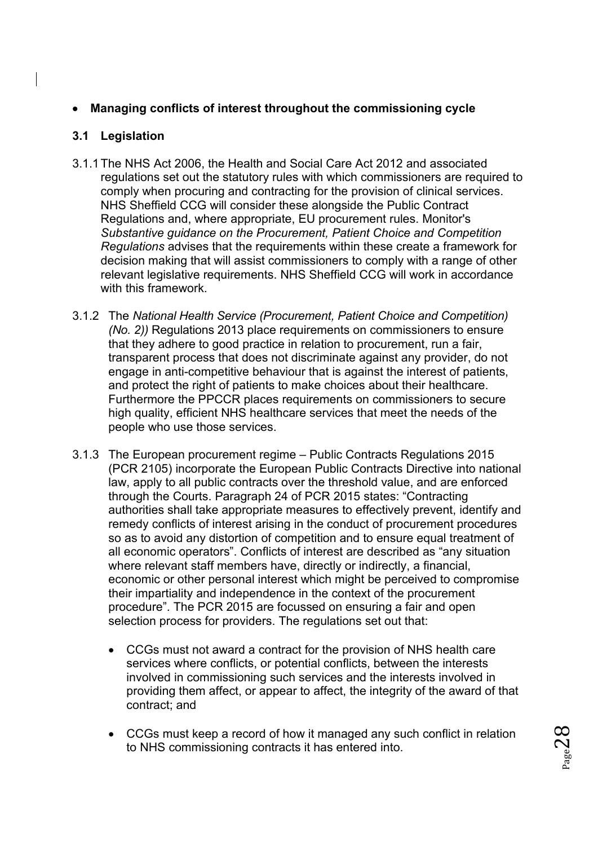#### • **Managing conflicts of interest throughout the commissioning cycle**

#### **3.1 Legislation**

- 3.1.1The NHS Act 2006, the Health and Social Care Act 2012 and associated regulations set out the statutory rules with which commissioners are required to comply when procuring and contracting for the provision of clinical services. NHS Sheffield CCG will consider these alongside the Public Contract Regulations and, where appropriate, EU procurement rules. Monitor's *Substantive guidance on the Procurement, Patient Choice and Competition Regulations* advises that the requirements within these create a framework for decision making that will assist commissioners to comply with a range of other relevant legislative requirements. NHS Sheffield CCG will work in accordance with this framework
- 3.1.2 The *National Health Service (Procurement, Patient Choice and Competition) (No. 2))* Regulations 2013 place requirements on commissioners to ensure that they adhere to good practice in relation to procurement, run a fair, transparent process that does not discriminate against any provider, do not engage in anti-competitive behaviour that is against the interest of patients, and protect the right of patients to make choices about their healthcare. Furthermore the PPCCR places requirements on commissioners to secure high quality, efficient NHS healthcare services that meet the needs of the people who use those services.
- 3.1.3 The European procurement regime Public Contracts Regulations 2015 (PCR 2105) incorporate the European Public Contracts Directive into national law, apply to all public contracts over the threshold value, and are enforced through the Courts. Paragraph 24 of PCR 2015 states: "Contracting authorities shall take appropriate measures to effectively prevent, identify and remedy conflicts of interest arising in the conduct of procurement procedures so as to avoid any distortion of competition and to ensure equal treatment of all economic operators". Conflicts of interest are described as "any situation where relevant staff members have, directly or indirectly, a financial, economic or other personal interest which might be perceived to compromise their impartiality and independence in the context of the procurement procedure". The PCR 2015 are focussed on ensuring a fair and open selection process for providers. The regulations set out that:
	- CCGs must not award a contract for the provision of NHS health care services where conflicts, or potential conflicts, between the interests involved in commissioning such services and the interests involved in providing them affect, or appear to affect, the integrity of the award of that contract; and
	- CCGs must keep a record of how it managed any such conflict in relation to NHS commissioning contracts it has entered into.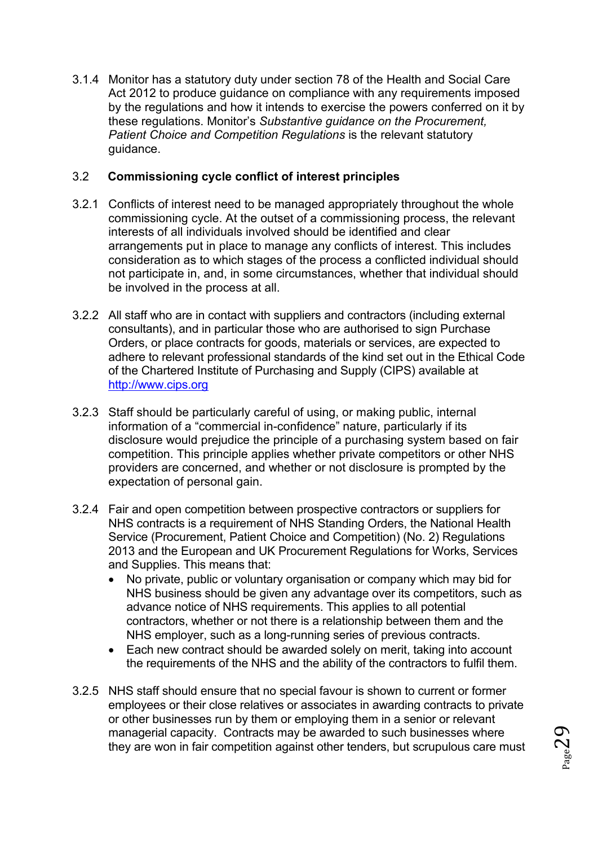3.1.4 Monitor has a statutory duty under section 78 of the Health and Social Care Act 2012 to produce guidance on compliance with any requirements imposed by the regulations and how it intends to exercise the powers conferred on it by these regulations. Monitor's *Substantive guidance on the Procurement, Patient Choice and Competition Regulations* is the relevant statutory guidance.

#### 3.2 **Commissioning cycle conflict of interest principles**

- 3.2.1 Conflicts of interest need to be managed appropriately throughout the whole commissioning cycle. At the outset of a commissioning process, the relevant interests of all individuals involved should be identified and clear arrangements put in place to manage any conflicts of interest. This includes consideration as to which stages of the process a conflicted individual should not participate in, and, in some circumstances, whether that individual should be involved in the process at all.
- 3.2.2 All staff who are in contact with suppliers and contractors (including external consultants), and in particular those who are authorised to sign Purchase Orders, or place contracts for goods, materials or services, are expected to adhere to relevant professional standards of the kind set out in the Ethical Code of the Chartered Institute of Purchasing and Supply (CIPS) available at [http://www.cips.org](http://www.cips.org/)
- 3.2.3 Staff should be particularly careful of using, or making public, internal information of a "commercial in-confidence" nature, particularly if its disclosure would prejudice the principle of a purchasing system based on fair competition. This principle applies whether private competitors or other NHS providers are concerned, and whether or not disclosure is prompted by the expectation of personal gain.
- 3.2.4 Fair and open competition between prospective contractors or suppliers for NHS contracts is a requirement of NHS Standing Orders, the National Health Service (Procurement, Patient Choice and Competition) (No. 2) Regulations 2013 and the European and UK Procurement Regulations for Works, Services and Supplies. This means that:
	- No private, public or voluntary organisation or company which may bid for NHS business should be given any advantage over its competitors, such as advance notice of NHS requirements. This applies to all potential contractors, whether or not there is a relationship between them and the NHS employer, such as a long-running series of previous contracts.
	- Each new contract should be awarded solely on merit, taking into account the requirements of the NHS and the ability of the contractors to fulfil them.
- 3.2.5 NHS staff should ensure that no special favour is shown to current or former employees or their close relatives or associates in awarding contracts to private or other businesses run by them or employing them in a senior or relevant managerial capacity. Contracts may be awarded to such businesses where they are won in fair competition against other tenders, but scrupulous care must

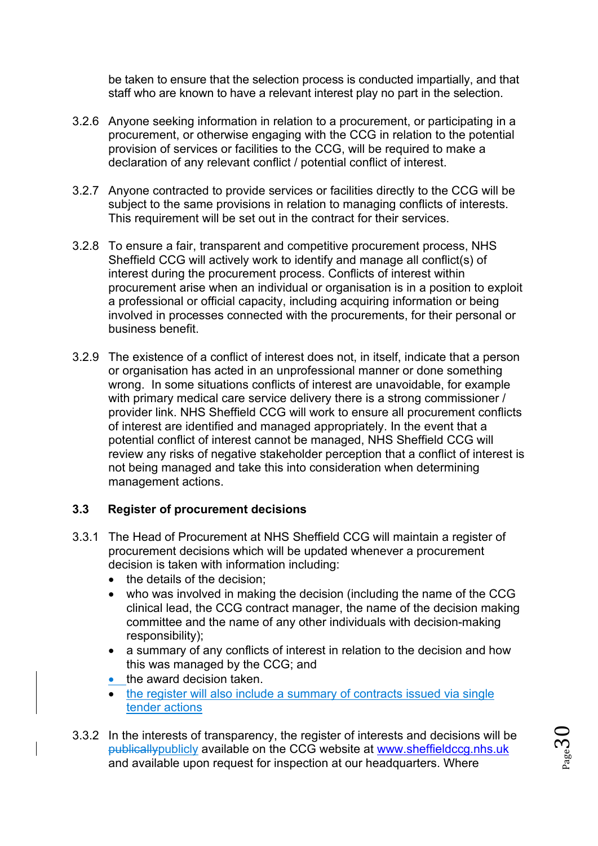be taken to ensure that the selection process is conducted impartially, and that staff who are known to have a relevant interest play no part in the selection.

- 3.2.6 Anyone seeking information in relation to a procurement, or participating in a procurement, or otherwise engaging with the CCG in relation to the potential provision of services or facilities to the CCG, will be required to make a declaration of any relevant conflict / potential conflict of interest.
- 3.2.7 Anyone contracted to provide services or facilities directly to the CCG will be subject to the same provisions in relation to managing conflicts of interests. This requirement will be set out in the contract for their services.
- 3.2.8 To ensure a fair, transparent and competitive procurement process, NHS Sheffield CCG will actively work to identify and manage all conflict(s) of interest during the procurement process. Conflicts of interest within procurement arise when an individual or organisation is in a position to exploit a professional or official capacity, including acquiring information or being involved in processes connected with the procurements, for their personal or business benefit.
- 3.2.9 The existence of a conflict of interest does not, in itself, indicate that a person or organisation has acted in an unprofessional manner or done something wrong. In some situations conflicts of interest are unavoidable, for example with primary medical care service delivery there is a strong commissioner / provider link. NHS Sheffield CCG will work to ensure all procurement conflicts of interest are identified and managed appropriately. In the event that a potential conflict of interest cannot be managed, NHS Sheffield CCG will review any risks of negative stakeholder perception that a conflict of interest is not being managed and take this into consideration when determining management actions.

#### **3.3 Register of procurement decisions**

- 3.3.1 The Head of Procurement at NHS Sheffield CCG will maintain a register of procurement decisions which will be updated whenever a procurement decision is taken with information including:
	- the details of the decision:
	- who was involved in making the decision (including the name of the CCG clinical lead, the CCG contract manager, the name of the decision making committee and the name of any other individuals with decision-making responsibility);
	- a summary of any conflicts of interest in relation to the decision and how this was managed by the CCG; and
	- the award decision taken.
	- the register will also include a summary of contracts issued via single tender actions
- 3.3.2 In the interests of transparency, the register of interests and decisions will be publicallypublicly available on the CCG website at [www.sheffieldccg.nhs.uk](http://www.sheffieldccg.nhs.uk/) and available upon request for inspection at our headquarters. Where

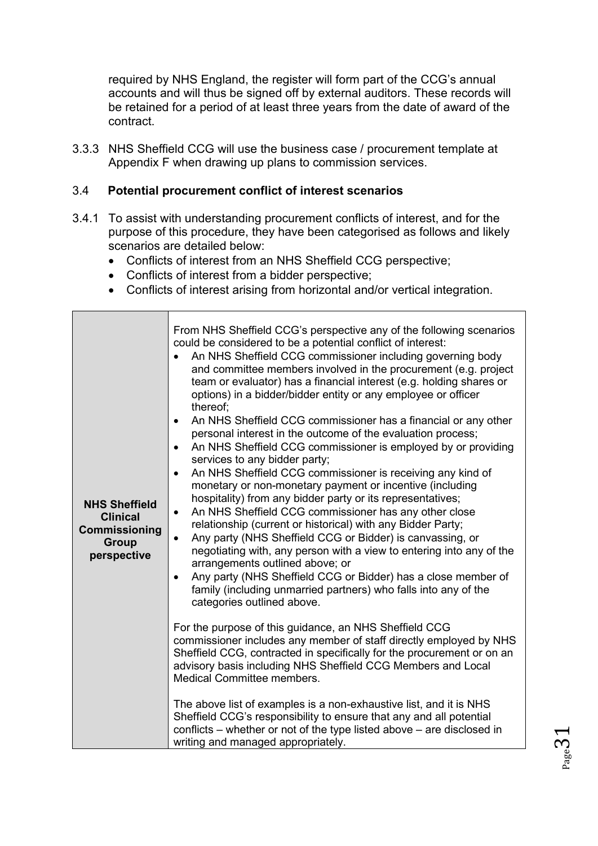required by NHS England, the register will form part of the CCG's annual accounts and will thus be signed off by external auditors. These records will be retained for a period of at least three years from the date of award of the contract.

3.3.3 NHS Sheffield CCG will use the business case / procurement template at Appendix F when drawing up plans to commission services.

#### 3.4 **Potential procurement conflict of interest scenarios**

- 3.4.1 To assist with understanding procurement conflicts of interest, and for the purpose of this procedure, they have been categorised as follows and likely scenarios are detailed below:
	- Conflicts of interest from an NHS Sheffield CCG perspective;
	- Conflicts of interest from a bidder perspective;
	- Conflicts of interest arising from horizontal and/or vertical integration.

| <b>NHS Sheffield</b><br><b>Clinical</b><br>Commissioning<br><b>Group</b><br>perspective | From NHS Sheffield CCG's perspective any of the following scenarios<br>could be considered to be a potential conflict of interest:<br>An NHS Sheffield CCG commissioner including governing body<br>and committee members involved in the procurement (e.g. project<br>team or evaluator) has a financial interest (e.g. holding shares or<br>options) in a bidder/bidder entity or any employee or officer<br>thereof;<br>An NHS Sheffield CCG commissioner has a financial or any other<br>$\bullet$<br>personal interest in the outcome of the evaluation process;<br>An NHS Sheffield CCG commissioner is employed by or providing<br>$\bullet$<br>services to any bidder party;<br>An NHS Sheffield CCG commissioner is receiving any kind of<br>$\bullet$<br>monetary or non-monetary payment or incentive (including<br>hospitality) from any bidder party or its representatives;<br>An NHS Sheffield CCG commissioner has any other close<br>٠<br>relationship (current or historical) with any Bidder Party;<br>Any party (NHS Sheffield CCG or Bidder) is canvassing, or<br>$\bullet$<br>negotiating with, any person with a view to entering into any of the<br>arrangements outlined above; or<br>Any party (NHS Sheffield CCG or Bidder) has a close member of<br>$\bullet$<br>family (including unmarried partners) who falls into any of the<br>categories outlined above. |
|-----------------------------------------------------------------------------------------|--------------------------------------------------------------------------------------------------------------------------------------------------------------------------------------------------------------------------------------------------------------------------------------------------------------------------------------------------------------------------------------------------------------------------------------------------------------------------------------------------------------------------------------------------------------------------------------------------------------------------------------------------------------------------------------------------------------------------------------------------------------------------------------------------------------------------------------------------------------------------------------------------------------------------------------------------------------------------------------------------------------------------------------------------------------------------------------------------------------------------------------------------------------------------------------------------------------------------------------------------------------------------------------------------------------------------------------------------------------------------------------------|
|                                                                                         | For the purpose of this guidance, an NHS Sheffield CCG<br>commissioner includes any member of staff directly employed by NHS<br>Sheffield CCG, contracted in specifically for the procurement or on an<br>advisory basis including NHS Sheffield CCG Members and Local<br>Medical Committee members.                                                                                                                                                                                                                                                                                                                                                                                                                                                                                                                                                                                                                                                                                                                                                                                                                                                                                                                                                                                                                                                                                       |
|                                                                                         | The above list of examples is a non-exhaustive list, and it is NHS<br>Sheffield CCG's responsibility to ensure that any and all potential<br>conflicts - whether or not of the type listed above - are disclosed in<br>writing and managed appropriately.                                                                                                                                                                                                                                                                                                                                                                                                                                                                                                                                                                                                                                                                                                                                                                                                                                                                                                                                                                                                                                                                                                                                  |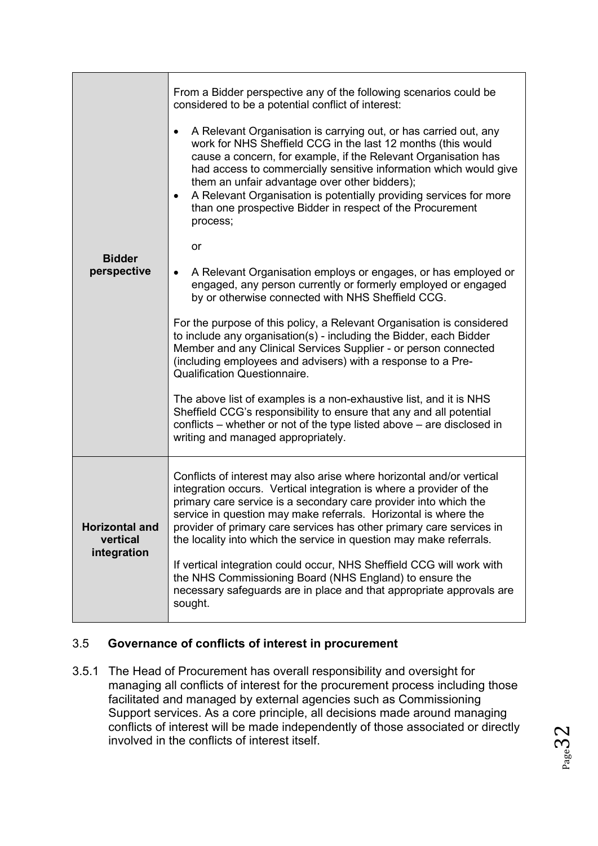| <b>Bidder</b><br>perspective                     | From a Bidder perspective any of the following scenarios could be<br>considered to be a potential conflict of interest:                                                                                                                                                                                                                                                                                                                                                              |
|--------------------------------------------------|--------------------------------------------------------------------------------------------------------------------------------------------------------------------------------------------------------------------------------------------------------------------------------------------------------------------------------------------------------------------------------------------------------------------------------------------------------------------------------------|
|                                                  | A Relevant Organisation is carrying out, or has carried out, any<br>work for NHS Sheffield CCG in the last 12 months (this would<br>cause a concern, for example, if the Relevant Organisation has<br>had access to commercially sensitive information which would give<br>them an unfair advantage over other bidders);<br>A Relevant Organisation is potentially providing services for more<br>$\bullet$<br>than one prospective Bidder in respect of the Procurement<br>process; |
|                                                  | <b>or</b>                                                                                                                                                                                                                                                                                                                                                                                                                                                                            |
|                                                  | A Relevant Organisation employs or engages, or has employed or<br>٠<br>engaged, any person currently or formerly employed or engaged<br>by or otherwise connected with NHS Sheffield CCG.                                                                                                                                                                                                                                                                                            |
|                                                  | For the purpose of this policy, a Relevant Organisation is considered<br>to include any organisation(s) - including the Bidder, each Bidder<br>Member and any Clinical Services Supplier - or person connected<br>(including employees and advisers) with a response to a Pre-<br><b>Qualification Questionnaire.</b>                                                                                                                                                                |
|                                                  | The above list of examples is a non-exhaustive list, and it is NHS<br>Sheffield CCG's responsibility to ensure that any and all potential<br>conflicts - whether or not of the type listed above - are disclosed in<br>writing and managed appropriately.                                                                                                                                                                                                                            |
| <b>Horizontal and</b><br>vertical<br>integration | Conflicts of interest may also arise where horizontal and/or vertical<br>integration occurs. Vertical integration is where a provider of the<br>primary care service is a secondary care provider into which the<br>service in question may make referrals. Horizontal is where the<br>provider of primary care services has other primary care services in<br>the locality into which the service in question may make referrals.                                                   |
|                                                  | If vertical integration could occur, NHS Sheffield CCG will work with<br>the NHS Commissioning Board (NHS England) to ensure the<br>necessary safeguards are in place and that appropriate approvals are<br>sought.                                                                                                                                                                                                                                                                  |

#### 3.5 **Governance of conflicts of interest in procurement**

3.5.1 The Head of Procurement has overall responsibility and oversight for managing all conflicts of interest for the procurement process including those facilitated and managed by external agencies such as Commissioning Support services. As a core principle, all decisions made around managing conflicts of interest will be made independently of those associated or directly involved in the conflicts of interest itself.

 $P<sub>age</sub>32$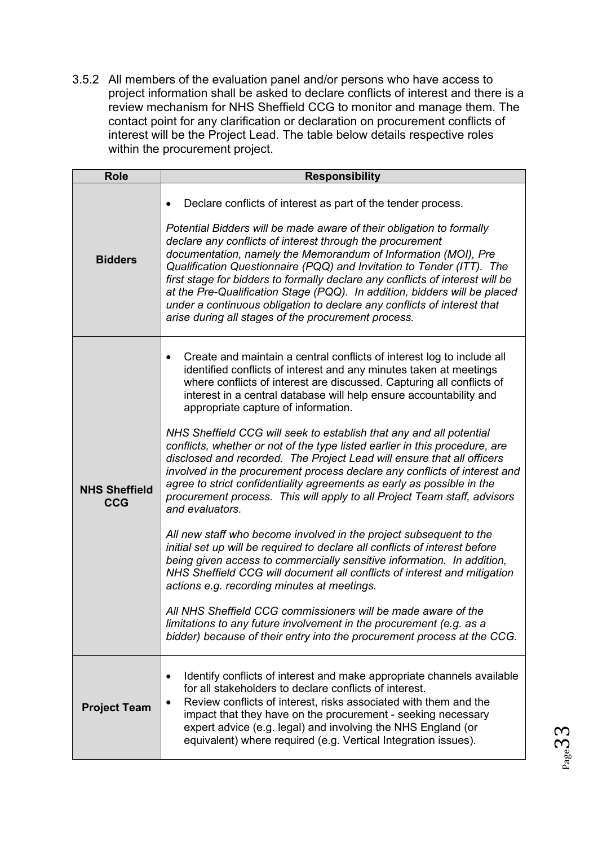3.5.2 All members of the evaluation panel and/or persons who have access to project information shall be asked to declare conflicts of interest and there is a review mechanism for NHS Sheffield CCG to monitor and manage them. The contact point for any clarification or declaration on procurement conflicts of interest will be the Project Lead. The table below details respective roles within the procurement project.

| <b>Role</b>                        | <b>Responsibility</b>                                                                                                                                                                                                                                                                                                                                                                                                                                                                                                                                                                                                                                                                                                                                                                                                                                                                                                                                                                                                                                                                                                                                                                                                                                                                                                                                                                                      |
|------------------------------------|------------------------------------------------------------------------------------------------------------------------------------------------------------------------------------------------------------------------------------------------------------------------------------------------------------------------------------------------------------------------------------------------------------------------------------------------------------------------------------------------------------------------------------------------------------------------------------------------------------------------------------------------------------------------------------------------------------------------------------------------------------------------------------------------------------------------------------------------------------------------------------------------------------------------------------------------------------------------------------------------------------------------------------------------------------------------------------------------------------------------------------------------------------------------------------------------------------------------------------------------------------------------------------------------------------------------------------------------------------------------------------------------------------|
| <b>Bidders</b>                     | Declare conflicts of interest as part of the tender process.<br>Potential Bidders will be made aware of their obligation to formally<br>declare any conflicts of interest through the procurement<br>documentation, namely the Memorandum of Information (MOI), Pre<br>Qualification Questionnaire (PQQ) and Invitation to Tender (ITT). The<br>first stage for bidders to formally declare any conflicts of interest will be<br>at the Pre-Qualification Stage (PQQ). In addition, bidders will be placed<br>under a continuous obligation to declare any conflicts of interest that<br>arise during all stages of the procurement process.                                                                                                                                                                                                                                                                                                                                                                                                                                                                                                                                                                                                                                                                                                                                                               |
| <b>NHS Sheffield</b><br><b>CCG</b> | Create and maintain a central conflicts of interest log to include all<br>٠<br>identified conflicts of interest and any minutes taken at meetings<br>where conflicts of interest are discussed. Capturing all conflicts of<br>interest in a central database will help ensure accountability and<br>appropriate capture of information.<br>NHS Sheffield CCG will seek to establish that any and all potential<br>conflicts, whether or not of the type listed earlier in this procedure, are<br>disclosed and recorded. The Project Lead will ensure that all officers<br>involved in the procurement process declare any conflicts of interest and<br>agree to strict confidentiality agreements as early as possible in the<br>procurement process. This will apply to all Project Team staff, advisors<br>and evaluators.<br>All new staff who become involved in the project subsequent to the<br>initial set up will be required to declare all conflicts of interest before<br>being given access to commercially sensitive information. In addition,<br>NHS Sheffield CCG will document all conflicts of interest and mitigation<br>actions e.g. recording minutes at meetings.<br>All NHS Sheffield CCG commissioners will be made aware of the<br>limitations to any future involvement in the procurement (e.g. as a<br>bidder) because of their entry into the procurement process at the CCG. |
| <b>Project Team</b>                | Identify conflicts of interest and make appropriate channels available<br>for all stakeholders to declare conflicts of interest.<br>Review conflicts of interest, risks associated with them and the<br>impact that they have on the procurement - seeking necessary<br>expert advice (e.g. legal) and involving the NHS England (or<br>equivalent) where required (e.g. Vertical Integration issues).                                                                                                                                                                                                                                                                                                                                                                                                                                                                                                                                                                                                                                                                                                                                                                                                                                                                                                                                                                                                     |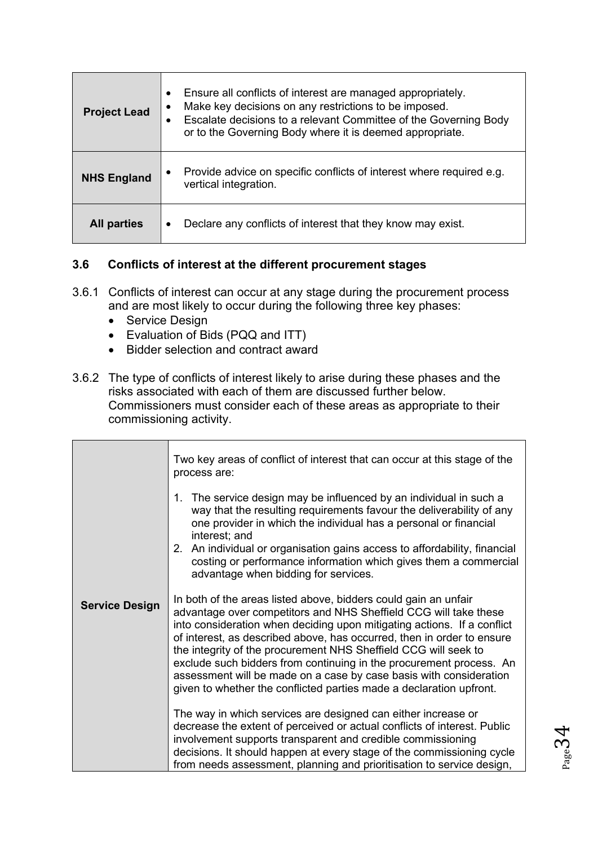| <b>Project Lead</b> | Ensure all conflicts of interest are managed appropriately.<br>$\bullet$<br>Make key decisions on any restrictions to be imposed.<br>$\bullet$<br>Escalate decisions to a relevant Committee of the Governing Body<br>or to the Governing Body where it is deemed appropriate. |
|---------------------|--------------------------------------------------------------------------------------------------------------------------------------------------------------------------------------------------------------------------------------------------------------------------------|
| <b>NHS England</b>  | Provide advice on specific conflicts of interest where required e.g.<br>vertical integration.                                                                                                                                                                                  |
| <b>All parties</b>  | Declare any conflicts of interest that they know may exist.                                                                                                                                                                                                                    |

#### **3.6 Conflicts of interest at the different procurement stages**

- 3.6.1 Conflicts of interest can occur at any stage during the procurement process and are most likely to occur during the following three key phases:
	- Service Design
	- Evaluation of Bids (PQQ and ITT)
	- Bidder selection and contract award
- 3.6.2 The type of conflicts of interest likely to arise during these phases and the risks associated with each of them are discussed further below. Commissioners must consider each of these areas as appropriate to their commissioning activity.

|                       | Two key areas of conflict of interest that can occur at this stage of the<br>process are:<br>1. The service design may be influenced by an individual in such a<br>way that the resulting requirements favour the deliverability of any<br>one provider in which the individual has a personal or financial<br>interest; and<br>2. An individual or organisation gains access to affordability, financial<br>costing or performance information which gives them a commercial<br>advantage when bidding for services.                                                           |
|-----------------------|---------------------------------------------------------------------------------------------------------------------------------------------------------------------------------------------------------------------------------------------------------------------------------------------------------------------------------------------------------------------------------------------------------------------------------------------------------------------------------------------------------------------------------------------------------------------------------|
| <b>Service Design</b> | In both of the areas listed above, bidders could gain an unfair<br>advantage over competitors and NHS Sheffield CCG will take these<br>into consideration when deciding upon mitigating actions. If a conflict<br>of interest, as described above, has occurred, then in order to ensure<br>the integrity of the procurement NHS Sheffield CCG will seek to<br>exclude such bidders from continuing in the procurement process. An<br>assessment will be made on a case by case basis with consideration<br>given to whether the conflicted parties made a declaration upfront. |
|                       | The way in which services are designed can either increase or<br>decrease the extent of perceived or actual conflicts of interest. Public<br>involvement supports transparent and credible commissioning<br>decisions. It should happen at every stage of the commissioning cycle<br>from needs assessment, planning and prioritisation to service design,                                                                                                                                                                                                                      |

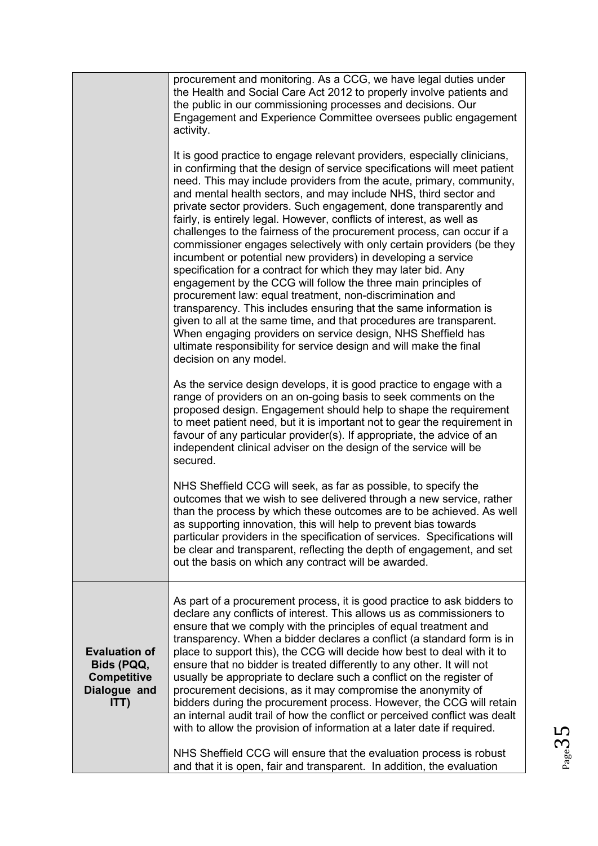|                                                                                  | procurement and monitoring. As a CCG, we have legal duties under                                                                                                                                                                                                                                                                                                                                                                                                                                                                                                                                                                                                                                                                                                                                                                                                                                                                                                                                                                                                                                                                                                               |
|----------------------------------------------------------------------------------|--------------------------------------------------------------------------------------------------------------------------------------------------------------------------------------------------------------------------------------------------------------------------------------------------------------------------------------------------------------------------------------------------------------------------------------------------------------------------------------------------------------------------------------------------------------------------------------------------------------------------------------------------------------------------------------------------------------------------------------------------------------------------------------------------------------------------------------------------------------------------------------------------------------------------------------------------------------------------------------------------------------------------------------------------------------------------------------------------------------------------------------------------------------------------------|
|                                                                                  | the Health and Social Care Act 2012 to properly involve patients and<br>the public in our commissioning processes and decisions. Our<br>Engagement and Experience Committee oversees public engagement<br>activity.                                                                                                                                                                                                                                                                                                                                                                                                                                                                                                                                                                                                                                                                                                                                                                                                                                                                                                                                                            |
|                                                                                  | It is good practice to engage relevant providers, especially clinicians,<br>in confirming that the design of service specifications will meet patient<br>need. This may include providers from the acute, primary, community,<br>and mental health sectors, and may include NHS, third sector and<br>private sector providers. Such engagement, done transparently and<br>fairly, is entirely legal. However, conflicts of interest, as well as<br>challenges to the fairness of the procurement process, can occur if a<br>commissioner engages selectively with only certain providers (be they<br>incumbent or potential new providers) in developing a service<br>specification for a contract for which they may later bid. Any<br>engagement by the CCG will follow the three main principles of<br>procurement law: equal treatment, non-discrimination and<br>transparency. This includes ensuring that the same information is<br>given to all at the same time, and that procedures are transparent.<br>When engaging providers on service design, NHS Sheffield has<br>ultimate responsibility for service design and will make the final<br>decision on any model. |
|                                                                                  | As the service design develops, it is good practice to engage with a<br>range of providers on an on-going basis to seek comments on the<br>proposed design. Engagement should help to shape the requirement<br>to meet patient need, but it is important not to gear the requirement in<br>favour of any particular provider(s). If appropriate, the advice of an<br>independent clinical adviser on the design of the service will be<br>secured.                                                                                                                                                                                                                                                                                                                                                                                                                                                                                                                                                                                                                                                                                                                             |
|                                                                                  | NHS Sheffield CCG will seek, as far as possible, to specify the<br>outcomes that we wish to see delivered through a new service, rather<br>than the process by which these outcomes are to be achieved. As well<br>as supporting innovation, this will help to prevent bias towards<br>particular providers in the specification of services. Specifications will<br>be clear and transparent, reflecting the depth of engagement, and set<br>out the basis on which any contract will be awarded.                                                                                                                                                                                                                                                                                                                                                                                                                                                                                                                                                                                                                                                                             |
| <b>Evaluation of</b><br>Bids (PQQ,<br><b>Competitive</b><br>Dialogue and<br>ITT) | As part of a procurement process, it is good practice to ask bidders to<br>declare any conflicts of interest. This allows us as commissioners to<br>ensure that we comply with the principles of equal treatment and<br>transparency. When a bidder declares a conflict (a standard form is in<br>place to support this), the CCG will decide how best to deal with it to<br>ensure that no bidder is treated differently to any other. It will not<br>usually be appropriate to declare such a conflict on the register of<br>procurement decisions, as it may compromise the anonymity of<br>bidders during the procurement process. However, the CCG will retain<br>an internal audit trail of how the conflict or perceived conflict was dealt<br>with to allow the provision of information at a later date if required.                                                                                                                                                                                                                                                                                                                                                  |
|                                                                                  | NHS Sheffield CCG will ensure that the evaluation process is robust<br>and that it is open, fair and transparent. In addition, the evaluation                                                                                                                                                                                                                                                                                                                                                                                                                                                                                                                                                                                                                                                                                                                                                                                                                                                                                                                                                                                                                                  |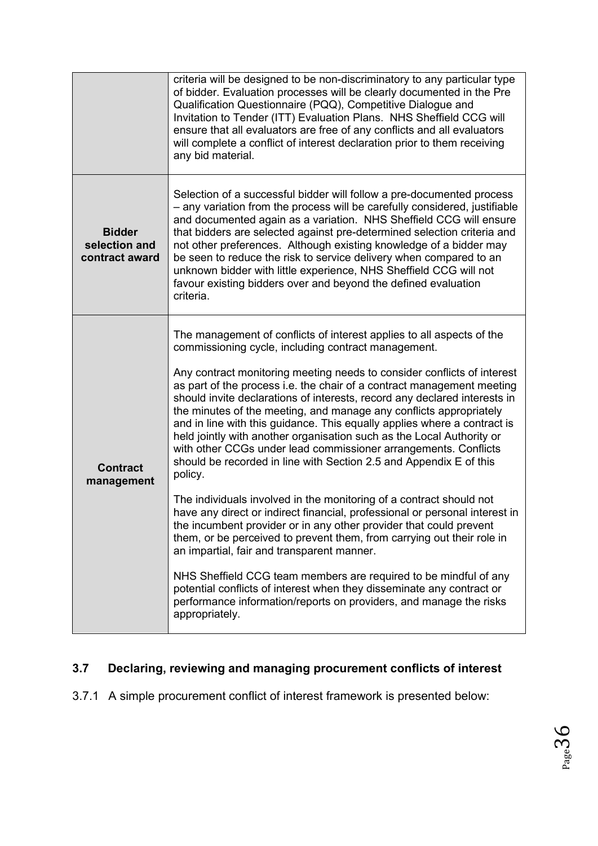|                                                  | criteria will be designed to be non-discriminatory to any particular type<br>of bidder. Evaluation processes will be clearly documented in the Pre<br>Qualification Questionnaire (PQQ), Competitive Dialogue and<br>Invitation to Tender (ITT) Evaluation Plans. NHS Sheffield CCG will<br>ensure that all evaluators are free of any conflicts and all evaluators<br>will complete a conflict of interest declaration prior to them receiving<br>any bid material.                                                                                                                                                                                                                                                                          |
|--------------------------------------------------|-----------------------------------------------------------------------------------------------------------------------------------------------------------------------------------------------------------------------------------------------------------------------------------------------------------------------------------------------------------------------------------------------------------------------------------------------------------------------------------------------------------------------------------------------------------------------------------------------------------------------------------------------------------------------------------------------------------------------------------------------|
| <b>Bidder</b><br>selection and<br>contract award | Selection of a successful bidder will follow a pre-documented process<br>- any variation from the process will be carefully considered, justifiable<br>and documented again as a variation. NHS Sheffield CCG will ensure<br>that bidders are selected against pre-determined selection criteria and<br>not other preferences. Although existing knowledge of a bidder may<br>be seen to reduce the risk to service delivery when compared to an<br>unknown bidder with little experience, NHS Sheffield CCG will not<br>favour existing bidders over and beyond the defined evaluation<br>criteria.                                                                                                                                          |
| <b>Contract</b><br>management                    | The management of conflicts of interest applies to all aspects of the<br>commissioning cycle, including contract management.<br>Any contract monitoring meeting needs to consider conflicts of interest<br>as part of the process i.e. the chair of a contract management meeting<br>should invite declarations of interests, record any declared interests in<br>the minutes of the meeting, and manage any conflicts appropriately<br>and in line with this guidance. This equally applies where a contract is<br>held jointly with another organisation such as the Local Authority or<br>with other CCGs under lead commissioner arrangements. Conflicts<br>should be recorded in line with Section 2.5 and Appendix E of this<br>policy. |
|                                                  | The individuals involved in the monitoring of a contract should not<br>have any direct or indirect financial, professional or personal interest in<br>the incumbent provider or in any other provider that could prevent<br>them, or be perceived to prevent them, from carrying out their role in<br>an impartial, fair and transparent manner.<br>NHS Sheffield CCG team members are required to be mindful of any<br>potential conflicts of interest when they disseminate any contract or<br>performance information/reports on providers, and manage the risks<br>appropriately.                                                                                                                                                         |

## **3.7 Declaring, reviewing and managing procurement conflicts of interest**

3.7.1 A simple procurement conflict of interest framework is presented below: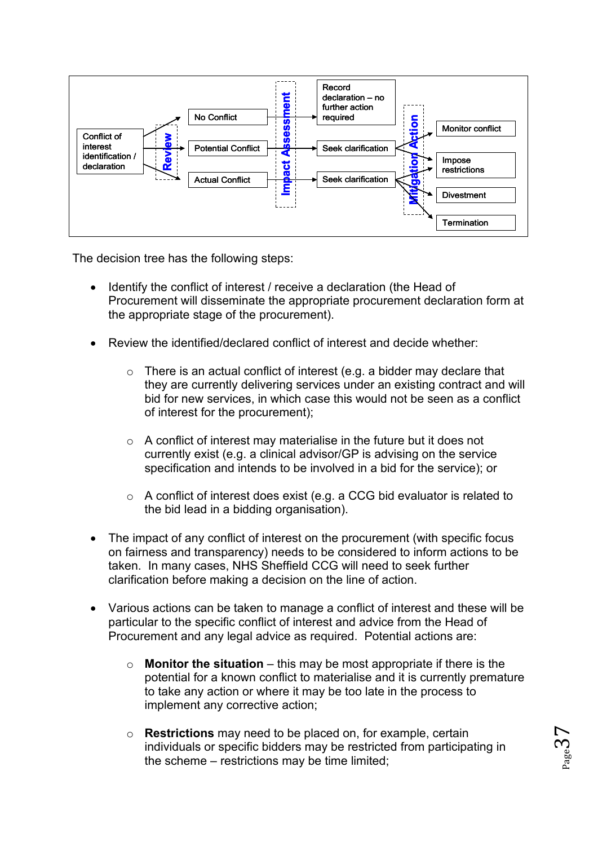

The decision tree has the following steps:

- Identify the conflict of interest / receive a declaration (the Head of Procurement will disseminate the appropriate procurement declaration form at the appropriate stage of the procurement).
- Review the identified/declared conflict of interest and decide whether:
	- o There is an actual conflict of interest (e.g. a bidder may declare that they are currently delivering services under an existing contract and will bid for new services, in which case this would not be seen as a conflict of interest for the procurement);
	- o A conflict of interest may materialise in the future but it does not currently exist (e.g. a clinical advisor/GP is advising on the service specification and intends to be involved in a bid for the service); or
	- $\circ$  A conflict of interest does exist (e.g. a CCG bid evaluator is related to the bid lead in a bidding organisation).
- The impact of any conflict of interest on the procurement (with specific focus on fairness and transparency) needs to be considered to inform actions to be taken. In many cases, NHS Sheffield CCG will need to seek further clarification before making a decision on the line of action.
- Various actions can be taken to manage a conflict of interest and these will be particular to the specific conflict of interest and advice from the Head of Procurement and any legal advice as required. Potential actions are:
	- o **Monitor the situation** this may be most appropriate if there is the potential for a known conflict to materialise and it is currently premature to take any action or where it may be too late in the process to implement any corrective action;
	- o **Restrictions** may need to be placed on, for example, certain individuals or specific bidders may be restricted from participating in the scheme – restrictions may be time limited;

 $_{\rm Page}$ 37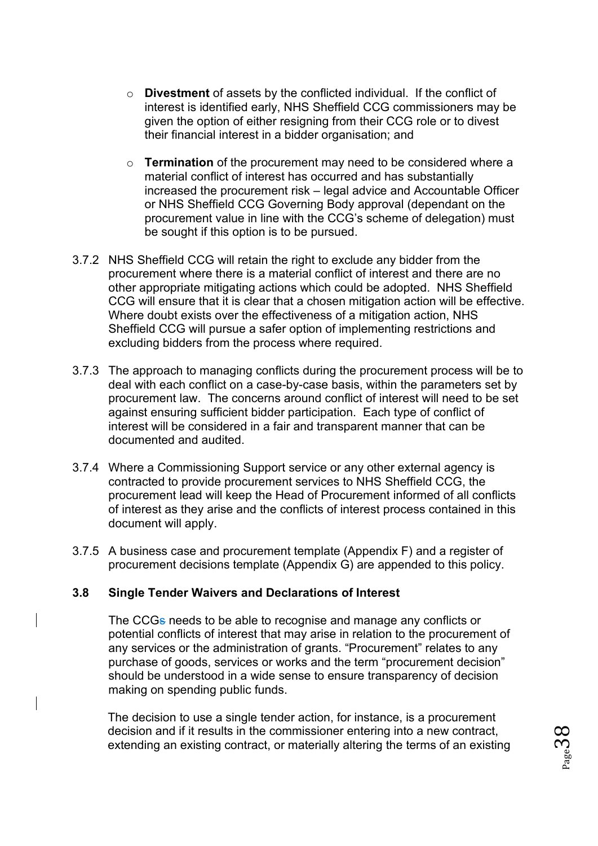- o **Divestment** of assets by the conflicted individual. If the conflict of interest is identified early, NHS Sheffield CCG commissioners may be given the option of either resigning from their CCG role or to divest their financial interest in a bidder organisation; and
- o **Termination** of the procurement may need to be considered where a material conflict of interest has occurred and has substantially increased the procurement risk – legal advice and Accountable Officer or NHS Sheffield CCG Governing Body approval (dependant on the procurement value in line with the CCG's scheme of delegation) must be sought if this option is to be pursued.
- 3.7.2 NHS Sheffield CCG will retain the right to exclude any bidder from the procurement where there is a material conflict of interest and there are no other appropriate mitigating actions which could be adopted. NHS Sheffield CCG will ensure that it is clear that a chosen mitigation action will be effective. Where doubt exists over the effectiveness of a mitigation action, NHS Sheffield CCG will pursue a safer option of implementing restrictions and excluding bidders from the process where required.
- 3.7.3 The approach to managing conflicts during the procurement process will be to deal with each conflict on a case-by-case basis, within the parameters set by procurement law. The concerns around conflict of interest will need to be set against ensuring sufficient bidder participation. Each type of conflict of interest will be considered in a fair and transparent manner that can be documented and audited.
- 3.7.4 Where a Commissioning Support service or any other external agency is contracted to provide procurement services to NHS Sheffield CCG, the procurement lead will keep the Head of Procurement informed of all conflicts of interest as they arise and the conflicts of interest process contained in this document will apply.
- 3.7.5 A business case and procurement template (Appendix F) and a register of procurement decisions template (Appendix G) are appended to this policy.

## **3.8 Single Tender Waivers and Declarations of Interest**

The CCGs needs to be able to recognise and manage any conflicts or potential conflicts of interest that may arise in relation to the procurement of any services or the administration of grants. "Procurement" relates to any purchase of goods, services or works and the term "procurement decision" should be understood in a wide sense to ensure transparency of decision making on spending public funds.

The decision to use a single tender action, for instance, is a procurement decision and if it results in the commissioner entering into a new contract, extending an existing contract, or materially altering the terms of an existing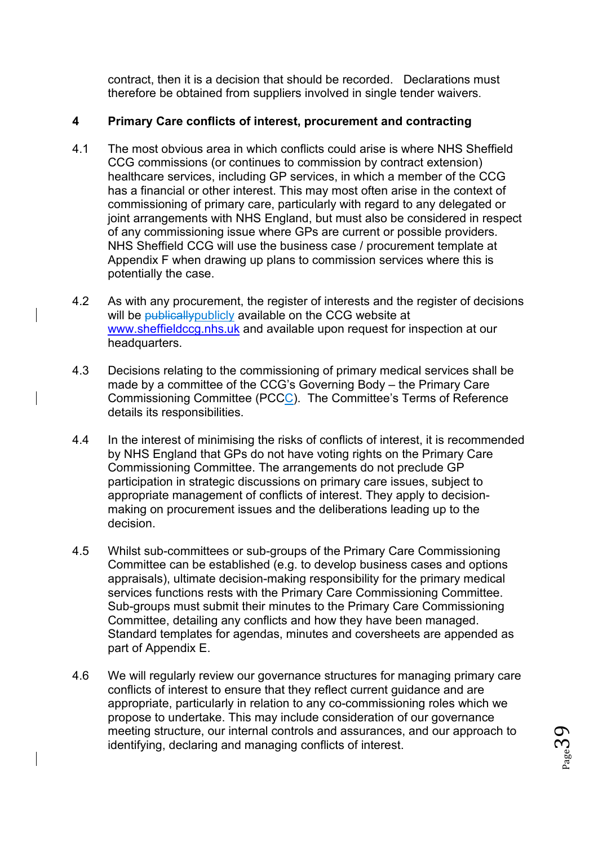contract, then it is a decision that should be recorded. Declarations must therefore be obtained from suppliers involved in single tender waivers.

## **4 Primary Care conflicts of interest, procurement and contracting**

- 4.1 The most obvious area in which conflicts could arise is where NHS Sheffield CCG commissions (or continues to commission by contract extension) healthcare services, including GP services, in which a member of the CCG has a financial or other interest. This may most often arise in the context of commissioning of primary care, particularly with regard to any delegated or joint arrangements with NHS England, but must also be considered in respect of any commissioning issue where GPs are current or possible providers. NHS Sheffield CCG will use the business case / procurement template at Appendix F when drawing up plans to commission services where this is potentially the case.
- 4.2 As with any procurement, the register of interests and the register of decisions will be publically publicly available on the CCG website at [www.sheffieldccg.nhs.uk](http://www.sheffieldccg.nhs.uk/) and available upon request for inspection at our headquarters.
- 4.3 Decisions relating to the commissioning of primary medical services shall be made by a committee of the CCG's Governing Body – the Primary Care Commissioning Committee (PCCC). The Committee's Terms of Reference details its responsibilities.
- 4.4 In the interest of minimising the risks of conflicts of interest, it is recommended by NHS England that GPs do not have voting rights on the Primary Care Commissioning Committee. The arrangements do not preclude GP participation in strategic discussions on primary care issues, subject to appropriate management of conflicts of interest. They apply to decisionmaking on procurement issues and the deliberations leading up to the decision.
- 4.5 Whilst sub-committees or sub-groups of the Primary Care Commissioning Committee can be established (e.g. to develop business cases and options appraisals), ultimate decision-making responsibility for the primary medical services functions rests with the Primary Care Commissioning Committee. Sub-groups must submit their minutes to the Primary Care Commissioning Committee, detailing any conflicts and how they have been managed. Standard templates for agendas, minutes and coversheets are appended as part of Appendix E.
- 4.6 We will regularly review our governance structures for managing primary care conflicts of interest to ensure that they reflect current guidance and are appropriate, particularly in relation to any co-commissioning roles which we propose to undertake. This may include consideration of our governance meeting structure, our internal controls and assurances, and our approach to identifying, declaring and managing conflicts of interest.

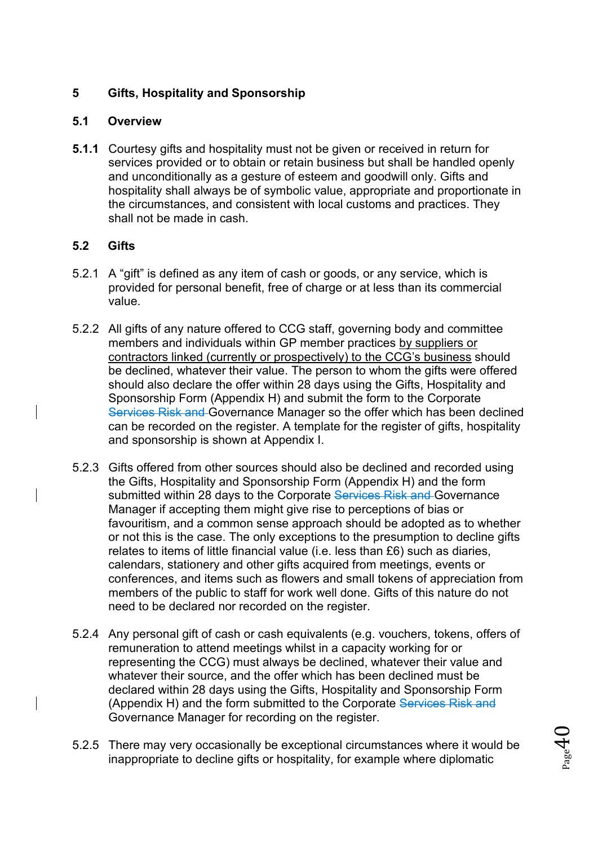## **5 Gifts, Hospitality and Sponsorship**

## **5.1 Overview**

**5.1.1** Courtesy gifts and hospitality must not be given or received in return for services provided or to obtain or retain business but shall be handled openly and unconditionally as a gesture of esteem and goodwill only. Gifts and hospitality shall always be of symbolic value, appropriate and proportionate in the circumstances, and consistent with local customs and practices. They shall not be made in cash.

### **5.2 Gifts**

- 5.2.1 A "gift" is defined as any item of cash or goods, or any service, which is provided for personal benefit, free of charge or at less than its commercial value.
- 5.2.2 All gifts of any nature offered to CCG staff, governing body and committee members and individuals within GP member practices by suppliers or contractors linked (currently or prospectively) to the CCG's business should be declined, whatever their value. The person to whom the gifts were offered should also declare the offer within 28 days using the Gifts, Hospitality and Sponsorship Form (Appendix H) and submit the form to the Corporate Services Risk and Governance Manager so the offer which has been declined can be recorded on the register. A template for the register of gifts, hospitality and sponsorship is shown at Appendix I.
- 5.2.3 Gifts offered from other sources should also be declined and recorded using the Gifts, Hospitality and Sponsorship Form (Appendix H) and the form submitted within 28 days to the Corporate Services Risk and Governance Manager if accepting them might give rise to perceptions of bias or favouritism, and a common sense approach should be adopted as to whether or not this is the case. The only exceptions to the presumption to decline gifts relates to items of little financial value (i.e. less than £6) such as diaries, calendars, stationery and other gifts acquired from meetings, events or conferences, and items such as flowers and small tokens of appreciation from members of the public to staff for work well done. Gifts of this nature do not need to be declared nor recorded on the register.
- 5.2.4 Any personal gift of cash or cash equivalents (e.g. vouchers, tokens, offers of remuneration to attend meetings whilst in a capacity working for or representing the CCG) must always be declined, whatever their value and whatever their source, and the offer which has been declined must be declared within 28 days using the Gifts, Hospitality and Sponsorship Form (Appendix H) and the form submitted to the Corporate Services Risk and Governance Manager for recording on the register.
- 5.2.5 There may very occasionally be exceptional circumstances where it would be inappropriate to decline gifts or hospitality, for example where diplomatic

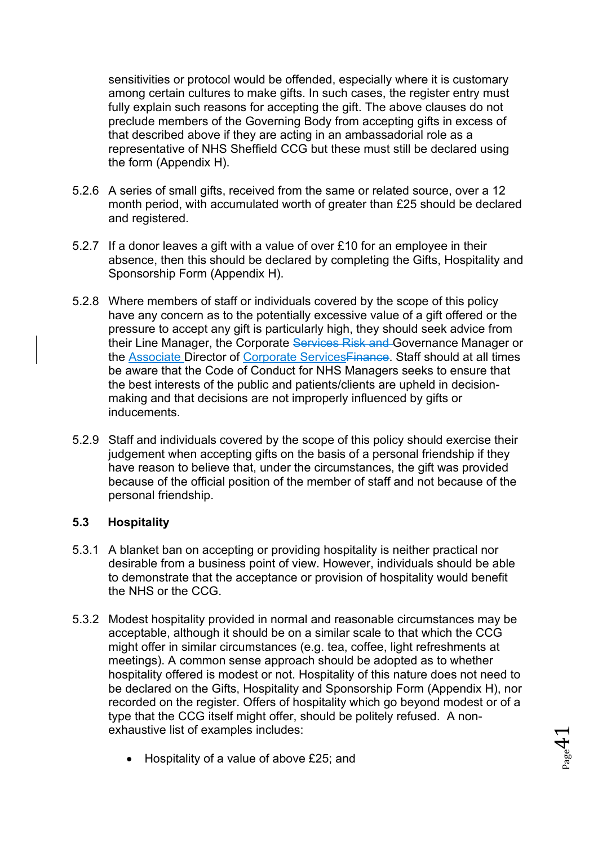sensitivities or protocol would be offended, especially where it is customary among certain cultures to make gifts. In such cases, the register entry must fully explain such reasons for accepting the gift. The above clauses do not preclude members of the Governing Body from accepting gifts in excess of that described above if they are acting in an ambassadorial role as a representative of NHS Sheffield CCG but these must still be declared using the form (Appendix H).

- 5.2.6 A series of small gifts, received from the same or related source, over a 12 month period, with accumulated worth of greater than £25 should be declared and registered.
- 5.2.7 If a donor leaves a gift with a value of over £10 for an employee in their absence, then this should be declared by completing the Gifts, Hospitality and Sponsorship Form (Appendix H).
- 5.2.8 Where members of staff or individuals covered by the scope of this policy have any concern as to the potentially excessive value of a gift offered or the pressure to accept any gift is particularly high, they should seek advice from their Line Manager, the Corporate Services Risk and Governance Manager or the Associate Director of Corporate ServicesFinance. Staff should at all times be aware that the Code of Conduct for NHS Managers seeks to ensure that the best interests of the public and patients/clients are upheld in decisionmaking and that decisions are not improperly influenced by gifts or inducements.
- 5.2.9 Staff and individuals covered by the scope of this policy should exercise their judgement when accepting gifts on the basis of a personal friendship if they have reason to believe that, under the circumstances, the gift was provided because of the official position of the member of staff and not because of the personal friendship.

#### **5.3 Hospitality**

- 5.3.1 A blanket ban on accepting or providing hospitality is neither practical nor desirable from a business point of view. However, individuals should be able to demonstrate that the acceptance or provision of hospitality would benefit the NHS or the CCG.
- 5.3.2 Modest hospitality provided in normal and reasonable circumstances may be acceptable, although it should be on a similar scale to that which the CCG might offer in similar circumstances (e.g. tea, coffee, light refreshments at meetings). A common sense approach should be adopted as to whether hospitality offered is modest or not. Hospitality of this nature does not need to be declared on the Gifts, Hospitality and Sponsorship Form (Appendix H), nor recorded on the register. Offers of hospitality which go beyond modest or of a type that the CCG itself might offer, should be politely refused. A nonexhaustive list of examples includes:

 $_{\rm Page}$ 41

• Hospitality of a value of above £25; and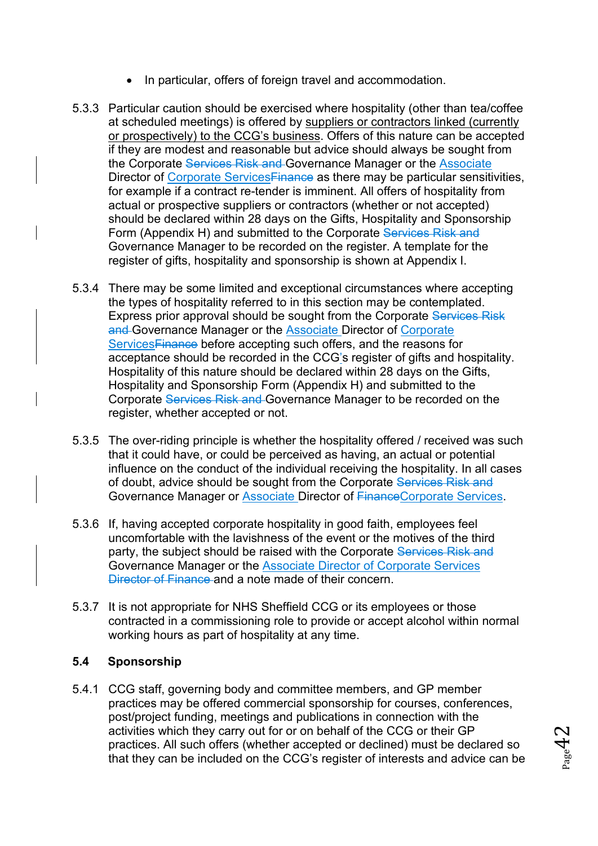- In particular, offers of foreign travel and accommodation.
- 5.3.3 Particular caution should be exercised where hospitality (other than tea/coffee at scheduled meetings) is offered by suppliers or contractors linked (currently or prospectively) to the CCG's business. Offers of this nature can be accepted if they are modest and reasonable but advice should always be sought from the Corporate Services Risk and Governance Manager or the Associate Director of Corporate Services Finance as there may be particular sensitivities, for example if a contract re-tender is imminent. All offers of hospitality from actual or prospective suppliers or contractors (whether or not accepted) should be declared within 28 days on the Gifts, Hospitality and Sponsorship Form (Appendix H) and submitted to the Corporate Services Risk and Governance Manager to be recorded on the register. A template for the register of gifts, hospitality and sponsorship is shown at Appendix I.
- 5.3.4 There may be some limited and exceptional circumstances where accepting the types of hospitality referred to in this section may be contemplated. Express prior approval should be sought from the Corporate Services Risk and Governance Manager or the Associate Director of Corporate ServicesFinance before accepting such offers, and the reasons for acceptance should be recorded in the CCG's register of gifts and hospitality. Hospitality of this nature should be declared within 28 days on the Gifts, Hospitality and Sponsorship Form (Appendix H) and submitted to the Corporate Services Risk and Governance Manager to be recorded on the register, whether accepted or not.
- 5.3.5 The over-riding principle is whether the hospitality offered / received was such that it could have, or could be perceived as having, an actual or potential influence on the conduct of the individual receiving the hospitality. In all cases of doubt, advice should be sought from the Corporate Services Risk and Governance Manager or Associate Director of FinanceCorporate Services.
- 5.3.6 If, having accepted corporate hospitality in good faith, employees feel uncomfortable with the lavishness of the event or the motives of the third party, the subject should be raised with the Corporate Services Risk and Governance Manager or the Associate Director of Corporate Services Director of Finance and a note made of their concern.
- 5.3.7 It is not appropriate for NHS Sheffield CCG or its employees or those contracted in a commissioning role to provide or accept alcohol within normal working hours as part of hospitality at any time.

## **5.4 Sponsorship**

5.4.1 CCG staff, governing body and committee members, and GP member practices may be offered commercial sponsorship for courses, conferences, post/project funding, meetings and publications in connection with the activities which they carry out for or on behalf of the CCG or their GP practices. All such offers (whether accepted or declined) must be declared so that they can be included on the CCG's register of interests and advice can be

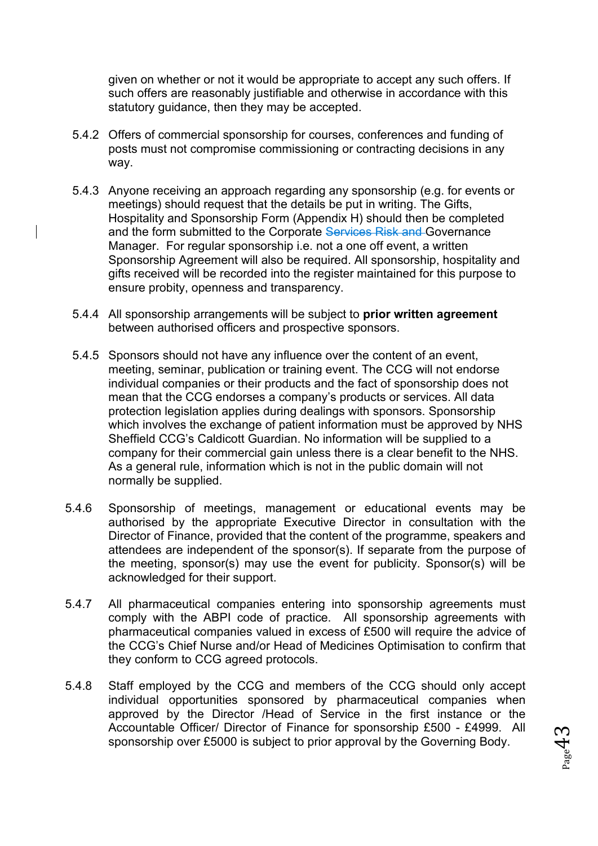given on whether or not it would be appropriate to accept any such offers. If such offers are reasonably justifiable and otherwise in accordance with this statutory guidance, then they may be accepted.

- 5.4.2 Offers of commercial sponsorship for courses, conferences and funding of posts must not compromise commissioning or contracting decisions in any way.
- 5.4.3 Anyone receiving an approach regarding any sponsorship (e.g. for events or meetings) should request that the details be put in writing. The Gifts, Hospitality and Sponsorship Form (Appendix H) should then be completed and the form submitted to the Corporate Services Risk and Governance Manager. For regular sponsorship i.e. not a one off event, a written Sponsorship Agreement will also be required. All sponsorship, hospitality and gifts received will be recorded into the register maintained for this purpose to ensure probity, openness and transparency.
- 5.4.4 All sponsorship arrangements will be subject to **prior written agreement**  between authorised officers and prospective sponsors.
- 5.4.5 Sponsors should not have any influence over the content of an event, meeting, seminar, publication or training event. The CCG will not endorse individual companies or their products and the fact of sponsorship does not mean that the CCG endorses a company's products or services. All data protection legislation applies during dealings with sponsors. Sponsorship which involves the exchange of patient information must be approved by NHS Sheffield CCG's Caldicott Guardian. No information will be supplied to a company for their commercial gain unless there is a clear benefit to the NHS. As a general rule, information which is not in the public domain will not normally be supplied.
- 5.4.6 Sponsorship of meetings, management or educational events may be authorised by the appropriate Executive Director in consultation with the Director of Finance, provided that the content of the programme, speakers and attendees are independent of the sponsor(s). If separate from the purpose of the meeting, sponsor(s) may use the event for publicity. Sponsor(s) will be acknowledged for their support.
- 5.4.7 All pharmaceutical companies entering into sponsorship agreements must comply with the ABPI code of practice. All sponsorship agreements with pharmaceutical companies valued in excess of £500 will require the advice of the CCG's Chief Nurse and/or Head of Medicines Optimisation to confirm that they conform to CCG agreed protocols.
- 5.4.8 Staff employed by the CCG and members of the CCG should only accept individual opportunities sponsored by pharmaceutical companies when approved by the Director /Head of Service in the first instance or the Accountable Officer/ Director of Finance for sponsorship £500 - £4999. All sponsorship over £5000 is subject to prior approval by the Governing Body.

 $_{\rm Page}$ 43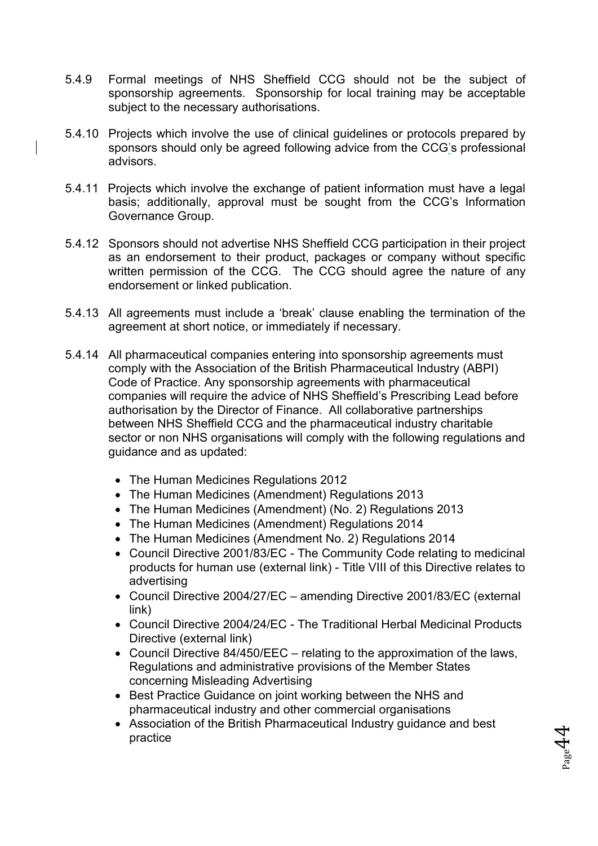- 5.4.9 Formal meetings of NHS Sheffield CCG should not be the subject of sponsorship agreements. Sponsorship for local training may be acceptable subject to the necessary authorisations.
- 5.4.10 Projects which involve the use of clinical guidelines or protocols prepared by sponsors should only be agreed following advice from the CCG's professional advisors.
- 5.4.11 Projects which involve the exchange of patient information must have a legal basis; additionally, approval must be sought from the CCG's Information Governance Group.
- 5.4.12 Sponsors should not advertise NHS Sheffield CCG participation in their project as an endorsement to their product, packages or company without specific written permission of the CCG. The CCG should agree the nature of any endorsement or linked publication.
- 5.4.13 All agreements must include a 'break' clause enabling the termination of the agreement at short notice, or immediately if necessary.
- 5.4.14 All pharmaceutical companies entering into sponsorship agreements must comply with the Association of the British Pharmaceutical Industry (ABPI) Code of Practice. Any sponsorship agreements with pharmaceutical companies will require the advice of NHS Sheffield's Prescribing Lead before authorisation by the Director of Finance. All collaborative partnerships between NHS Sheffield CCG and the pharmaceutical industry charitable sector or non NHS organisations will comply with the following regulations and guidance and as updated:
	- The Human Medicines Regulations 2012
	- The Human Medicines (Amendment) Regulations 2013
	- The Human Medicines (Amendment) (No. 2) Regulations 2013
	- The Human Medicines (Amendment) Regulations 2014
	- The Human Medicines (Amendment No. 2) Regulations 2014
	- Council Directive 2001/83/EC The Community Code relating to medicinal products for human use (external link) - Title VIII of this Directive relates to advertising
	- Council Directive 2004/27/EC amending Directive 2001/83/EC (external link)
	- Council Directive 2004/24/EC The Traditional Herbal Medicinal Products Directive (external link)
	- Council Directive 84/450/EEC relating to the approximation of the laws, Regulations and administrative provisions of the Member States concerning Misleading Advertising
	- Best Practice Guidance on joint working between the NHS and pharmaceutical industry and other commercial organisations
	- Association of the British Pharmaceutical Industry guidance and best practice

 $_{\rm Page}44$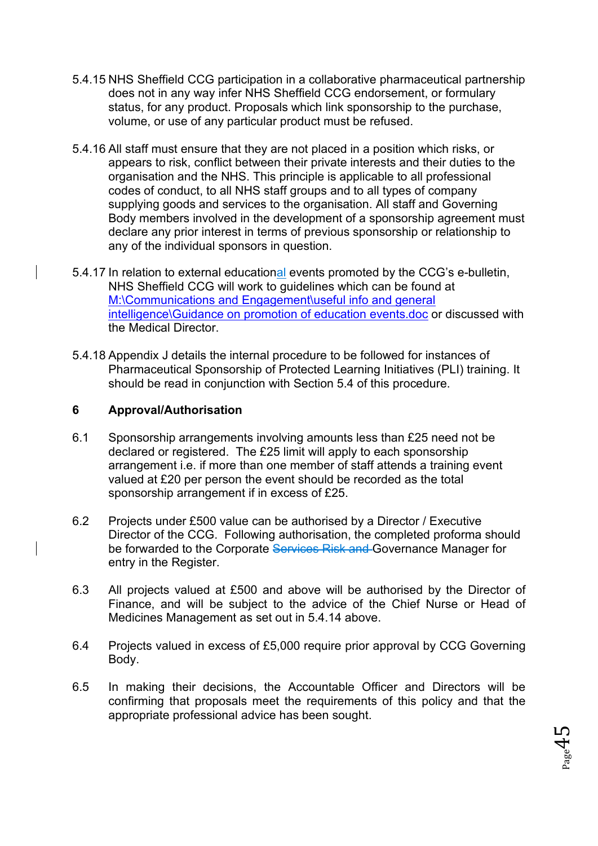- 5.4.15 NHS Sheffield CCG participation in a collaborative pharmaceutical partnership does not in any way infer NHS Sheffield CCG endorsement, or formulary status, for any product. Proposals which link sponsorship to the purchase, volume, or use of any particular product must be refused.
- 5.4.16 All staff must ensure that they are not placed in a position which risks, or appears to risk, conflict between their private interests and their duties to the organisation and the NHS. This principle is applicable to all professional codes of conduct, to all NHS staff groups and to all types of company supplying goods and services to the organisation. All staff and Governing Body members involved in the development of a sponsorship agreement must declare any prior interest in terms of previous sponsorship or relationship to any of the individual sponsors in question.
- 5.4.17 In relation to external educational events promoted by the CCG's e-bulletin, NHS Sheffield CCG will work to guidelines which can be found at [M:\Communications and Engagement\useful info and](file://gordon/shared_shccg/Communications%20and%20Engagement/useful%20info%20&%20general%20intelligence/Guidance%20on%20promotion%20of%20education%20events.doc) general [intelligence\Guidance on promotion of education events.doc](file://gordon/shared_shccg/Communications%20and%20Engagement/useful%20info%20&%20general%20intelligence/Guidance%20on%20promotion%20of%20education%20events.doc) or discussed with the Medical Director.
- 5.4.18 Appendix J details the internal procedure to be followed for instances of Pharmaceutical Sponsorship of Protected Learning Initiatives (PLI) training. It should be read in conjunction with Section 5.4 of this procedure.

### **6 Approval/Authorisation**

- 6.1 Sponsorship arrangements involving amounts less than £25 need not be declared or registered. The £25 limit will apply to each sponsorship arrangement i.e. if more than one member of staff attends a training event valued at £20 per person the event should be recorded as the total sponsorship arrangement if in excess of £25.
- 6.2 Projects under £500 value can be authorised by a Director / Executive Director of the CCG. Following authorisation, the completed proforma should be forwarded to the Corporate Services Risk and Governance Manager for entry in the Register.
- 6.3 All projects valued at £500 and above will be authorised by the Director of Finance, and will be subject to the advice of the Chief Nurse or Head of Medicines Management as set out in 5.4.14 above.
- 6.4 Projects valued in excess of £5,000 require prior approval by CCG Governing Body.
- 6.5 In making their decisions, the Accountable Officer and Directors will be confirming that proposals meet the requirements of this policy and that the appropriate professional advice has been sought.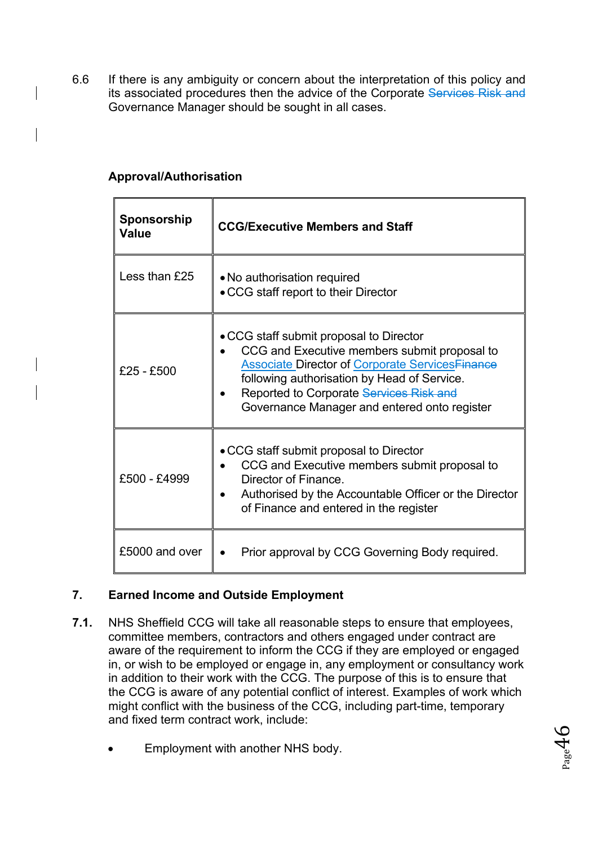6.6 If there is any ambiguity or concern about the interpretation of this policy and its associated procedures then the advice of the Corporate Services Risk and Governance Manager should be sought in all cases.

### **Approval/Authorisation**

| Sponsorship<br>Value | <b>CCG/Executive Members and Staff</b>                                                                                                                                                                                                                                                       |
|----------------------|----------------------------------------------------------------------------------------------------------------------------------------------------------------------------------------------------------------------------------------------------------------------------------------------|
| Less than £25        | • No authorisation required<br>• CCG staff report to their Director                                                                                                                                                                                                                          |
| £25 - £500           | • CCG staff submit proposal to Director<br>CCG and Executive members submit proposal to<br><b>Associate Director of Corporate Services Finance</b><br>following authorisation by Head of Service.<br>Reported to Corporate Services Risk and<br>Governance Manager and entered onto register |
| £500 - £4999         | • CCG staff submit proposal to Director<br>CCG and Executive members submit proposal to<br>Director of Finance.<br>Authorised by the Accountable Officer or the Director<br>of Finance and entered in the register                                                                           |
| £5000 and over       | Prior approval by CCG Governing Body required.                                                                                                                                                                                                                                               |

## **7. Earned Income and Outside Employment**

- **7.1.** NHS Sheffield CCG will take all reasonable steps to ensure that employees, committee members, contractors and others engaged under contract are aware of the requirement to inform the CCG if they are employed or engaged in, or wish to be employed or engage in, any employment or consultancy work in addition to their work with the CCG. The purpose of this is to ensure that the CCG is aware of any potential conflict of interest. Examples of work which might conflict with the business of the CCG, including part-time, temporary and fixed term contract work, include:
	- Employment with another NHS body.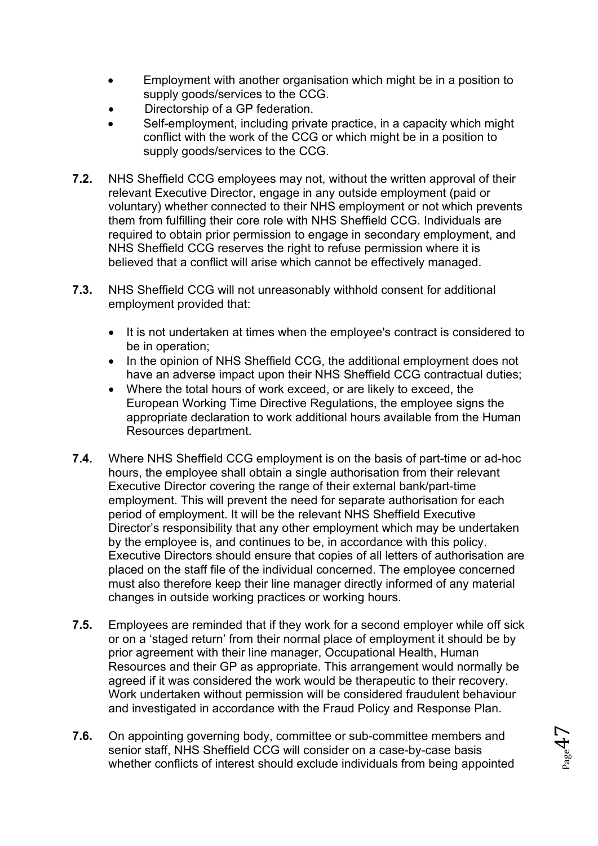- Employment with another organisation which might be in a position to supply goods/services to the CCG.
- Directorship of a GP federation.
- Self-employment, including private practice, in a capacity which might conflict with the work of the CCG or which might be in a position to supply goods/services to the CCG.
- **7.2.** NHS Sheffield CCG employees may not, without the written approval of their relevant Executive Director, engage in any outside employment (paid or voluntary) whether connected to their NHS employment or not which prevents them from fulfilling their core role with NHS Sheffield CCG. Individuals are required to obtain prior permission to engage in secondary employment, and NHS Sheffield CCG reserves the right to refuse permission where it is believed that a conflict will arise which cannot be effectively managed.
- **7.3.** NHS Sheffield CCG will not unreasonably withhold consent for additional employment provided that:
	- It is not undertaken at times when the employee's contract is considered to be in operation;
	- In the opinion of NHS Sheffield CCG, the additional employment does not have an adverse impact upon their NHS Sheffield CCG contractual duties;
	- Where the total hours of work exceed, or are likely to exceed, the European Working Time Directive Regulations, the employee signs the appropriate declaration to work additional hours available from the Human Resources department.
- **7.4.** Where NHS Sheffield CCG employment is on the basis of part-time or ad-hoc hours, the employee shall obtain a single authorisation from their relevant Executive Director covering the range of their external bank/part-time employment. This will prevent the need for separate authorisation for each period of employment. It will be the relevant NHS Sheffield Executive Director's responsibility that any other employment which may be undertaken by the employee is, and continues to be, in accordance with this policy. Executive Directors should ensure that copies of all letters of authorisation are placed on the staff file of the individual concerned. The employee concerned must also therefore keep their line manager directly informed of any material changes in outside working practices or working hours.
- **7.5.** Employees are reminded that if they work for a second employer while off sick or on a 'staged return' from their normal place of employment it should be by prior agreement with their line manager, Occupational Health, Human Resources and their GP as appropriate. This arrangement would normally be agreed if it was considered the work would be therapeutic to their recovery. Work undertaken without permission will be considered fraudulent behaviour and investigated in accordance with the Fraud Policy and Response Plan.
- **7.6.** On appointing governing body, committee or sub-committee members and senior staff, NHS Sheffield CCG will consider on a case-by-case basis whether conflicts of interest should exclude individuals from being appointed

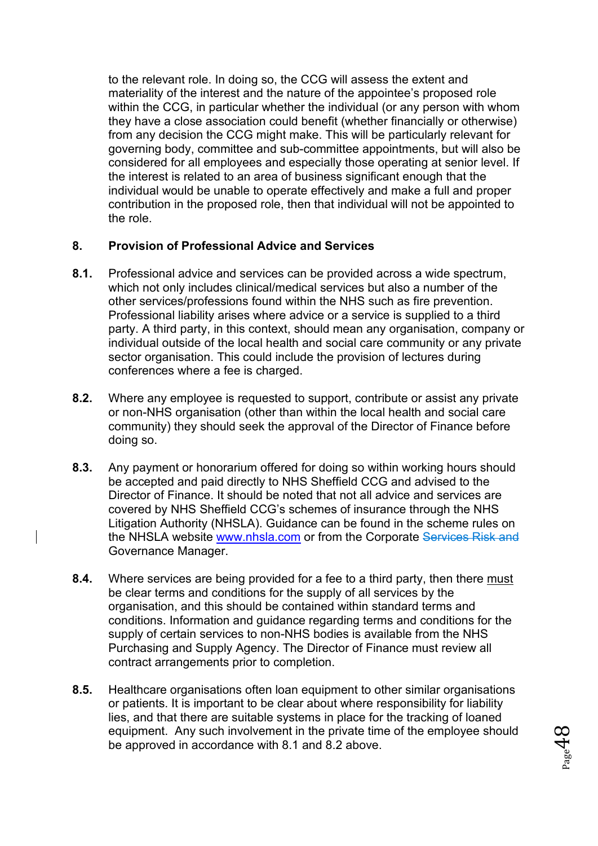to the relevant role. In doing so, the CCG will assess the extent and materiality of the interest and the nature of the appointee's proposed role within the CCG, in particular whether the individual (or any person with whom they have a close association could benefit (whether financially or otherwise) from any decision the CCG might make. This will be particularly relevant for governing body, committee and sub-committee appointments, but will also be considered for all employees and especially those operating at senior level. If the interest is related to an area of business significant enough that the individual would be unable to operate effectively and make a full and proper contribution in the proposed role, then that individual will not be appointed to the role.

#### **8. Provision of Professional Advice and Services**

- **8.1.** Professional advice and services can be provided across a wide spectrum, which not only includes clinical/medical services but also a number of the other services/professions found within the NHS such as fire prevention. Professional liability arises where advice or a service is supplied to a third party. A third party, in this context, should mean any organisation, company or individual outside of the local health and social care community or any private sector organisation. This could include the provision of lectures during conferences where a fee is charged.
- **8.2.** Where any employee is requested to support, contribute or assist any private or non-NHS organisation (other than within the local health and social care community) they should seek the approval of the Director of Finance before doing so.
- **8.3.** Any payment or honorarium offered for doing so within working hours should be accepted and paid directly to NHS Sheffield CCG and advised to the Director of Finance. It should be noted that not all advice and services are covered by NHS Sheffield CCG's schemes of insurance through the NHS Litigation Authority (NHSLA). Guidance can be found in the scheme rules on the NHSLA website [www.nhsla.com](http://www.nhsla.com/) or from the Corporate Services Risk and Governance Manager.
- **8.4.** Where services are being provided for a fee to a third party, then there must be clear terms and conditions for the supply of all services by the organisation, and this should be contained within standard terms and conditions. Information and guidance regarding terms and conditions for the supply of certain services to non-NHS bodies is available from the NHS Purchasing and Supply Agency. The Director of Finance must review all contract arrangements prior to completion.
- **8.5.** Healthcare organisations often loan equipment to other similar organisations or patients. It is important to be clear about where responsibility for liability lies, and that there are suitable systems in place for the tracking of loaned equipment. Any such involvement in the private time of the employee should be approved in accordance with 8.1 and 8.2 above.

 $_{\rm Page}$ 48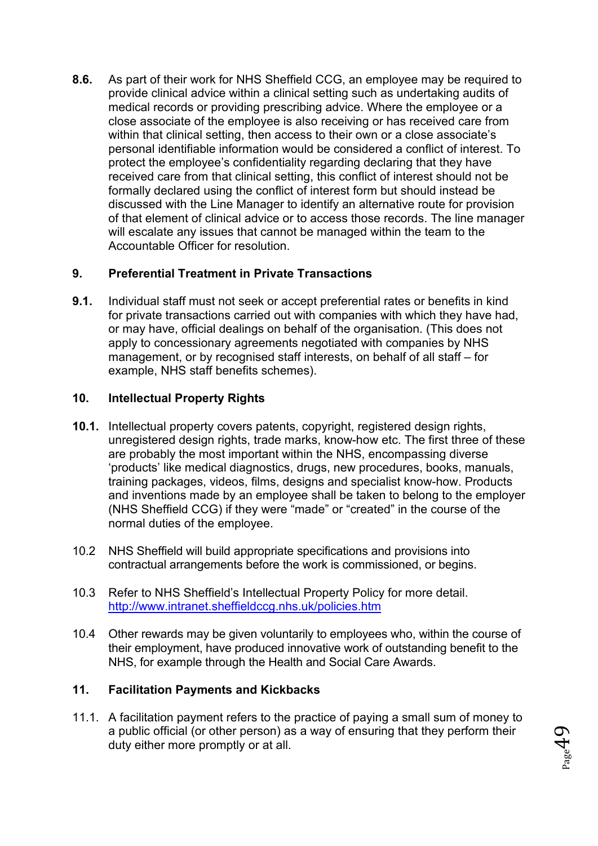**8.6.** As part of their work for NHS Sheffield CCG, an employee may be required to provide clinical advice within a clinical setting such as undertaking audits of medical records or providing prescribing advice. Where the employee or a close associate of the employee is also receiving or has received care from within that clinical setting, then access to their own or a close associate's personal identifiable information would be considered a conflict of interest. To protect the employee's confidentiality regarding declaring that they have received care from that clinical setting, this conflict of interest should not be formally declared using the conflict of interest form but should instead be discussed with the Line Manager to identify an alternative route for provision of that element of clinical advice or to access those records. The line manager will escalate any issues that cannot be managed within the team to the Accountable Officer for resolution.

### **9. Preferential Treatment in Private Transactions**

**9.1.** Individual staff must not seek or accept preferential rates or benefits in kind for private transactions carried out with companies with which they have had, or may have, official dealings on behalf of the organisation. (This does not apply to concessionary agreements negotiated with companies by NHS management, or by recognised staff interests, on behalf of all staff – for example, NHS staff benefits schemes).

#### **10. Intellectual Property Rights**

- **10.1.** Intellectual property covers patents, copyright, registered design rights, unregistered design rights, trade marks, know-how etc. The first three of these are probably the most important within the NHS, encompassing diverse 'products' like medical diagnostics, drugs, new procedures, books, manuals, training packages, videos, films, designs and specialist know-how. Products and inventions made by an employee shall be taken to belong to the employer (NHS Sheffield CCG) if they were "made" or "created" in the course of the normal duties of the employee.
- 10.2 NHS Sheffield will build appropriate specifications and provisions into contractual arrangements before the work is commissioned, or begins.
- 10.3 Refer to NHS Sheffield's Intellectual Property Policy for more detail. <http://www.intranet.sheffieldccg.nhs.uk/policies.htm>
- 10.4 Other rewards may be given voluntarily to employees who, within the course of their employment, have produced innovative work of outstanding benefit to the NHS, for example through the Health and Social Care Awards.

#### **11. Facilitation Payments and Kickbacks**

11.1. A facilitation payment refers to the practice of paying a small sum of money to a public official (or other person) as a way of ensuring that they perform their duty either more promptly or at all.

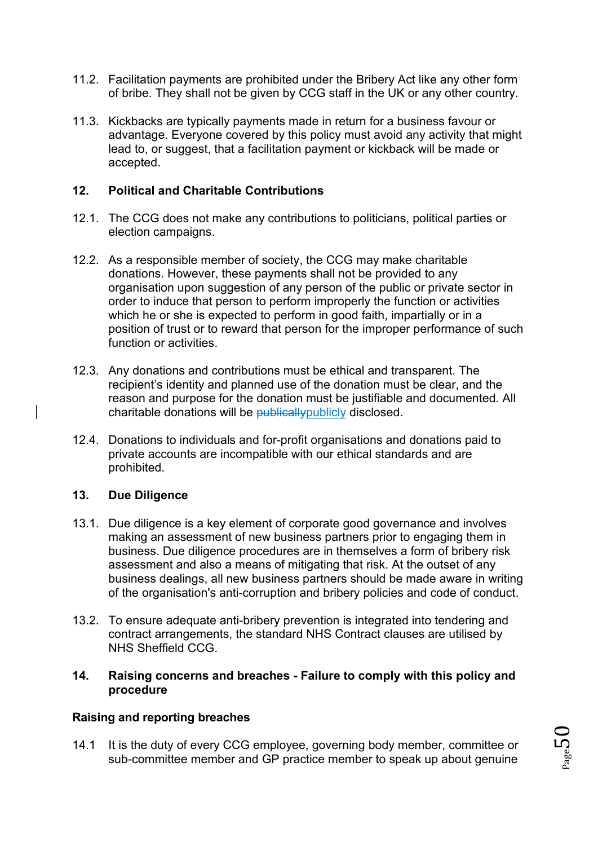- 11.2. Facilitation payments are prohibited under the Bribery Act like any other form of bribe. They shall not be given by CCG staff in the UK or any other country.
- 11.3. Kickbacks are typically payments made in return for a business favour or advantage. Everyone covered by this policy must avoid any activity that might lead to, or suggest, that a facilitation payment or kickback will be made or accepted.

### **12. Political and Charitable Contributions**

- 12.1. The CCG does not make any contributions to politicians, political parties or election campaigns.
- 12.2. As a responsible member of society, the CCG may make charitable donations. However, these payments shall not be provided to any organisation upon suggestion of any person of the public or private sector in order to induce that person to perform improperly the function or activities which he or she is expected to perform in good faith, impartially or in a position of trust or to reward that person for the improper performance of such function or activities.
- 12.3. Any donations and contributions must be ethical and transparent. The recipient's identity and planned use of the donation must be clear, and the reason and purpose for the donation must be justifiable and documented. All charitable donations will be publically publicly disclosed.
- 12.4. Donations to individuals and for-profit organisations and donations paid to private accounts are incompatible with our ethical standards and are prohibited.

## **13. Due Diligence**

- 13.1. Due diligence is a key element of corporate good governance and involves making an assessment of new business partners prior to engaging them in business. Due diligence procedures are in themselves a form of bribery risk assessment and also a means of mitigating that risk. At the outset of any business dealings, all new business partners should be made aware in writing of the organisation's anti-corruption and bribery policies and code of conduct.
- 13.2. To ensure adequate anti-bribery prevention is integrated into tendering and contract arrangements, the standard NHS Contract clauses are utilised by NHS Sheffield CCG.

#### **14. Raising concerns and breaches - Failure to comply with this policy and procedure**

#### **Raising and reporting breaches**

14.1 It is the duty of every CCG employee, governing body member, committee or sub-committee member and GP practice member to speak up about genuine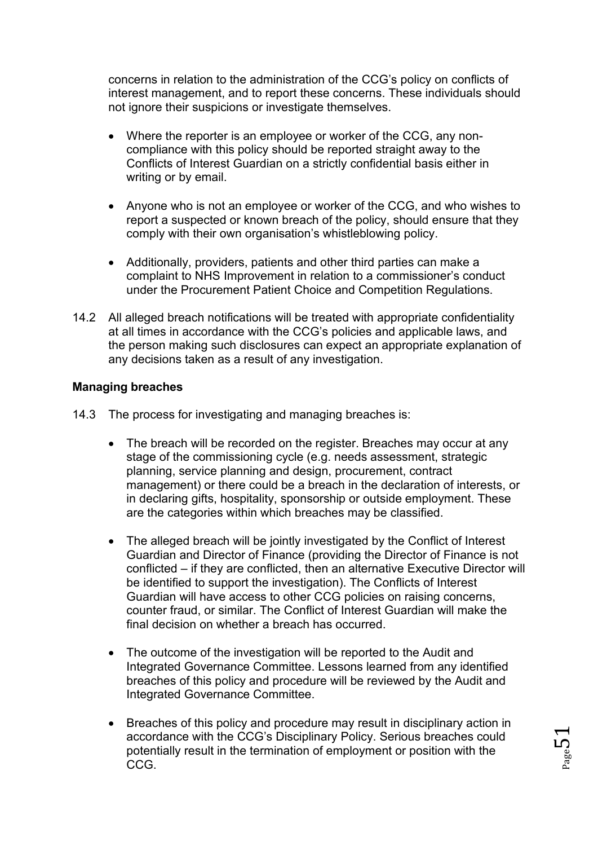concerns in relation to the administration of the CCG's policy on conflicts of interest management, and to report these concerns. These individuals should not ignore their suspicions or investigate themselves.

- Where the reporter is an employee or worker of the CCG, any noncompliance with this policy should be reported straight away to the Conflicts of Interest Guardian on a strictly confidential basis either in writing or by email.
- Anyone who is not an employee or worker of the CCG, and who wishes to report a suspected or known breach of the policy, should ensure that they comply with their own organisation's whistleblowing policy.
- Additionally, providers, patients and other third parties can make a complaint to NHS Improvement in relation to a commissioner's conduct under the Procurement Patient Choice and Competition Regulations.
- 14.2 All alleged breach notifications will be treated with appropriate confidentiality at all times in accordance with the CCG's policies and applicable laws, and the person making such disclosures can expect an appropriate explanation of any decisions taken as a result of any investigation.

#### **Managing breaches**

- 14.3 The process for investigating and managing breaches is:
	- The breach will be recorded on the register. Breaches may occur at any stage of the commissioning cycle (e.g. needs assessment, strategic planning, service planning and design, procurement, contract management) or there could be a breach in the declaration of interests, or in declaring gifts, hospitality, sponsorship or outside employment. These are the categories within which breaches may be classified.
	- The alleged breach will be jointly investigated by the Conflict of Interest Guardian and Director of Finance (providing the Director of Finance is not conflicted – if they are conflicted, then an alternative Executive Director will be identified to support the investigation). The Conflicts of Interest Guardian will have access to other CCG policies on raising concerns, counter fraud, or similar. The Conflict of Interest Guardian will make the final decision on whether a breach has occurred.
	- The outcome of the investigation will be reported to the Audit and Integrated Governance Committee. Lessons learned from any identified breaches of this policy and procedure will be reviewed by the Audit and Integrated Governance Committee.
	- Breaches of this policy and procedure may result in disciplinary action in accordance with the CCG's Disciplinary Policy. Serious breaches could potentially result in the termination of employment or position with the CCG.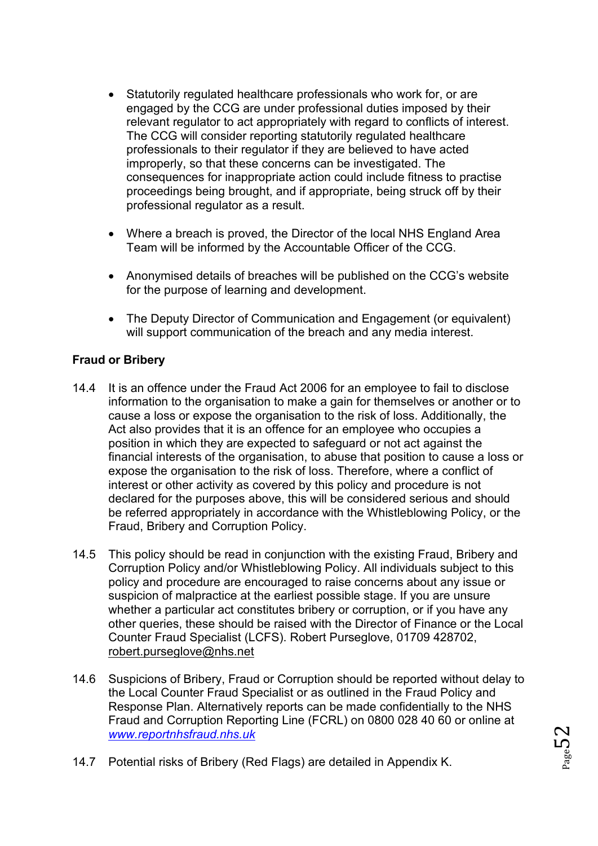- Statutorily regulated healthcare professionals who work for, or are engaged by the CCG are under professional duties imposed by their relevant regulator to act appropriately with regard to conflicts of interest. The CCG will consider reporting statutorily regulated healthcare professionals to their regulator if they are believed to have acted improperly, so that these concerns can be investigated. The consequences for inappropriate action could include fitness to practise proceedings being brought, and if appropriate, being struck off by their professional regulator as a result.
- Where a breach is proved, the Director of the local NHS England Area Team will be informed by the Accountable Officer of the CCG.
- Anonymised details of breaches will be published on the CCG's website for the purpose of learning and development.
- The Deputy Director of Communication and Engagement (or equivalent) will support communication of the breach and any media interest.

### **Fraud or Bribery**

- 14.4 It is an offence under the Fraud Act 2006 for an employee to fail to disclose information to the organisation to make a gain for themselves or another or to cause a loss or expose the organisation to the risk of loss. Additionally, the Act also provides that it is an offence for an employee who occupies a position in which they are expected to safeguard or not act against the financial interests of the organisation, to abuse that position to cause a loss or expose the organisation to the risk of loss. Therefore, where a conflict of interest or other activity as covered by this policy and procedure is not declared for the purposes above, this will be considered serious and should be referred appropriately in accordance with the Whistleblowing Policy, or the Fraud, Bribery and Corruption Policy.
- 14.5 This policy should be read in conjunction with the existing Fraud, Bribery and Corruption Policy and/or Whistleblowing Policy. All individuals subject to this policy and procedure are encouraged to raise concerns about any issue or suspicion of malpractice at the earliest possible stage. If you are unsure whether a particular act constitutes bribery or corruption, or if you have any other queries, these should be raised with the Director of Finance or the Local Counter Fraud Specialist (LCFS). Robert Purseglove, 01709 428702, [robert.purseglove@nhs.net](mailto:robert.purseglove@nhs.net)
- 14.6 Suspicions of Bribery, Fraud or Corruption should be reported without delay to the Local Counter Fraud Specialist or as outlined in the Fraud Policy and Response Plan. Alternatively reports can be made confidentially to the NHS Fraud and Corruption Reporting Line (FCRL) on 0800 028 40 60 or online at *[www.reportnhsfraud.nhs.uk](http://www.reportnhsfraud.nhs.uk/)*
- 14.7 Potential risks of Bribery (Red Flags) are detailed in Appendix K.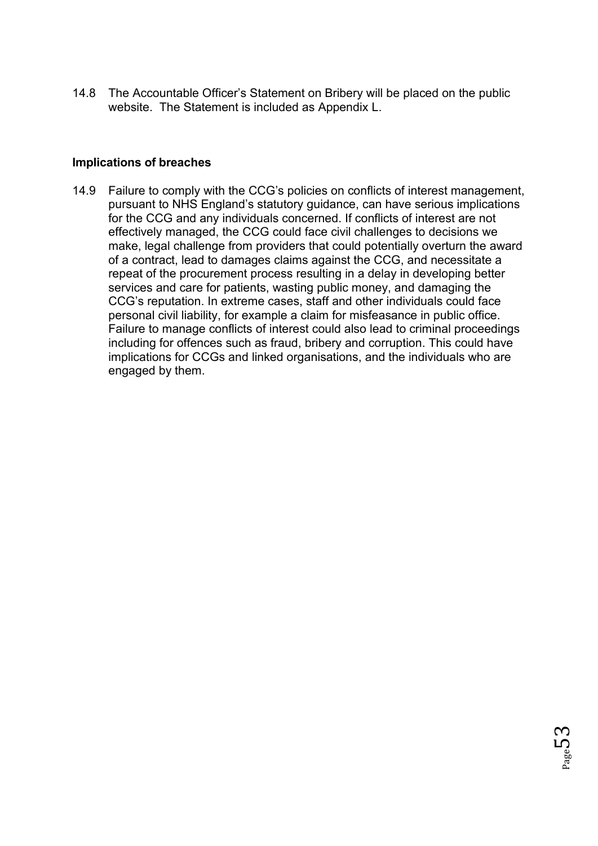14.8 The Accountable Officer's Statement on Bribery will be placed on the public website. The Statement is included as Appendix L.

## **Implications of breaches**

14.9 Failure to comply with the CCG's policies on conflicts of interest management, pursuant to NHS England's statutory guidance, can have serious implications for the CCG and any individuals concerned. If conflicts of interest are not effectively managed, the CCG could face civil challenges to decisions we make, legal challenge from providers that could potentially overturn the award of a contract, lead to damages claims against the CCG, and necessitate a repeat of the procurement process resulting in a delay in developing better services and care for patients, wasting public money, and damaging the CCG's reputation. In extreme cases, staff and other individuals could face personal civil liability, for example a claim for misfeasance in public office. Failure to manage conflicts of interest could also lead to criminal proceedings including for offences such as fraud, bribery and corruption. This could have implications for CCGs and linked organisations, and the individuals who are engaged by them.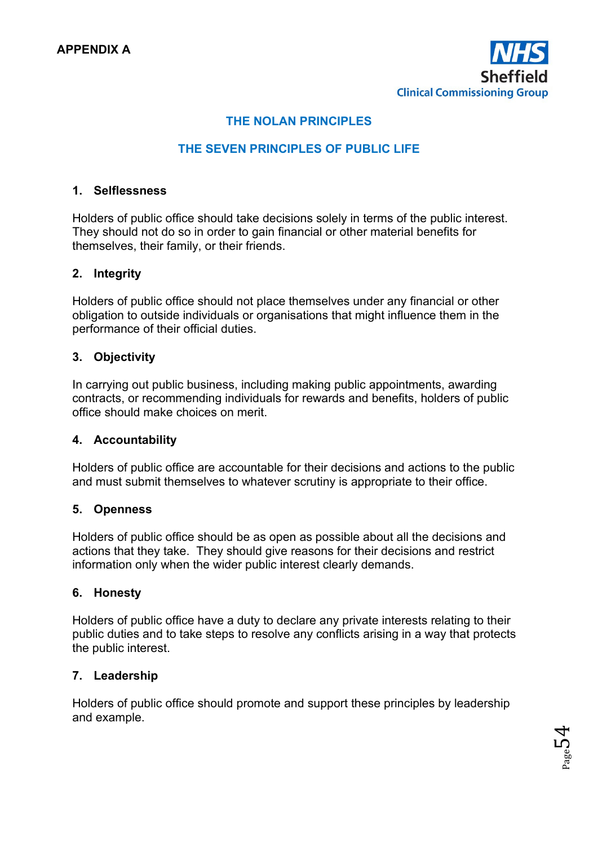

## **THE NOLAN PRINCIPLES**

## **THE SEVEN PRINCIPLES OF PUBLIC LIFE**

#### **1. Selflessness**

Holders of public office should take decisions solely in terms of the public interest. They should not do so in order to gain financial or other material benefits for themselves, their family, or their friends.

#### **2. Integrity**

Holders of public office should not place themselves under any financial or other obligation to outside individuals or organisations that might influence them in the performance of their official duties.

#### **3. Objectivity**

In carrying out public business, including making public appointments, awarding contracts, or recommending individuals for rewards and benefits, holders of public office should make choices on merit.

#### **4. Accountability**

Holders of public office are accountable for their decisions and actions to the public and must submit themselves to whatever scrutiny is appropriate to their office.

#### **5. Openness**

Holders of public office should be as open as possible about all the decisions and actions that they take. They should give reasons for their decisions and restrict information only when the wider public interest clearly demands.

#### **6. Honesty**

Holders of public office have a duty to declare any private interests relating to their public duties and to take steps to resolve any conflicts arising in a way that protects the public interest.

#### **7. Leadership**

Holders of public office should promote and support these principles by leadership and example.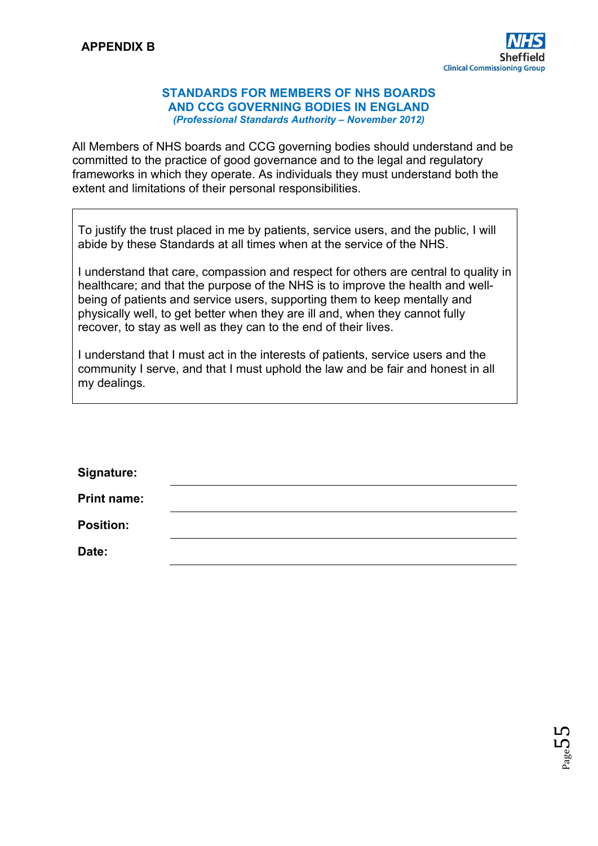Page55

#### **STANDARDS FOR MEMBERS OF NHS BOARDS AND CCG GOVERNING BODIES IN ENGLAND** *(Professional Standards Authority – November 2012)*

All Members of NHS boards and CCG governing bodies should understand and be committed to the practice of good governance and to the legal and regulatory frameworks in which they operate. As individuals they must understand both the extent and limitations of their personal responsibilities.

To justify the trust placed in me by patients, service users, and the public, I will abide by these Standards at all times when at the service of the NHS.

I understand that care, compassion and respect for others are central to quality in healthcare; and that the purpose of the NHS is to improve the health and wellbeing of patients and service users, supporting them to keep mentally and physically well, to get better when they are ill and, when they cannot fully recover, to stay as well as they can to the end of their lives.

I understand that I must act in the interests of patients, service users and the community I serve, and that I must uphold the law and be fair and honest in all my dealings.

| Signature:         |  |  |
|--------------------|--|--|
| <b>Print name:</b> |  |  |
| <b>Position:</b>   |  |  |
| Date:              |  |  |
|                    |  |  |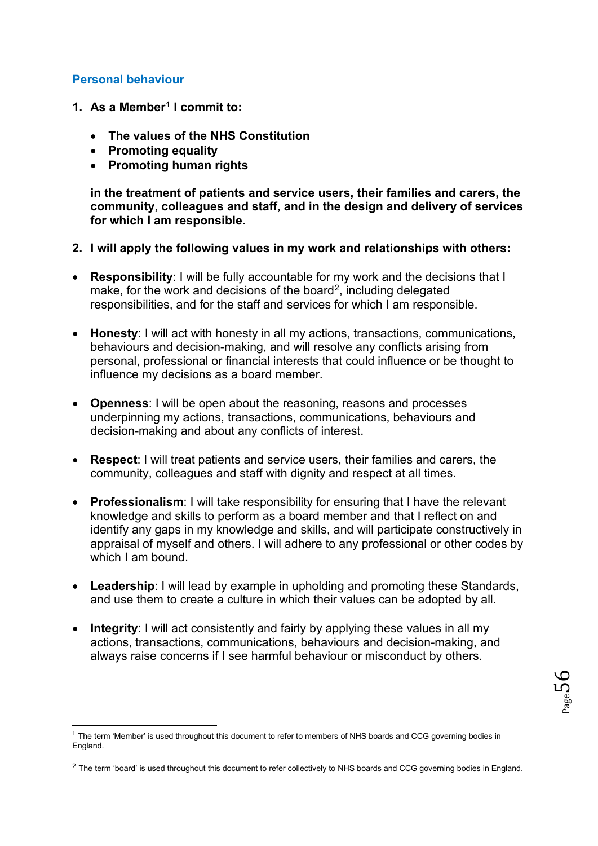#### **Personal behaviour**

- **1. As a Member[1](#page-55-0) I commit to:**
	- **The values of the NHS Constitution**
	- **Promoting equality**
	- **Promoting human rights**

**in the treatment of patients and service users, their families and carers, the community, colleagues and staff, and in the design and delivery of services for which I am responsible.** 

- **2. I will apply the following values in my work and relationships with others:**
- **Responsibility**: I will be fully accountable for my work and the decisions that I make, for the work and decisions of the board<sup>2</sup>, including delegated responsibilities, and for the staff and services for which I am responsible.
- **Honesty**: I will act with honesty in all my actions, transactions, communications, behaviours and decision-making, and will resolve any conflicts arising from personal, professional or financial interests that could influence or be thought to influence my decisions as a board member.
- **Openness**: I will be open about the reasoning, reasons and processes underpinning my actions, transactions, communications, behaviours and decision-making and about any conflicts of interest.
- **Respect**: I will treat patients and service users, their families and carers, the community, colleagues and staff with dignity and respect at all times.
- **Professionalism**: I will take responsibility for ensuring that I have the relevant knowledge and skills to perform as a board member and that I reflect on and identify any gaps in my knowledge and skills, and will participate constructively in appraisal of myself and others. I will adhere to any professional or other codes by which I am bound.
- **Leadership**: I will lead by example in upholding and promoting these Standards, and use them to create a culture in which their values can be adopted by all.
- **Integrity**: I will act consistently and fairly by applying these values in all my actions, transactions, communications, behaviours and decision-making, and always raise concerns if I see harmful behaviour or misconduct by others.

<span id="page-55-0"></span> $1$  The term 'Member' is used throughout this document to refer to members of NHS boards and CCG governing bodies in England.

<span id="page-55-1"></span><sup>&</sup>lt;sup>2</sup> The term 'board' is used throughout this document to refer collectively to NHS boards and CCG governing bodies in England.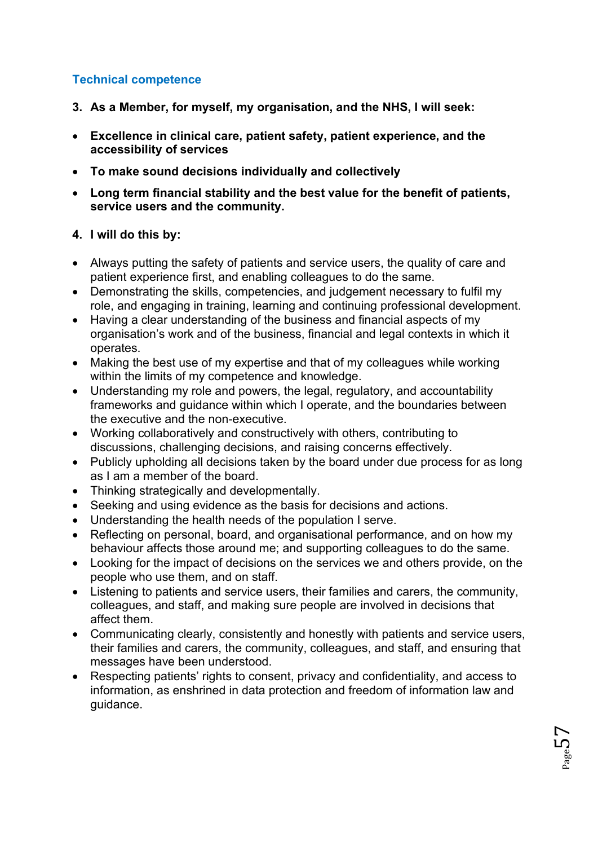## **Technical competence**

- **3. As a Member, for myself, my organisation, and the NHS, I will seek:**
- **Excellence in clinical care, patient safety, patient experience, and the accessibility of services**
- **To make sound decisions individually and collectively**
- **Long term financial stability and the best value for the benefit of patients, service users and the community.**

### **4. I will do this by:**

- Always putting the safety of patients and service users, the quality of care and patient experience first, and enabling colleagues to do the same.
- Demonstrating the skills, competencies, and judgement necessary to fulfil my role, and engaging in training, learning and continuing professional development.
- Having a clear understanding of the business and financial aspects of my organisation's work and of the business, financial and legal contexts in which it operates.
- Making the best use of my expertise and that of my colleagues while working within the limits of my competence and knowledge.
- Understanding my role and powers, the legal, regulatory, and accountability frameworks and guidance within which I operate, and the boundaries between the executive and the non-executive.
- Working collaboratively and constructively with others, contributing to discussions, challenging decisions, and raising concerns effectively.
- Publicly upholding all decisions taken by the board under due process for as long as I am a member of the board.
- Thinking strategically and developmentally.
- Seeking and using evidence as the basis for decisions and actions.
- Understanding the health needs of the population I serve.
- Reflecting on personal, board, and organisational performance, and on how my behaviour affects those around me; and supporting colleagues to do the same.
- Looking for the impact of decisions on the services we and others provide, on the people who use them, and on staff.
- Listening to patients and service users, their families and carers, the community, colleagues, and staff, and making sure people are involved in decisions that affect them.
- Communicating clearly, consistently and honestly with patients and service users, their families and carers, the community, colleagues, and staff, and ensuring that messages have been understood.
- Respecting patients' rights to consent, privacy and confidentiality, and access to information, as enshrined in data protection and freedom of information law and guidance.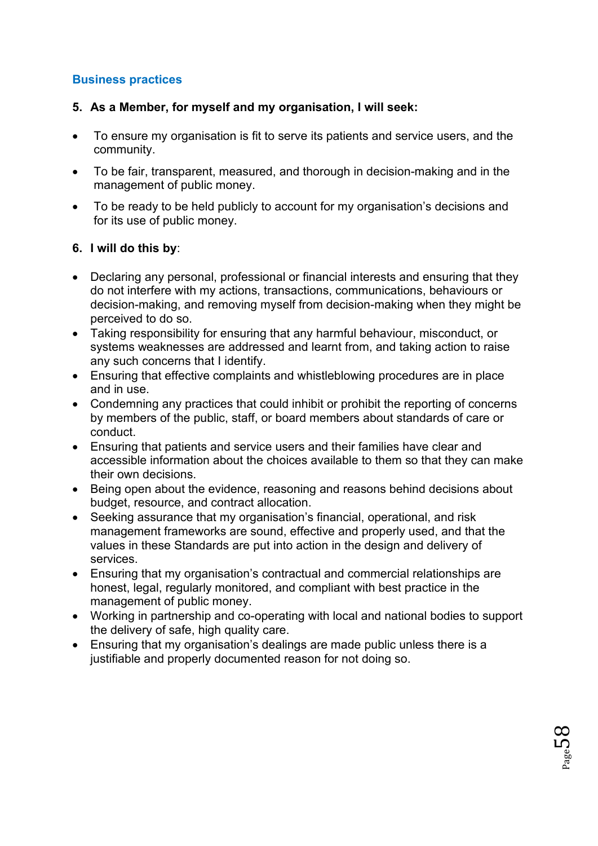## **Business practices**

### **5. As a Member, for myself and my organisation, I will seek:**

- To ensure my organisation is fit to serve its patients and service users, and the community.
- To be fair, transparent, measured, and thorough in decision-making and in the management of public money.
- To be ready to be held publicly to account for my organisation's decisions and for its use of public money.

## **6. I will do this by**:

- Declaring any personal, professional or financial interests and ensuring that they do not interfere with my actions, transactions, communications, behaviours or decision-making, and removing myself from decision-making when they might be perceived to do so.
- Taking responsibility for ensuring that any harmful behaviour, misconduct, or systems weaknesses are addressed and learnt from, and taking action to raise any such concerns that I identify.
- Ensuring that effective complaints and whistleblowing procedures are in place and in use.
- Condemning any practices that could inhibit or prohibit the reporting of concerns by members of the public, staff, or board members about standards of care or conduct.
- Ensuring that patients and service users and their families have clear and accessible information about the choices available to them so that they can make their own decisions.
- Being open about the evidence, reasoning and reasons behind decisions about budget, resource, and contract allocation.
- Seeking assurance that my organisation's financial, operational, and risk management frameworks are sound, effective and properly used, and that the values in these Standards are put into action in the design and delivery of services.
- Ensuring that my organisation's contractual and commercial relationships are honest, legal, regularly monitored, and compliant with best practice in the management of public money.
- Working in partnership and co-operating with local and national bodies to support the delivery of safe, high quality care.
- Ensuring that my organisation's dealings are made public unless there is a justifiable and properly documented reason for not doing so.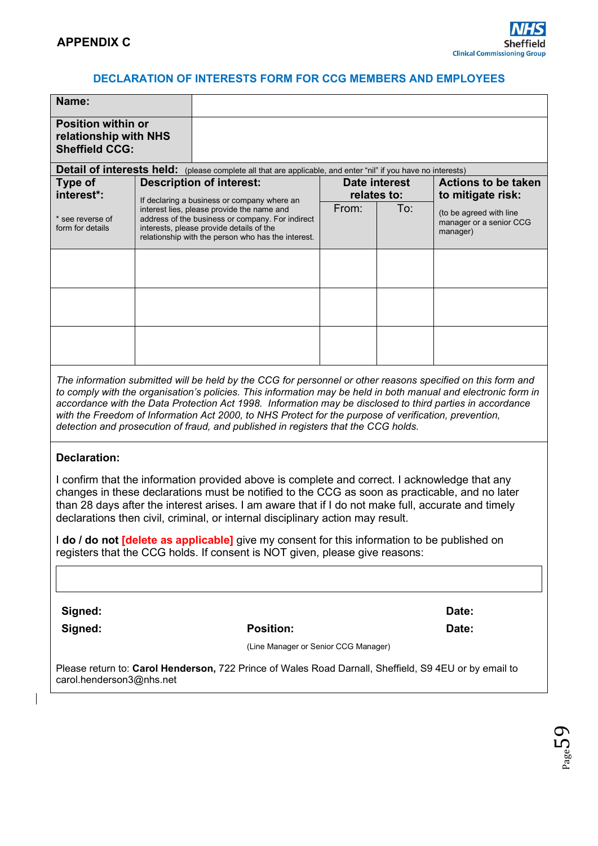$\overline{\phantom{a}}$ 

## **DECLARATION OF INTERESTS FORM FOR CCG MEMBERS AND EMPLOYEES**

| Name:                                                                       |                                                                                                                                                                                                                                                                                                                                                                                                                                                                                                                                           |               |     |                                                                |
|-----------------------------------------------------------------------------|-------------------------------------------------------------------------------------------------------------------------------------------------------------------------------------------------------------------------------------------------------------------------------------------------------------------------------------------------------------------------------------------------------------------------------------------------------------------------------------------------------------------------------------------|---------------|-----|----------------------------------------------------------------|
| <b>Position within or</b><br>relationship with NHS<br><b>Sheffield CCG:</b> |                                                                                                                                                                                                                                                                                                                                                                                                                                                                                                                                           |               |     |                                                                |
|                                                                             | Detail of interests held: (please complete all that are applicable, and enter "nil" if you have no interests)                                                                                                                                                                                                                                                                                                                                                                                                                             |               |     |                                                                |
| Type of                                                                     | <b>Description of interest:</b>                                                                                                                                                                                                                                                                                                                                                                                                                                                                                                           | Date interest |     | <b>Actions to be taken</b>                                     |
| interest*:                                                                  | If declaring a business or company where an                                                                                                                                                                                                                                                                                                                                                                                                                                                                                               | relates to:   |     | to mitigate risk:                                              |
| * see reverse of<br>form for details                                        | interest lies, please provide the name and<br>address of the business or company. For indirect<br>interests, please provide details of the<br>relationship with the person who has the interest.                                                                                                                                                                                                                                                                                                                                          | From:         | To: | (to be agreed with line<br>manager or a senior CCG<br>manager) |
|                                                                             |                                                                                                                                                                                                                                                                                                                                                                                                                                                                                                                                           |               |     |                                                                |
|                                                                             |                                                                                                                                                                                                                                                                                                                                                                                                                                                                                                                                           |               |     |                                                                |
|                                                                             |                                                                                                                                                                                                                                                                                                                                                                                                                                                                                                                                           |               |     |                                                                |
|                                                                             | The information submitted will be held by the CCG for personnel or other reasons specified on this form and<br>to comply with the organisation's policies. This information may be held in both manual and electronic form in<br>accordance with the Data Protection Act 1998. Information may be disclosed to third parties in accordance<br>with the Freedom of Information Act 2000, to NHS Protect for the purpose of verification, prevention,<br>detection and prosecution of fraud, and published in registers that the CCG holds. |               |     |                                                                |
| <b>Declaration:</b>                                                         |                                                                                                                                                                                                                                                                                                                                                                                                                                                                                                                                           |               |     |                                                                |
|                                                                             | I confirm that the information provided above is complete and correct. I acknowledge that any<br>changes in these declarations must be notified to the CCG as soon as practicable, and no later<br>than 28 days after the interest arises. I am aware that if I do not make full, accurate and timely<br>declarations then civil, criminal, or internal disciplinary action may result.                                                                                                                                                   |               |     |                                                                |
|                                                                             | I do / do not [delete as applicable] give my consent for this information to be published on<br>registers that the CCG holds. If consent is NOT given, please give reasons:                                                                                                                                                                                                                                                                                                                                                               |               |     |                                                                |
|                                                                             |                                                                                                                                                                                                                                                                                                                                                                                                                                                                                                                                           |               |     |                                                                |
| Signed:                                                                     |                                                                                                                                                                                                                                                                                                                                                                                                                                                                                                                                           |               |     | Date:                                                          |
| Signed:                                                                     | <b>Position:</b>                                                                                                                                                                                                                                                                                                                                                                                                                                                                                                                          |               |     | Date:                                                          |
|                                                                             | (Line Manager or Senior CCG Manager)                                                                                                                                                                                                                                                                                                                                                                                                                                                                                                      |               |     |                                                                |
| carol.henderson3@nhs.net                                                    | Please return to: Carol Henderson, 722 Prince of Wales Road Darnall, Sheffield, S9 4EU or by email to                                                                                                                                                                                                                                                                                                                                                                                                                                     |               |     |                                                                |
|                                                                             |                                                                                                                                                                                                                                                                                                                                                                                                                                                                                                                                           |               |     |                                                                |

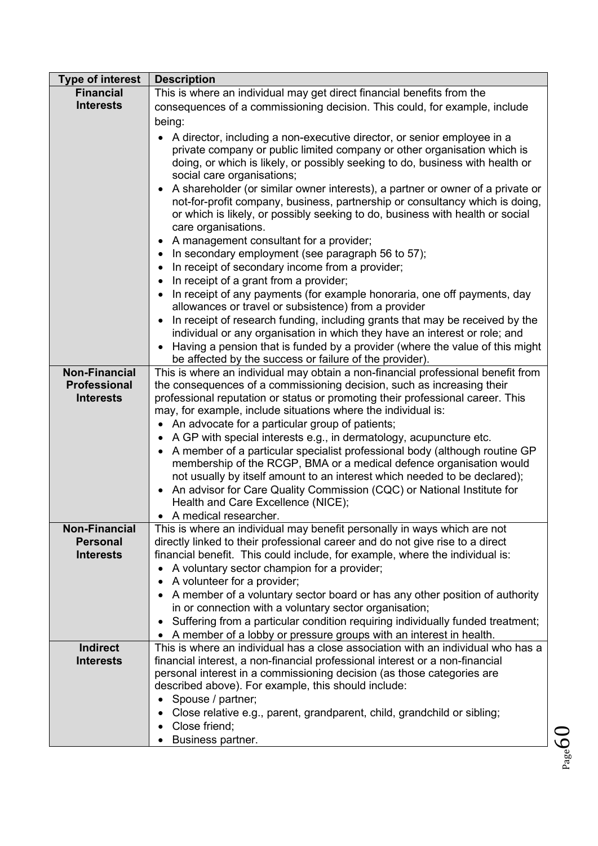| <b>Type of interest</b>                                         | <b>Description</b>                                                                                                                                                                                                                                                                                                                                                                                                                                                                                                                                        |
|-----------------------------------------------------------------|-----------------------------------------------------------------------------------------------------------------------------------------------------------------------------------------------------------------------------------------------------------------------------------------------------------------------------------------------------------------------------------------------------------------------------------------------------------------------------------------------------------------------------------------------------------|
| <b>Financial</b>                                                | This is where an individual may get direct financial benefits from the                                                                                                                                                                                                                                                                                                                                                                                                                                                                                    |
| <b>Interests</b>                                                | consequences of a commissioning decision. This could, for example, include                                                                                                                                                                                                                                                                                                                                                                                                                                                                                |
|                                                                 | being:                                                                                                                                                                                                                                                                                                                                                                                                                                                                                                                                                    |
|                                                                 | A director, including a non-executive director, or senior employee in a<br>private company or public limited company or other organisation which is<br>doing, or which is likely, or possibly seeking to do, business with health or<br>social care organisations;<br>A shareholder (or similar owner interests), a partner or owner of a private or<br>$\bullet$<br>not-for-profit company, business, partnership or consultancy which is doing,<br>or which is likely, or possibly seeking to do, business with health or social<br>care organisations. |
|                                                                 | A management consultant for a provider;<br>$\bullet$                                                                                                                                                                                                                                                                                                                                                                                                                                                                                                      |
|                                                                 | In secondary employment (see paragraph 56 to 57);<br>$\bullet$                                                                                                                                                                                                                                                                                                                                                                                                                                                                                            |
|                                                                 | In receipt of secondary income from a provider;<br>$\bullet$                                                                                                                                                                                                                                                                                                                                                                                                                                                                                              |
|                                                                 | In receipt of a grant from a provider;<br>$\bullet$                                                                                                                                                                                                                                                                                                                                                                                                                                                                                                       |
|                                                                 | In receipt of any payments (for example honoraria, one off payments, day<br>$\bullet$<br>allowances or travel or subsistence) from a provider                                                                                                                                                                                                                                                                                                                                                                                                             |
|                                                                 | In receipt of research funding, including grants that may be received by the                                                                                                                                                                                                                                                                                                                                                                                                                                                                              |
|                                                                 | individual or any organisation in which they have an interest or role; and                                                                                                                                                                                                                                                                                                                                                                                                                                                                                |
|                                                                 | Having a pension that is funded by a provider (where the value of this might<br>$\bullet$                                                                                                                                                                                                                                                                                                                                                                                                                                                                 |
|                                                                 | be affected by the success or failure of the provider).                                                                                                                                                                                                                                                                                                                                                                                                                                                                                                   |
| <b>Non-Financial</b><br><b>Professional</b><br><b>Interests</b> | This is where an individual may obtain a non-financial professional benefit from<br>the consequences of a commissioning decision, such as increasing their<br>professional reputation or status or promoting their professional career. This<br>may, for example, include situations where the individual is:                                                                                                                                                                                                                                             |
|                                                                 | • An advocate for a particular group of patients;                                                                                                                                                                                                                                                                                                                                                                                                                                                                                                         |
|                                                                 | A GP with special interests e.g., in dermatology, acupuncture etc.<br>$\bullet$                                                                                                                                                                                                                                                                                                                                                                                                                                                                           |
|                                                                 | A member of a particular specialist professional body (although routine GP<br>$\bullet$<br>membership of the RCGP, BMA or a medical defence organisation would                                                                                                                                                                                                                                                                                                                                                                                            |
|                                                                 | not usually by itself amount to an interest which needed to be declared);                                                                                                                                                                                                                                                                                                                                                                                                                                                                                 |
|                                                                 | An advisor for Care Quality Commission (CQC) or National Institute for<br>$\bullet$                                                                                                                                                                                                                                                                                                                                                                                                                                                                       |
|                                                                 | Health and Care Excellence (NICE);                                                                                                                                                                                                                                                                                                                                                                                                                                                                                                                        |
|                                                                 | • A medical researcher.                                                                                                                                                                                                                                                                                                                                                                                                                                                                                                                                   |
| <b>Non-Financial</b><br><b>Personal</b>                         | This is where an individual may benefit personally in ways which are not<br>directly linked to their professional career and do not give rise to a direct                                                                                                                                                                                                                                                                                                                                                                                                 |
| <b>Interests</b>                                                | financial benefit. This could include, for example, where the individual is:<br>A voluntary sector champion for a provider;                                                                                                                                                                                                                                                                                                                                                                                                                               |
|                                                                 | A volunteer for a provider;<br>$\bullet$                                                                                                                                                                                                                                                                                                                                                                                                                                                                                                                  |
|                                                                 | A member of a voluntary sector board or has any other position of authority<br>$\bullet$                                                                                                                                                                                                                                                                                                                                                                                                                                                                  |
|                                                                 | in or connection with a voluntary sector organisation;                                                                                                                                                                                                                                                                                                                                                                                                                                                                                                    |
|                                                                 | Suffering from a particular condition requiring individually funded treatment;<br>$\bullet$                                                                                                                                                                                                                                                                                                                                                                                                                                                               |
|                                                                 | A member of a lobby or pressure groups with an interest in health.                                                                                                                                                                                                                                                                                                                                                                                                                                                                                        |
| <b>Indirect</b>                                                 | This is where an individual has a close association with an individual who has a                                                                                                                                                                                                                                                                                                                                                                                                                                                                          |
| <b>Interests</b>                                                | financial interest, a non-financial professional interest or a non-financial                                                                                                                                                                                                                                                                                                                                                                                                                                                                              |
|                                                                 | personal interest in a commissioning decision (as those categories are                                                                                                                                                                                                                                                                                                                                                                                                                                                                                    |
|                                                                 | described above). For example, this should include:                                                                                                                                                                                                                                                                                                                                                                                                                                                                                                       |
|                                                                 | Spouse / partner;<br>$\bullet$                                                                                                                                                                                                                                                                                                                                                                                                                                                                                                                            |
|                                                                 | Close relative e.g., parent, grandparent, child, grandchild or sibling;<br>Close friend;<br>$\bullet$                                                                                                                                                                                                                                                                                                                                                                                                                                                     |
|                                                                 | Business partner.<br>$\bullet$                                                                                                                                                                                                                                                                                                                                                                                                                                                                                                                            |
|                                                                 |                                                                                                                                                                                                                                                                                                                                                                                                                                                                                                                                                           |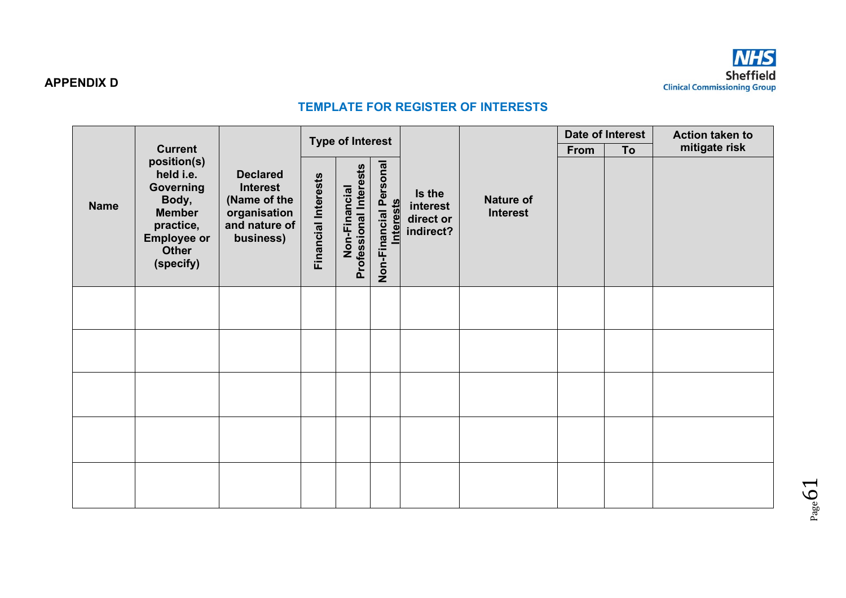#### **APPENDIX D**



## **TEMPLATE FOR REGISTER OF INTERESTS**

|             | <b>Current</b><br>position(s)<br>held i.e.<br>Governing<br>Body,<br><b>Member</b><br>practice,<br><b>Employee or</b><br><b>Other</b><br>(specify) | <b>Declared</b><br>Interest<br>(Name of the<br>organisation<br>and nature of<br>business) | <b>Type of Interest</b> |                                         |                                            |                                              |                                     |      | Date of Interest | <b>Action taken to</b> |
|-------------|---------------------------------------------------------------------------------------------------------------------------------------------------|-------------------------------------------------------------------------------------------|-------------------------|-----------------------------------------|--------------------------------------------|----------------------------------------------|-------------------------------------|------|------------------|------------------------|
| <b>Name</b> |                                                                                                                                                   |                                                                                           | Financial Interests     | Professional Interests<br>Non-Financial | Non-Financial Personal<br><b>Interests</b> | Is the<br>interest<br>direct or<br>indirect? | <b>Nature of</b><br><b>Interest</b> | From | To               | mitigate risk          |
|             |                                                                                                                                                   |                                                                                           |                         |                                         |                                            |                                              |                                     |      |                  |                        |
|             |                                                                                                                                                   |                                                                                           |                         |                                         |                                            |                                              |                                     |      |                  |                        |
|             |                                                                                                                                                   |                                                                                           |                         |                                         |                                            |                                              |                                     |      |                  |                        |
|             |                                                                                                                                                   |                                                                                           |                         |                                         |                                            |                                              |                                     |      |                  |                        |
|             |                                                                                                                                                   |                                                                                           |                         |                                         |                                            |                                              |                                     |      |                  |                        |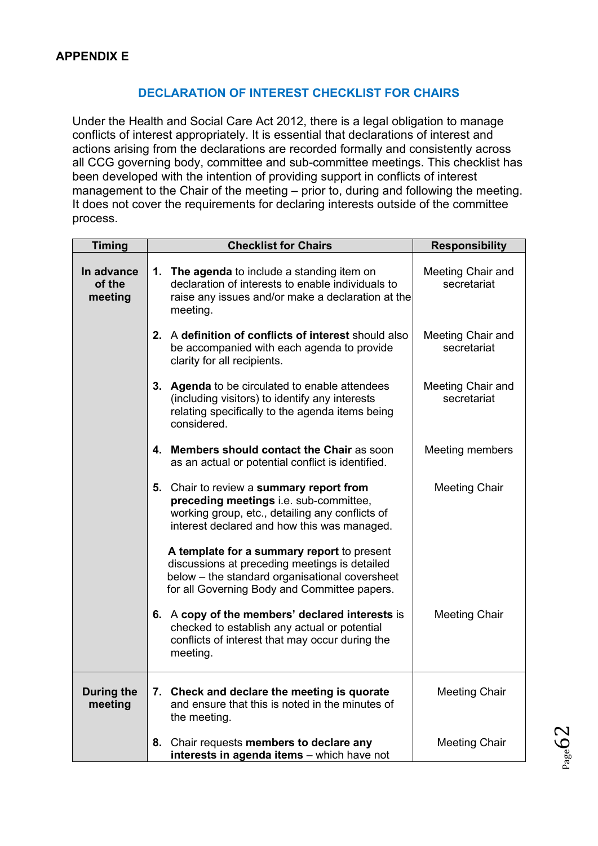## **DECLARATION OF INTEREST CHECKLIST FOR CHAIRS**

Under the Health and Social Care Act 2012, there is a legal obligation to manage conflicts of interest appropriately. It is essential that declarations of interest and actions arising from the declarations are recorded formally and consistently across all CCG governing body, committee and sub-committee meetings. This checklist has been developed with the intention of providing support in conflicts of interest management to the Chair of the meeting – prior to, during and following the meeting. It does not cover the requirements for declaring interests outside of the committee process.

| <b>Timing</b>                   | <b>Checklist for Chairs</b>                                                                                                                                                                   | <b>Responsibility</b>            |
|---------------------------------|-----------------------------------------------------------------------------------------------------------------------------------------------------------------------------------------------|----------------------------------|
| In advance<br>of the<br>meeting | The agenda to include a standing item on<br>1.<br>declaration of interests to enable individuals to<br>raise any issues and/or make a declaration at the<br>meeting.                          | Meeting Chair and<br>secretariat |
|                                 | 2. A definition of conflicts of interest should also<br>be accompanied with each agenda to provide<br>clarity for all recipients.                                                             | Meeting Chair and<br>secretariat |
|                                 | 3. Agenda to be circulated to enable attendees<br>(including visitors) to identify any interests<br>relating specifically to the agenda items being<br>considered.                            | Meeting Chair and<br>secretariat |
|                                 | 4. Members should contact the Chair as soon<br>as an actual or potential conflict is identified.                                                                                              | Meeting members                  |
|                                 | 5. Chair to review a summary report from<br>preceding meetings i.e. sub-committee,<br>working group, etc., detailing any conflicts of<br>interest declared and how this was managed.          | <b>Meeting Chair</b>             |
|                                 | A template for a summary report to present<br>discussions at preceding meetings is detailed<br>below - the standard organisational coversheet<br>for all Governing Body and Committee papers. |                                  |
|                                 | 6. A copy of the members' declared interests is<br>checked to establish any actual or potential<br>conflicts of interest that may occur during the<br>meeting.                                | Meeting Chair                    |
| <b>During the</b><br>meeting    | 7. Check and declare the meeting is quorate<br>and ensure that this is noted in the minutes of<br>the meeting.                                                                                | <b>Meeting Chair</b>             |
|                                 | 8.<br>Chair requests members to declare any<br>interests in agenda items - which have not                                                                                                     | <b>Meeting Chair</b>             |

 $\rm _{Page}$ 62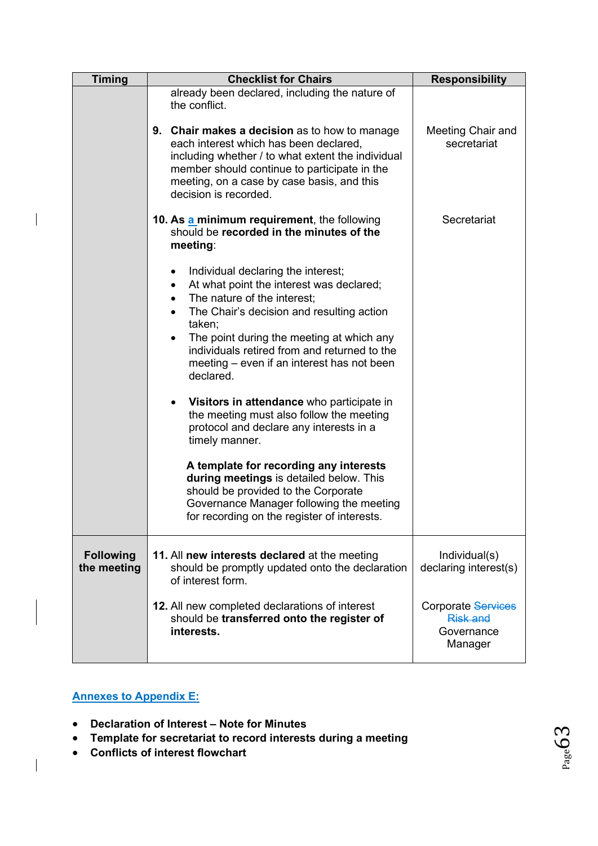| <b>Timing</b>                   | <b>Checklist for Chairs</b>                                                                                                                                                                                                                                                                                                                                              | <b>Responsibility</b>                                          |  |  |
|---------------------------------|--------------------------------------------------------------------------------------------------------------------------------------------------------------------------------------------------------------------------------------------------------------------------------------------------------------------------------------------------------------------------|----------------------------------------------------------------|--|--|
|                                 | already been declared, including the nature of<br>the conflict.                                                                                                                                                                                                                                                                                                          |                                                                |  |  |
|                                 | 9. Chair makes a decision as to how to manage<br>each interest which has been declared,<br>including whether / to what extent the individual<br>member should continue to participate in the<br>meeting, on a case by case basis, and this<br>decision is recorded.                                                                                                      | Meeting Chair and<br>secretariat                               |  |  |
|                                 | 10. As a minimum requirement, the following<br>should be recorded in the minutes of the<br>meeting:                                                                                                                                                                                                                                                                      | Secretariat                                                    |  |  |
|                                 | Individual declaring the interest;<br>At what point the interest was declared;<br>$\bullet$<br>The nature of the interest:<br>٠<br>The Chair's decision and resulting action<br>$\bullet$<br>taken;<br>The point during the meeting at which any<br>$\bullet$<br>individuals retired from and returned to the<br>meeting – even if an interest has not been<br>declared. |                                                                |  |  |
|                                 | Visitors in attendance who participate in<br>٠<br>the meeting must also follow the meeting<br>protocol and declare any interests in a<br>timely manner.                                                                                                                                                                                                                  |                                                                |  |  |
|                                 | A template for recording any interests<br>during meetings is detailed below. This<br>should be provided to the Corporate<br>Governance Manager following the meeting<br>for recording on the register of interests.                                                                                                                                                      |                                                                |  |  |
| <b>Following</b><br>the meeting | 11. All new interests declared at the meeting<br>should be promptly updated onto the declaration<br>of interest form.                                                                                                                                                                                                                                                    | Individual(s)<br>declaring interest(s)                         |  |  |
|                                 | 12. All new completed declarations of interest<br>should be transferred onto the register of<br>interests.                                                                                                                                                                                                                                                               | Corporate Services<br><b>Risk and</b><br>Governance<br>Manager |  |  |

## **Annexes to Appendix E:**

 $\overline{\phantom{a}}$ 

- **Declaration of Interest – Note for Minutes**
- **Template for secretariat to record interests during a meeting**
- **Conflicts of interest flowchart**

$$
\epsilon_{\rm age} G3
$$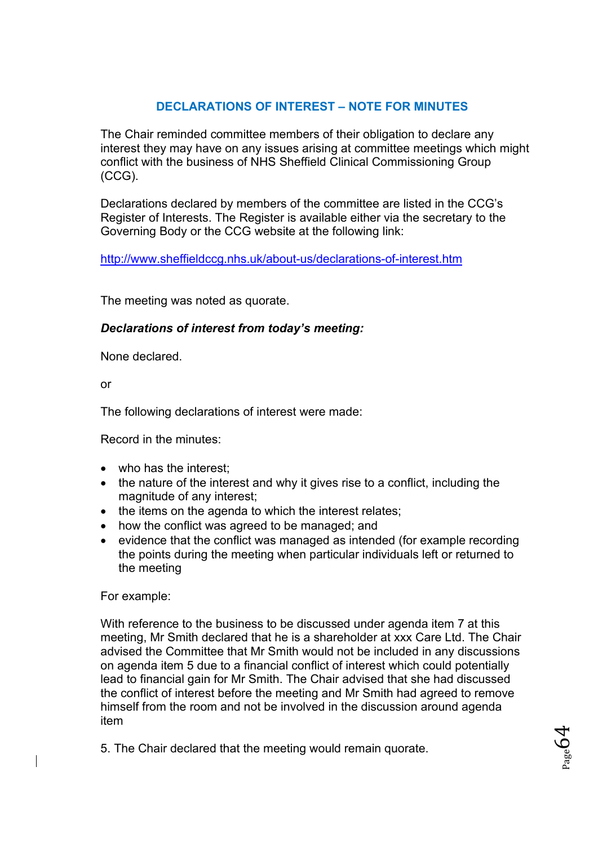## **DECLARATIONS OF INTEREST – NOTE FOR MINUTES**

The Chair reminded committee members of their obligation to declare any interest they may have on any issues arising at committee meetings which might conflict with the business of NHS Sheffield Clinical Commissioning Group (CCG).

Declarations declared by members of the committee are listed in the CCG's Register of Interests. The Register is available either via the secretary to the Governing Body or the CCG website at the following link:

<http://www.sheffieldccg.nhs.uk/about-us/declarations-of-interest.htm>

The meeting was noted as quorate.

## *Declarations of interest from today's meeting:*

None declared.

or

The following declarations of interest were made:

Record in the minutes:

- who has the interest:
- the nature of the interest and why it gives rise to a conflict, including the magnitude of any interest;
- the items on the agenda to which the interest relates;
- how the conflict was agreed to be managed; and
- evidence that the conflict was managed as intended (for example recording the points during the meeting when particular individuals left or returned to the meeting

For example:

With reference to the business to be discussed under agenda item 7 at this meeting, Mr Smith declared that he is a shareholder at xxx Care Ltd. The Chair advised the Committee that Mr Smith would not be included in any discussions on agenda item 5 due to a financial conflict of interest which could potentially lead to financial gain for Mr Smith. The Chair advised that she had discussed the conflict of interest before the meeting and Mr Smith had agreed to remove himself from the room and not be involved in the discussion around agenda item

5. The Chair declared that the meeting would remain quorate.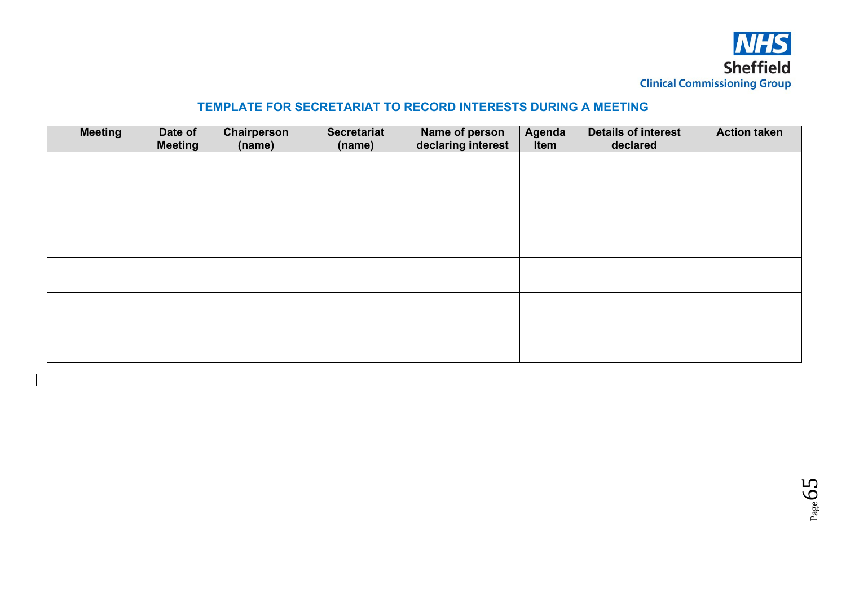

## **TEMPLATE FOR SECRETARIAT TO RECORD INTERESTS DURING A MEETING**

| <b>Meeting</b> | Date of<br><b>Meeting</b> | Chairperson<br>(name) | <b>Secretariat</b><br>(name) | Name of person<br>declaring interest | Agenda<br>Item | <b>Details of interest</b><br>declared | <b>Action taken</b> |
|----------------|---------------------------|-----------------------|------------------------------|--------------------------------------|----------------|----------------------------------------|---------------------|
|                |                           |                       |                              |                                      |                |                                        |                     |
|                |                           |                       |                              |                                      |                |                                        |                     |
|                |                           |                       |                              |                                      |                |                                        |                     |
|                |                           |                       |                              |                                      |                |                                        |                     |
|                |                           |                       |                              |                                      |                |                                        |                     |
|                |                           |                       |                              |                                      |                |                                        |                     |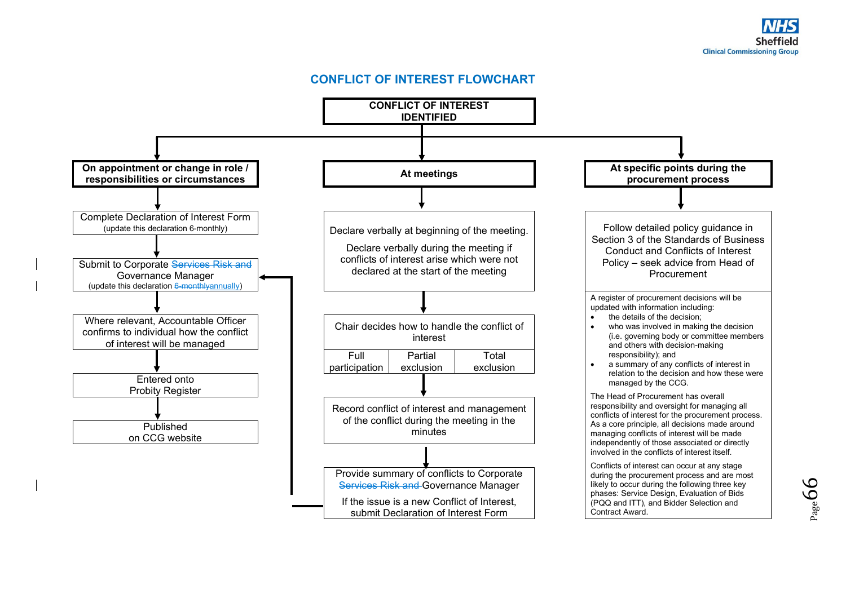#### **CONFLICT OF INTEREST FLOWCHART CONFLICT OF INTEREST IDENTIFIED On appointment or change in role /**  On appointment or change in role / **At Specific points during the at meetings** and at meetings and at meetings and at meeting the procurement process and a procurement process and a procurement process and a procurement pr **procurement process** Complete Declaration of Interest Form<br>(update this declaration 6-monthly) Declare verbally at beginning of the meeting. Declare verbally during the meeting if conflicts of interest arise which were not declared at the start of the meeting Follow detailed policy guidance in Section 3 of the Standards of Business Conduct and Conflicts of Interest Policy – seek advice from Head of Procurement Submit to Corporate Services Risk and Governance Manager (update this declaration 6-monthlyannually) A register of procurement decisions will be updated with information including: • the details of the decision: who was involved in making the decision (i.e. governing body or committee members and others with decision-making responsibility); and a summary of any conflicts of interest in relation to the decision and how these were managed by the CCG. The Head of Procurement has overall responsibility and oversight for managing all conflicts of interest for the procurement process. As a core principle, all decisions made around managing conflicts of interest will be made independently of those associated or directly involved in the conflicts of interest itself. Conflicts of interest can occur at any stage during the procurement process and are most likely to occur during the following three key phases: Service Design, Evaluation of Bids (PQQ and ITT), and Bidder Selection and Contract Award. Where relevant, Accountable Officer confirms to individual how the conflict of interest will be managed Chair decides how to handle the conflict of interest Full participation Partial exclusion **Total** exclusion Entered onto Probity Register Record conflict of interest and management of the conflict during the meeting in the Published **Published** Published **Published** Published **Published** Published **Published** Published Published Published Published Published Published Published Published Published Published Published Published Published Publ on CCG website Provide summary of conflicts to Corporate Services Risk and Governance Manager If the issue is a new Conflict of Interest, submit Declaration of Interest Form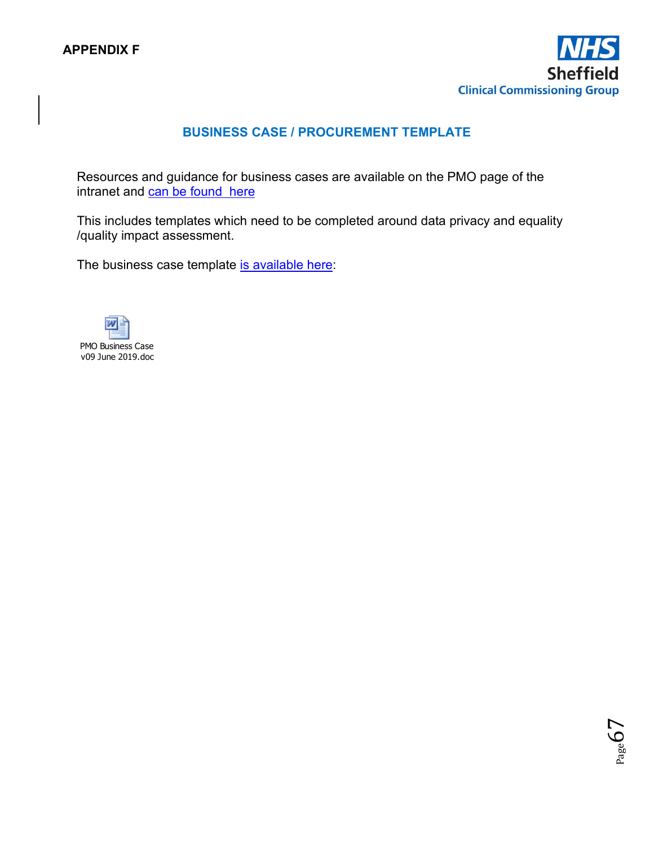

## **BUSINESS CASE / PROCUREMENT TEMPLATE**

Resources and guidance for business cases are available on the PMO page of the intranet and [can be found here](https://www.intranet.sheffieldccg.nhs.uk/resources-and-materials.htm)

This includes templates which need to be completed around data privacy and equality /quality impact assessment.

The business case template is [available here:](https://www.intranet.sheffieldccg.nhs.uk/Downloads/PMO%20Business%20Case%20v09%20June%202019.doc)



 $P_{{\rm age}}$ 67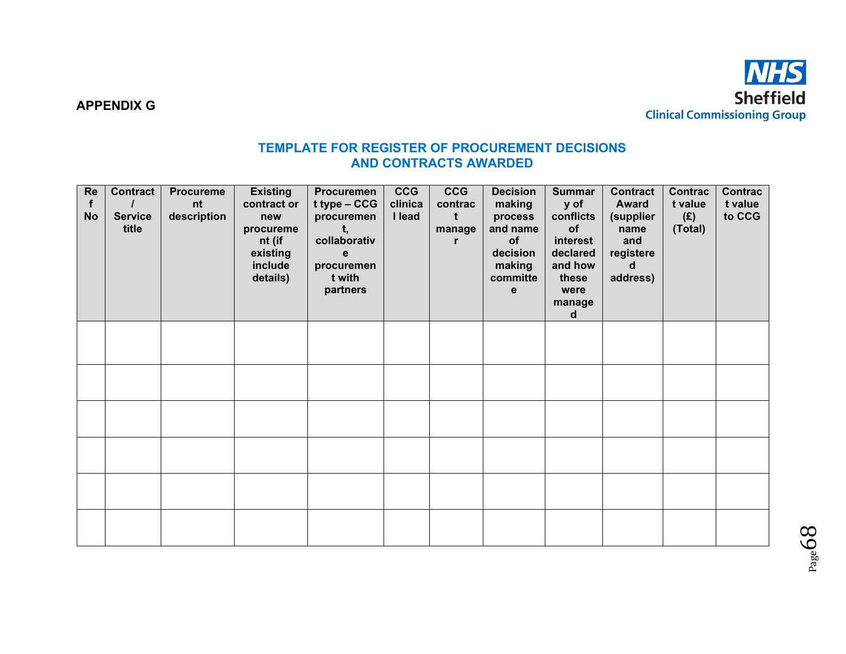

#### **APPENDIX G**

## **TEMPLATE FOR REGISTER OF PROCUREMENT DECISIONS AND CONTRACTS AWARDED**

| <b>Re</b><br><b>No</b> | Contract<br><b>Service</b><br>title | <b>Procureme</b><br>nt<br>description | <b>Existing</b><br>contract or<br>new<br>procureme<br>nt (if<br>existing<br>include<br>details) | Procuremen<br>t type - CCG<br>procuremen<br>τ.<br>collaborativ<br>e<br>procuremen<br>t with<br>partners | <b>CCG</b><br>clinica<br>I lead | <b>CCG</b><br>contrac<br>manage<br>r | <b>Decision</b><br>making<br>process<br>and name<br>of<br>decision<br>making<br>committe<br>e | <b>Summar</b><br>y of<br>conflicts<br>of<br>interest<br>declared<br>and how<br>these<br>were<br>manage<br>d | <b>Contract</b><br>Award<br>(supplier<br>name<br>and<br>registere<br>d<br>address) | Contrac<br>t value<br>(E)<br>(Total) | <b>Contrac</b><br>t value<br>to CCG |
|------------------------|-------------------------------------|---------------------------------------|-------------------------------------------------------------------------------------------------|---------------------------------------------------------------------------------------------------------|---------------------------------|--------------------------------------|-----------------------------------------------------------------------------------------------|-------------------------------------------------------------------------------------------------------------|------------------------------------------------------------------------------------|--------------------------------------|-------------------------------------|
|                        |                                     |                                       |                                                                                                 |                                                                                                         |                                 |                                      |                                                                                               |                                                                                                             |                                                                                    |                                      |                                     |
|                        |                                     |                                       |                                                                                                 |                                                                                                         |                                 |                                      |                                                                                               |                                                                                                             |                                                                                    |                                      |                                     |
|                        |                                     |                                       |                                                                                                 |                                                                                                         |                                 |                                      |                                                                                               |                                                                                                             |                                                                                    |                                      |                                     |
|                        |                                     |                                       |                                                                                                 |                                                                                                         |                                 |                                      |                                                                                               |                                                                                                             |                                                                                    |                                      |                                     |
|                        |                                     |                                       |                                                                                                 |                                                                                                         |                                 |                                      |                                                                                               |                                                                                                             |                                                                                    |                                      |                                     |
|                        |                                     |                                       |                                                                                                 |                                                                                                         |                                 |                                      |                                                                                               |                                                                                                             |                                                                                    |                                      |                                     |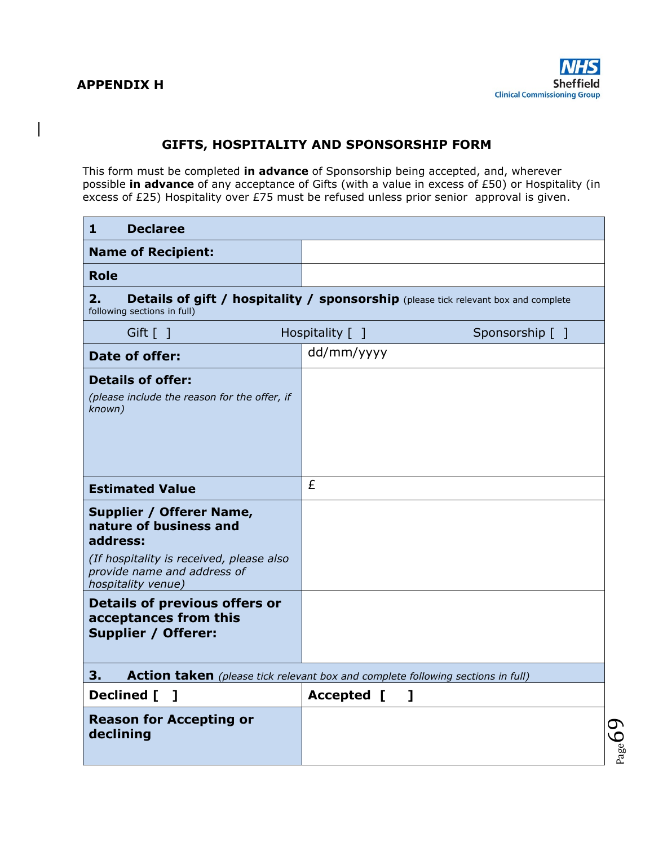

## **GIFTS, HOSPITALITY AND SPONSORSHIP FORM**

This form must be completed **in advance** of Sponsorship being accepted, and, wherever possible **in advance** of any acceptance of Gifts (with a value in excess of £50) or Hospitality (in excess of £25) Hospitality over  $\angle$ 75 must be refused unless prior senior approval is given.

| <b>Declaree</b><br>1                                                                                                                      |                                                                                        |  |  |  |  |  |  |
|-------------------------------------------------------------------------------------------------------------------------------------------|----------------------------------------------------------------------------------------|--|--|--|--|--|--|
| <b>Name of Recipient:</b>                                                                                                                 |                                                                                        |  |  |  |  |  |  |
| <b>Role</b>                                                                                                                               |                                                                                        |  |  |  |  |  |  |
| <b>Details of gift / hospitality / sponsorship</b> (please tick relevant box and complete<br>2.<br>following sections in full)            |                                                                                        |  |  |  |  |  |  |
| Gift $[$ ]                                                                                                                                | Hospitality [ ]<br>Sponsorship [ ]                                                     |  |  |  |  |  |  |
| <b>Date of offer:</b>                                                                                                                     | dd/mm/yyyy                                                                             |  |  |  |  |  |  |
| <b>Details of offer:</b><br>(please include the reason for the offer, if<br>known)                                                        |                                                                                        |  |  |  |  |  |  |
| <b>Estimated Value</b>                                                                                                                    | £                                                                                      |  |  |  |  |  |  |
| Supplier / Offerer Name,<br>nature of business and<br>address:<br>(If hospitality is received, please also<br>provide name and address of |                                                                                        |  |  |  |  |  |  |
| hospitality venue)                                                                                                                        |                                                                                        |  |  |  |  |  |  |
| <b>Details of previous offers or</b><br>acceptances from this<br><b>Supplier / Offerer:</b>                                               |                                                                                        |  |  |  |  |  |  |
| 3.                                                                                                                                        | <b>Action taken</b> (please tick relevant box and complete following sections in full) |  |  |  |  |  |  |
| Declined [<br>$\mathbf{I}$                                                                                                                | Accepted [<br>$\mathbf{I}$                                                             |  |  |  |  |  |  |
| <b>Reason for Accepting or</b><br>declining                                                                                               | Page O                                                                                 |  |  |  |  |  |  |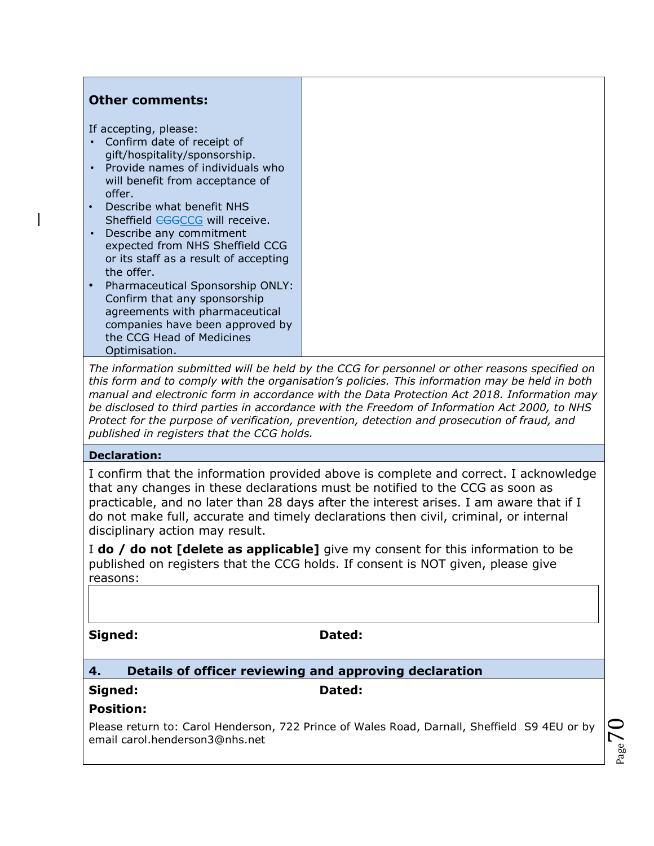| <b>Other comments:</b>                                                                                                                                                                                                                                                                                                                                                                                                                                                                                                                                               |
|----------------------------------------------------------------------------------------------------------------------------------------------------------------------------------------------------------------------------------------------------------------------------------------------------------------------------------------------------------------------------------------------------------------------------------------------------------------------------------------------------------------------------------------------------------------------|
| If accepting, please:<br>Confirm date of receipt of<br>gift/hospitality/sponsorship.<br>Provide names of individuals who<br>will benefit from acceptance of<br>offer.<br>Describe what benefit NHS<br>Sheffield <b>CGGCCG</b> will receive.<br>Describe any commitment<br>$\bullet$<br>expected from NHS Sheffield CCG<br>or its staff as a result of accepting<br>the offer.<br>Pharmaceutical Sponsorship ONLY:<br>Confirm that any sponsorship<br>agreements with pharmaceutical<br>companies have been approved by<br>the CCG Head of Medicines<br>Optimisation. |

*The information submitted will be held by the CCG for personnel or other reasons specified on this form and to comply with the organisation's policies. This information may be held in both manual and electronic form in accordance with the Data Protection Act 2018. Information may be disclosed to third parties in accordance with the Freedom of Information Act 2000, to NHS Protect for the purpose of verification, prevention, detection and prosecution of fraud, and published in registers that the CCG holds.* 

#### **Declaration:**

I confirm that the information provided above is complete and correct. I acknowledge that any changes in these declarations must be notified to the CCG as soon as practicable, and no later than 28 days after the interest arises. I am aware that if I do not make full, accurate and timely declarations then civil, criminal, or internal disciplinary action may result.

I **do / do not [delete as applicable]** give my consent for this information to be published on registers that the CCG holds. If consent is NOT given, please give reasons:

**Signed: Dated:**

#### **4. Details of officer reviewing and approving declaration**

#### **Signed: Dated:**

#### **Position:**

Please return to: Carol Henderson, 722 Prince of Wales Road, Darnall, Sheffield S9 4EU or by email carol.henderson3@nhs.net

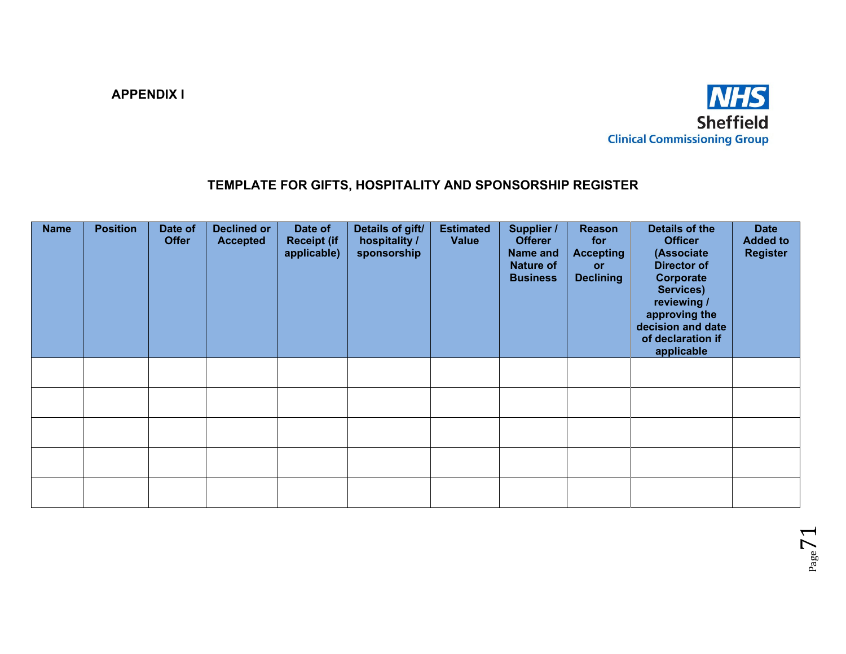**APPENDIX I**



 $P_{\text{age}}$ 71

# **TEMPLATE FOR GIFTS, HOSPITALITY AND SPONSORSHIP REGISTER**

| <b>Name</b> | <b>Position</b> | Date of<br><b>Offer</b> | <b>Declined or</b><br><b>Accepted</b> | Date of<br><b>Receipt (if</b><br>applicable) | Details of gift/<br>hospitality /<br>sponsorship | <b>Estimated</b><br><b>Value</b> | Supplier /<br><b>Offerer</b><br>Name and<br><b>Nature of</b><br><b>Business</b> | <b>Reason</b><br>for<br><b>Accepting</b><br>or<br><b>Declining</b> | Details of the<br><b>Officer</b><br>(Associate<br><b>Director of</b><br>Corporate<br>Services)<br>reviewing /<br>approving the<br>decision and date<br>of declaration if<br>applicable | <b>Date</b><br><b>Added to</b><br><b>Register</b> |
|-------------|-----------------|-------------------------|---------------------------------------|----------------------------------------------|--------------------------------------------------|----------------------------------|---------------------------------------------------------------------------------|--------------------------------------------------------------------|----------------------------------------------------------------------------------------------------------------------------------------------------------------------------------------|---------------------------------------------------|
|             |                 |                         |                                       |                                              |                                                  |                                  |                                                                                 |                                                                    |                                                                                                                                                                                        |                                                   |
|             |                 |                         |                                       |                                              |                                                  |                                  |                                                                                 |                                                                    |                                                                                                                                                                                        |                                                   |
|             |                 |                         |                                       |                                              |                                                  |                                  |                                                                                 |                                                                    |                                                                                                                                                                                        |                                                   |
|             |                 |                         |                                       |                                              |                                                  |                                  |                                                                                 |                                                                    |                                                                                                                                                                                        |                                                   |
|             |                 |                         |                                       |                                              |                                                  |                                  |                                                                                 |                                                                    |                                                                                                                                                                                        |                                                   |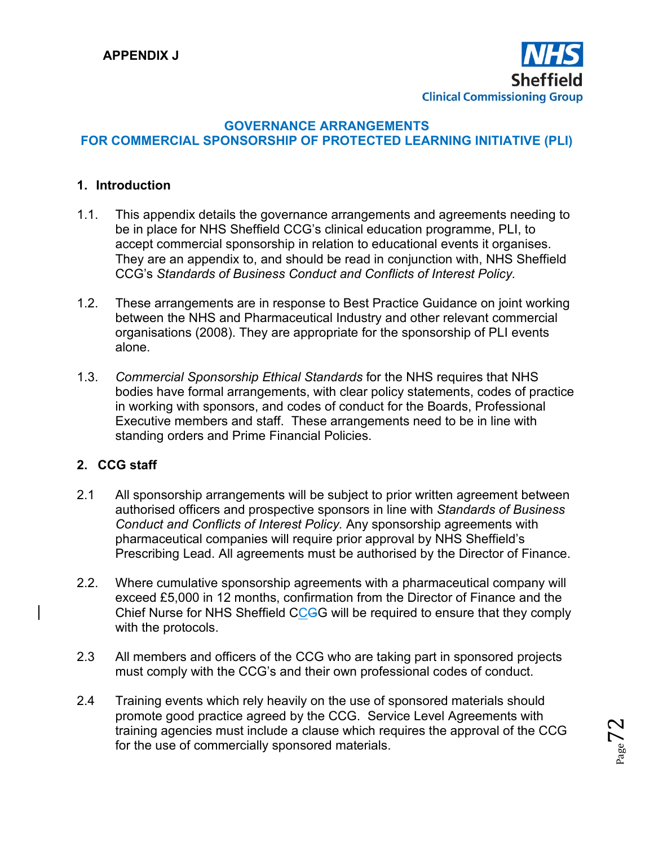

#### **GOVERNANCE ARRANGEMENTS FOR COMMERCIAL SPONSORSHIP OF PROTECTED LEARNING INITIATIVE (PLI)**

#### **1. Introduction**

- 1.1. This appendix details the governance arrangements and agreements needing to be in place for NHS Sheffield CCG's clinical education programme, PLI, to accept commercial sponsorship in relation to educational events it organises. They are an appendix to, and should be read in conjunction with, NHS Sheffield CCG's *Standards of Business Conduct and Conflicts of Interest Policy.*
- 1.2. These arrangements are in response to Best Practice Guidance on joint working between the NHS and Pharmaceutical Industry and other relevant commercial organisations (2008). They are appropriate for the sponsorship of PLI events alone.
- 1.3. *Commercial Sponsorship Ethical Standards* for the NHS requires that NHS bodies have formal arrangements, with clear policy statements, codes of practice in working with sponsors, and codes of conduct for the Boards, Professional Executive members and staff. These arrangements need to be in line with standing orders and Prime Financial Policies.

#### **2. CCG staff**

- 2.1 All sponsorship arrangements will be subject to prior written agreement between authorised officers and prospective sponsors in line with *Standards of Business Conduct and Conflicts of Interest Policy.* Any sponsorship agreements with pharmaceutical companies will require prior approval by NHS Sheffield's Prescribing Lead. All agreements must be authorised by the Director of Finance.
- 2.2. Where cumulative sponsorship agreements with a pharmaceutical company will exceed £5,000 in 12 months, confirmation from the Director of Finance and the Chief Nurse for NHS Sheffield CCGG will be required to ensure that they comply with the protocols.
- 2.3 All members and officers of the CCG who are taking part in sponsored projects must comply with the CCG's and their own professional codes of conduct.
- 2.4 Training events which rely heavily on the use of sponsored materials should promote good practice agreed by the CCG. Service Level Agreements with training agencies must include a clause which requires the approval of the CCG for the use of commercially sponsored materials.

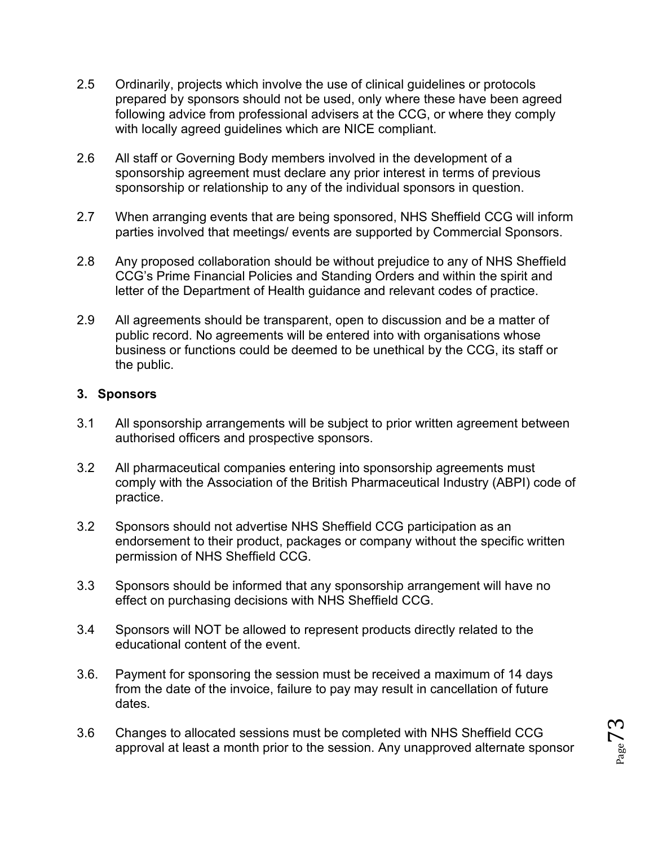- 2.5 Ordinarily, projects which involve the use of clinical guidelines or protocols prepared by sponsors should not be used, only where these have been agreed following advice from professional advisers at the CCG, or where they comply with locally agreed guidelines which are NICE compliant.
- 2.6 All staff or Governing Body members involved in the development of a sponsorship agreement must declare any prior interest in terms of previous sponsorship or relationship to any of the individual sponsors in question.
- 2.7 When arranging events that are being sponsored, NHS Sheffield CCG will inform parties involved that meetings/ events are supported by Commercial Sponsors.
- 2.8 Any proposed collaboration should be without prejudice to any of NHS Sheffield CCG's Prime Financial Policies and Standing Orders and within the spirit and letter of the Department of Health guidance and relevant codes of practice.
- 2.9 All agreements should be transparent, open to discussion and be a matter of public record. No agreements will be entered into with organisations whose business or functions could be deemed to be unethical by the CCG, its staff or the public.

#### **3. Sponsors**

- 3.1 All sponsorship arrangements will be subject to prior written agreement between authorised officers and prospective sponsors.
- 3.2 All pharmaceutical companies entering into sponsorship agreements must comply with the Association of the British Pharmaceutical Industry (ABPI) code of practice.
- 3.2 Sponsors should not advertise NHS Sheffield CCG participation as an endorsement to their product, packages or company without the specific written permission of NHS Sheffield CCG.
- 3.3 Sponsors should be informed that any sponsorship arrangement will have no effect on purchasing decisions with NHS Sheffield CCG.
- 3.4 Sponsors will NOT be allowed to represent products directly related to the educational content of the event.
- 3.6. Payment for sponsoring the session must be received a maximum of 14 days from the date of the invoice, failure to pay may result in cancellation of future dates.
- 3.6 Changes to allocated sessions must be completed with NHS Sheffield CCG approval at least a month prior to the session. Any unapproved alternate sponsor

 $73$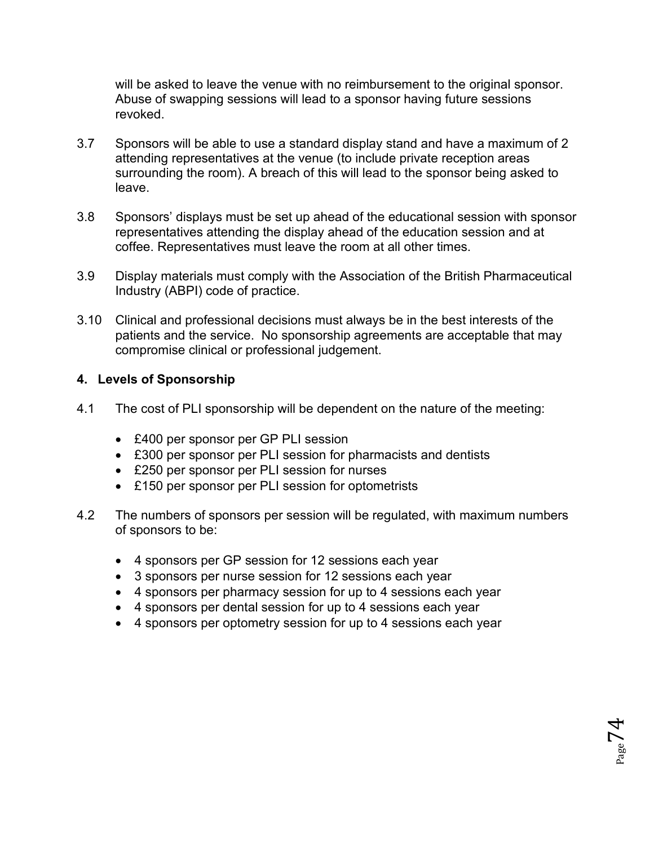will be asked to leave the venue with no reimbursement to the original sponsor. Abuse of swapping sessions will lead to a sponsor having future sessions revoked.

- 3.7 Sponsors will be able to use a standard display stand and have a maximum of 2 attending representatives at the venue (to include private reception areas surrounding the room). A breach of this will lead to the sponsor being asked to leave.
- 3.8 Sponsors' displays must be set up ahead of the educational session with sponsor representatives attending the display ahead of the education session and at coffee. Representatives must leave the room at all other times.
- 3.9 Display materials must comply with the Association of the British Pharmaceutical Industry (ABPI) code of practice.
- 3.10 Clinical and professional decisions must always be in the best interests of the patients and the service. No sponsorship agreements are acceptable that may compromise clinical or professional judgement.

#### **4. Levels of Sponsorship**

- 4.1 The cost of PLI sponsorship will be dependent on the nature of the meeting:
	- £400 per sponsor per GP PLI session
	- £300 per sponsor per PLI session for pharmacists and dentists
	- £250 per sponsor per PLI session for nurses
	- £150 per sponsor per PLI session for optometrists
- 4.2 The numbers of sponsors per session will be regulated, with maximum numbers of sponsors to be:
	- 4 sponsors per GP session for 12 sessions each year
	- 3 sponsors per nurse session for 12 sessions each year
	- 4 sponsors per pharmacy session for up to 4 sessions each year
	- 4 sponsors per dental session for up to 4 sessions each year
	- 4 sponsors per optometry session for up to 4 sessions each year

 $P_{\rm age}$ 74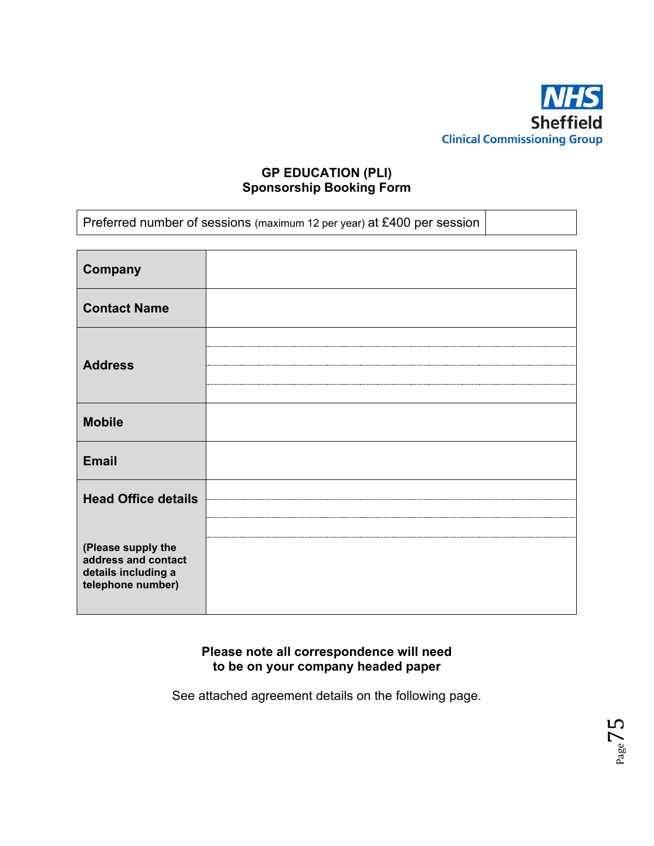

## **GP EDUCATION (PLI) Sponsorship Booking Form**

Preferred number of sessions (maximum 12 per year) at £400 per session

| Company                                                                               |  |
|---------------------------------------------------------------------------------------|--|
| <b>Contact Name</b>                                                                   |  |
|                                                                                       |  |
|                                                                                       |  |
| <b>Address</b>                                                                        |  |
|                                                                                       |  |
|                                                                                       |  |
| <b>Mobile</b>                                                                         |  |
| <b>Email</b>                                                                          |  |
|                                                                                       |  |
| <b>Head Office details</b>                                                            |  |
|                                                                                       |  |
| (Please supply the<br>address and contact<br>details including a<br>telephone number) |  |

### **Please note all correspondence will need to be on your company headed paper**

See attached agreement details on the following page.

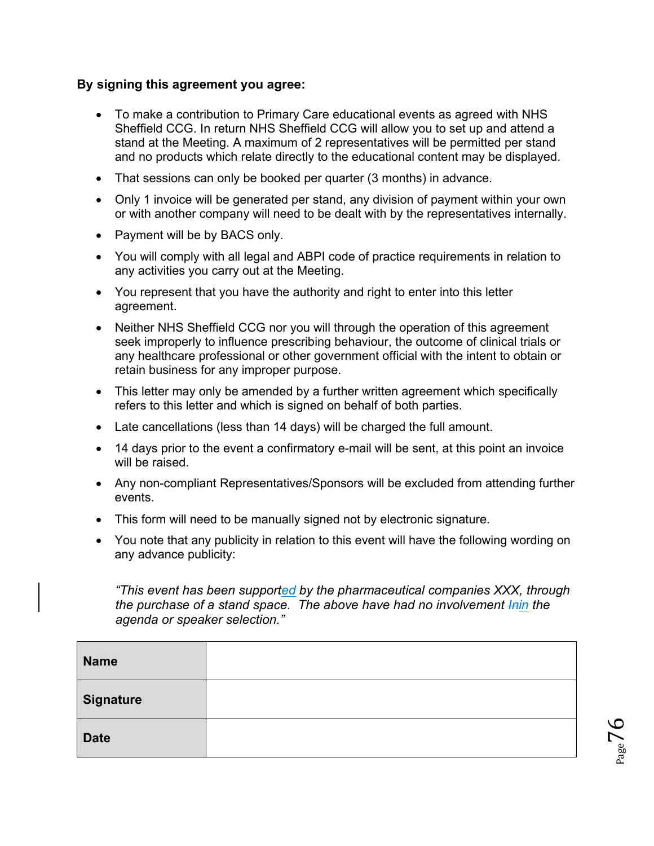#### **By signing this agreement you agree:**

- To make a contribution to Primary Care educational events as agreed with NHS Sheffield CCG. In return NHS Sheffield CCG will allow you to set up and attend a stand at the Meeting. A maximum of 2 representatives will be permitted per stand and no products which relate directly to the educational content may be displayed.
- That sessions can only be booked per quarter (3 months) in advance.
- Only 1 invoice will be generated per stand, any division of payment within your own or with another company will need to be dealt with by the representatives internally.
- Payment will be by BACS only.
- You will comply with all legal and ABPI code of practice requirements in relation to any activities you carry out at the Meeting.
- You represent that you have the authority and right to enter into this letter agreement.
- Neither NHS Sheffield CCG nor you will through the operation of this agreement seek improperly to influence prescribing behaviour, the outcome of clinical trials or any healthcare professional or other government official with the intent to obtain or retain business for any improper purpose.
- This letter may only be amended by a further written agreement which specifically refers to this letter and which is signed on behalf of both parties.
- Late cancellations (less than 14 days) will be charged the full amount.
- 14 days prior to the event a confirmatory e-mail will be sent, at this point an invoice will be raised.
- Any non-compliant Representatives/Sponsors will be excluded from attending further events.
- This form will need to be manually signed not by electronic signature.
- You note that any publicity in relation to this event will have the following wording on any advance publicity:

*"This event has been supported by the pharmaceutical companies XXX, through the purchase of a stand space. The above have had no involvement Inin the agenda or speaker selection."*

| <b>Name</b>      |  |
|------------------|--|
| <b>Signature</b> |  |
| <b>Date</b>      |  |

 $P_{\rm age}$ 76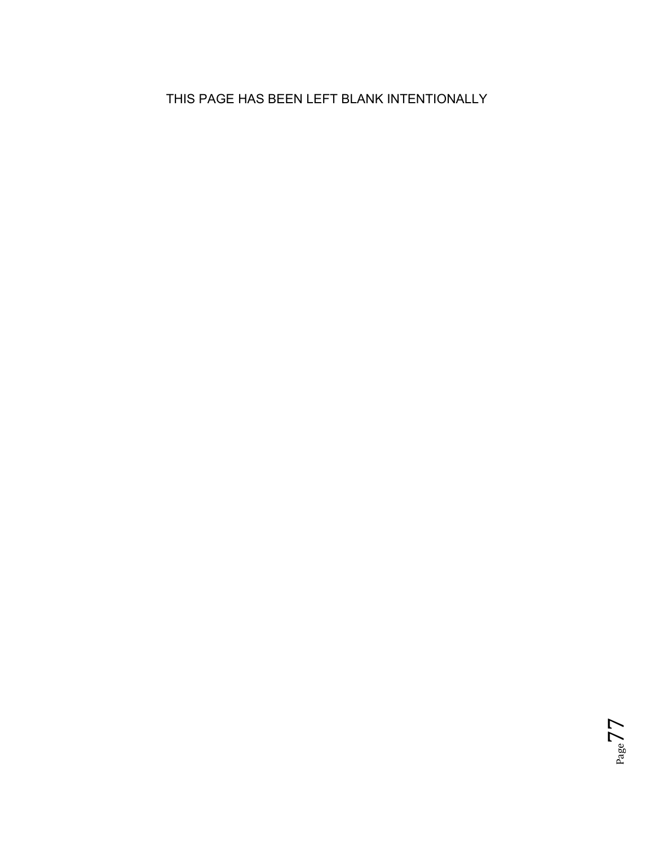# THIS PAGE HAS BEEN LEFT BLANK INTENTIONALLY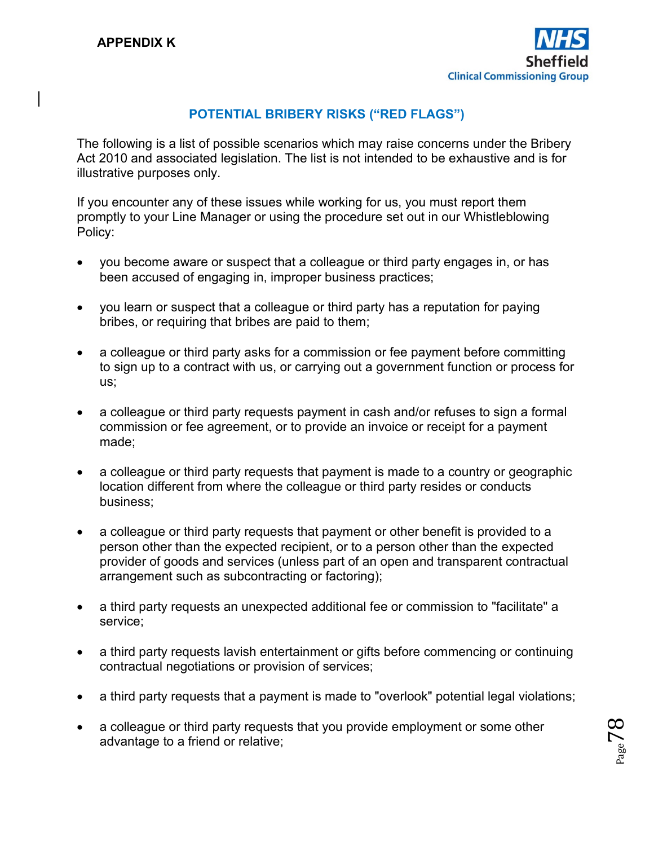

 $_{\rm ^{Page}}$ 78

# **POTENTIAL BRIBERY RISKS ("RED FLAGS")**

The following is a list of possible scenarios which may raise concerns under the Bribery Act 2010 and associated legislation. The list is not intended to be exhaustive and is for illustrative purposes only.

If you encounter any of these issues while working for us, you must report them promptly to your Line Manager or using the procedure set out in our Whistleblowing Policy:

- you become aware or suspect that a colleague or third party engages in, or has been accused of engaging in, improper business practices;
- you learn or suspect that a colleague or third party has a reputation for paying bribes, or requiring that bribes are paid to them;
- a colleague or third party asks for a commission or fee payment before committing to sign up to a contract with us, or carrying out a government function or process for us;
- a colleague or third party requests payment in cash and/or refuses to sign a formal commission or fee agreement, or to provide an invoice or receipt for a payment made;
- a colleague or third party requests that payment is made to a country or geographic location different from where the colleague or third party resides or conducts business;
- a colleague or third party requests that payment or other benefit is provided to a person other than the expected recipient, or to a person other than the expected provider of goods and services (unless part of an open and transparent contractual arrangement such as subcontracting or factoring);
- a third party requests an unexpected additional fee or commission to "facilitate" a service;
- a third party requests lavish entertainment or gifts before commencing or continuing contractual negotiations or provision of services;
- a third party requests that a payment is made to "overlook" potential legal violations;
- a colleague or third party requests that you provide employment or some other advantage to a friend or relative;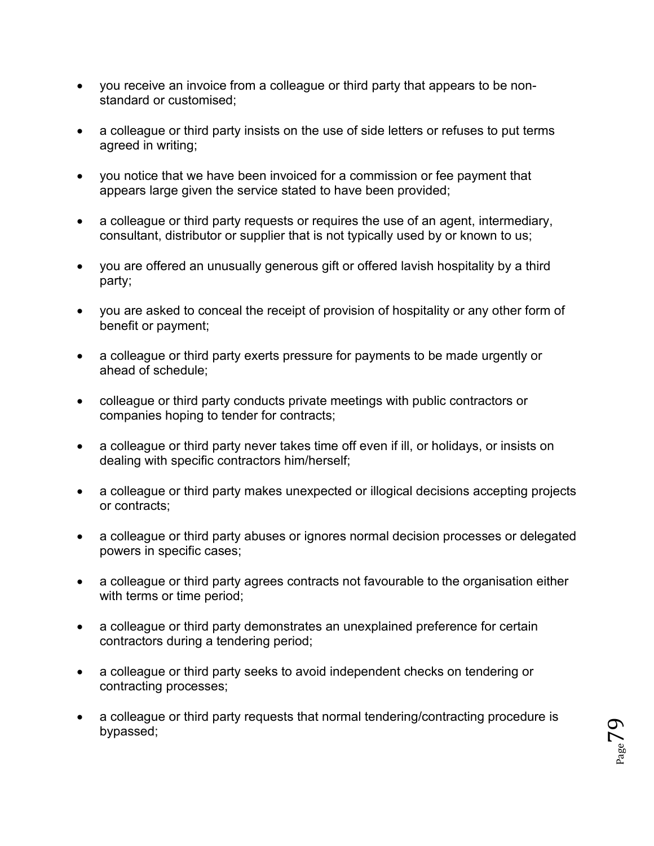- you receive an invoice from a colleague or third party that appears to be nonstandard or customised;
- a colleague or third party insists on the use of side letters or refuses to put terms agreed in writing;
- you notice that we have been invoiced for a commission or fee payment that appears large given the service stated to have been provided;
- a colleague or third party requests or requires the use of an agent, intermediary, consultant, distributor or supplier that is not typically used by or known to us;
- you are offered an unusually generous gift or offered lavish hospitality by a third party;
- you are asked to conceal the receipt of provision of hospitality or any other form of benefit or payment;
- a colleague or third party exerts pressure for payments to be made urgently or ahead of schedule;
- colleague or third party conducts private meetings with public contractors or companies hoping to tender for contracts;
- a colleague or third party never takes time off even if ill, or holidays, or insists on dealing with specific contractors him/herself;
- a colleague or third party makes unexpected or illogical decisions accepting projects or contracts;
- a colleague or third party abuses or ignores normal decision processes or delegated powers in specific cases;
- a colleague or third party agrees contracts not favourable to the organisation either with terms or time period;
- a colleague or third party demonstrates an unexplained preference for certain contractors during a tendering period;
- a colleague or third party seeks to avoid independent checks on tendering or contracting processes;
- a colleague or third party requests that normal tendering/contracting procedure is bypassed;

Page79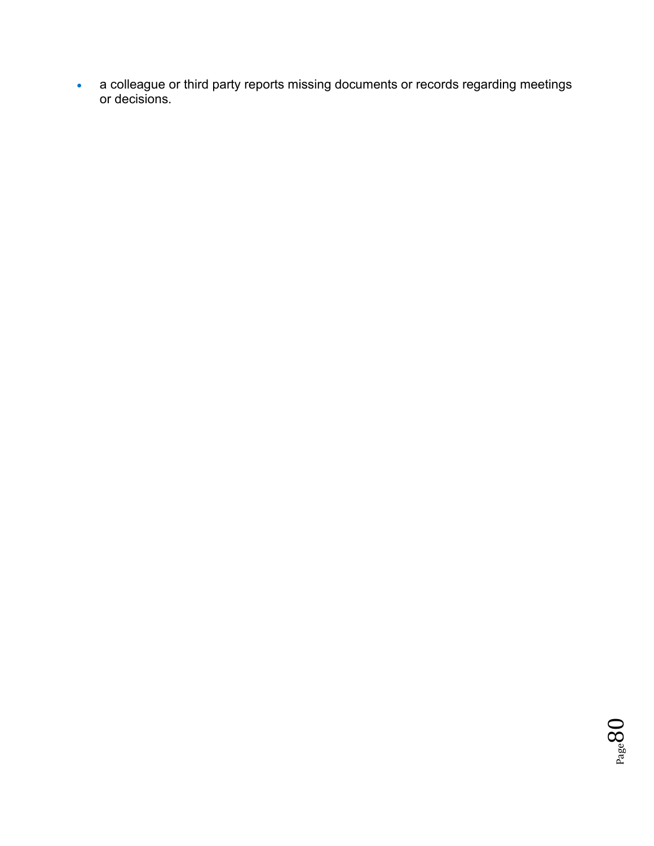• a colleague or third party reports missing documents or records regarding meetings or decisions.

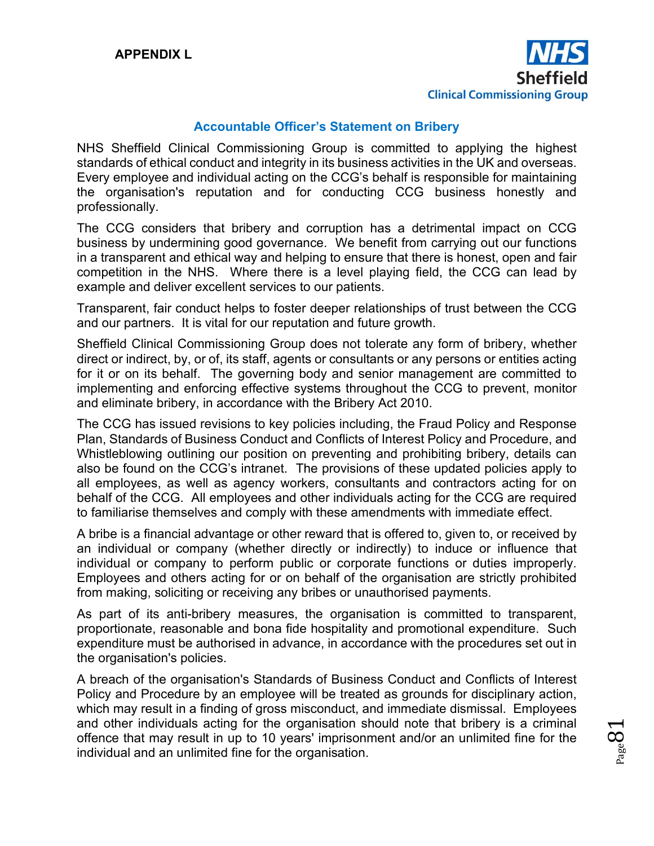

#### **Accountable Officer's Statement on Bribery**

NHS Sheffield Clinical Commissioning Group is committed to applying the highest standards of ethical conduct and integrity in its business activities in the UK and overseas. Every employee and individual acting on the CCG's behalf is responsible for maintaining the organisation's reputation and for conducting CCG business honestly and professionally.

The CCG considers that bribery and corruption has a detrimental impact on CCG business by undermining good governance. We benefit from carrying out our functions in a transparent and ethical way and helping to ensure that there is honest, open and fair competition in the NHS. Where there is a level playing field, the CCG can lead by example and deliver excellent services to our patients.

Transparent, fair conduct helps to foster deeper relationships of trust between the CCG and our partners. It is vital for our reputation and future growth.

Sheffield Clinical Commissioning Group does not tolerate any form of bribery, whether direct or indirect, by, or of, its staff, agents or consultants or any persons or entities acting for it or on its behalf. The governing body and senior management are committed to implementing and enforcing effective systems throughout the CCG to prevent, monitor and eliminate bribery, in accordance with the Bribery Act 2010.

The CCG has issued revisions to key policies including, the Fraud Policy and Response Plan, Standards of Business Conduct and Conflicts of Interest Policy and Procedure, and Whistleblowing outlining our position on preventing and prohibiting bribery, details can also be found on the CCG's intranet. The provisions of these updated policies apply to all employees, as well as agency workers, consultants and contractors acting for on behalf of the CCG. All employees and other individuals acting for the CCG are required to familiarise themselves and comply with these amendments with immediate effect.

A bribe is a financial advantage or other reward that is offered to, given to, or received by an individual or company (whether directly or indirectly) to induce or influence that individual or company to perform public or corporate functions or duties improperly. Employees and others acting for or on behalf of the organisation are strictly prohibited from making, soliciting or receiving any bribes or unauthorised payments.

As part of its anti-bribery measures, the organisation is committed to transparent, proportionate, reasonable and bona fide hospitality and promotional expenditure. Such expenditure must be authorised in advance, in accordance with the procedures set out in the organisation's policies.

A breach of the organisation's Standards of Business Conduct and Conflicts of Interest Policy and Procedure by an employee will be treated as grounds for disciplinary action, which may result in a finding of gross misconduct, and immediate dismissal. Employees and other individuals acting for the organisation should note that bribery is a criminal offence that may result in up to 10 years' imprisonment and/or an unlimited fine for the individual and an unlimited fine for the organisation.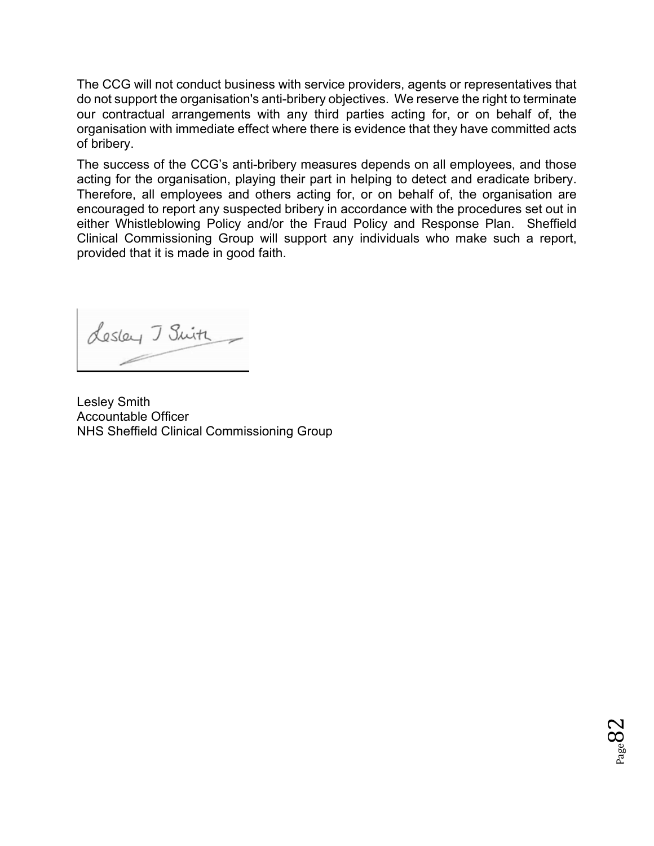The CCG will not conduct business with service providers, agents or representatives that do not support the organisation's anti-bribery objectives. We reserve the right to terminate our contractual arrangements with any third parties acting for, or on behalf of, the organisation with immediate effect where there is evidence that they have committed acts of bribery.

The success of the CCG's anti-bribery measures depends on all employees, and those acting for the organisation, playing their part in helping to detect and eradicate bribery. Therefore, all employees and others acting for, or on behalf of, the organisation are encouraged to report any suspected bribery in accordance with the procedures set out in either Whistleblowing Policy and/or the Fraud Policy and Response Plan. Sheffield Clinical Commissioning Group will support any individuals who make such a report, provided that it is made in good faith.

Lesley J Suitz

Lesley Smith Accountable Officer NHS Sheffield Clinical Commissioning Group

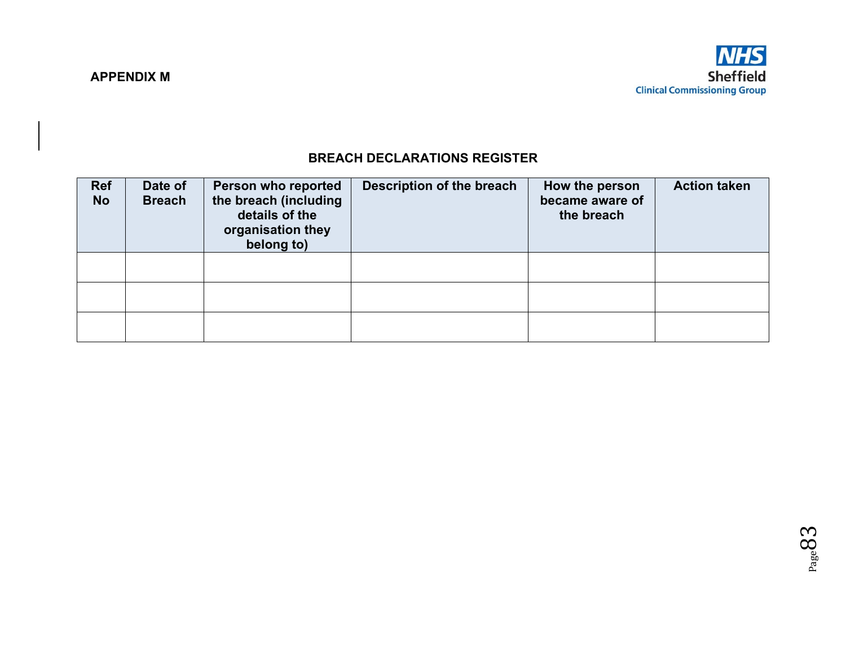**APPENDIX M**



## **BREACH DECLARATIONS REGISTER**

| <b>Ref</b><br><b>No</b> | Date of<br><b>Breach</b> | Person who reported<br>the breach (including<br>details of the<br>organisation they<br>belong to) | <b>Description of the breach</b> | How the person<br>became aware of<br>the breach | <b>Action taken</b> |
|-------------------------|--------------------------|---------------------------------------------------------------------------------------------------|----------------------------------|-------------------------------------------------|---------------------|
|                         |                          |                                                                                                   |                                  |                                                 |                     |
|                         |                          |                                                                                                   |                                  |                                                 |                     |
|                         |                          |                                                                                                   |                                  |                                                 |                     |

 $_{\mathrm{Page}}83$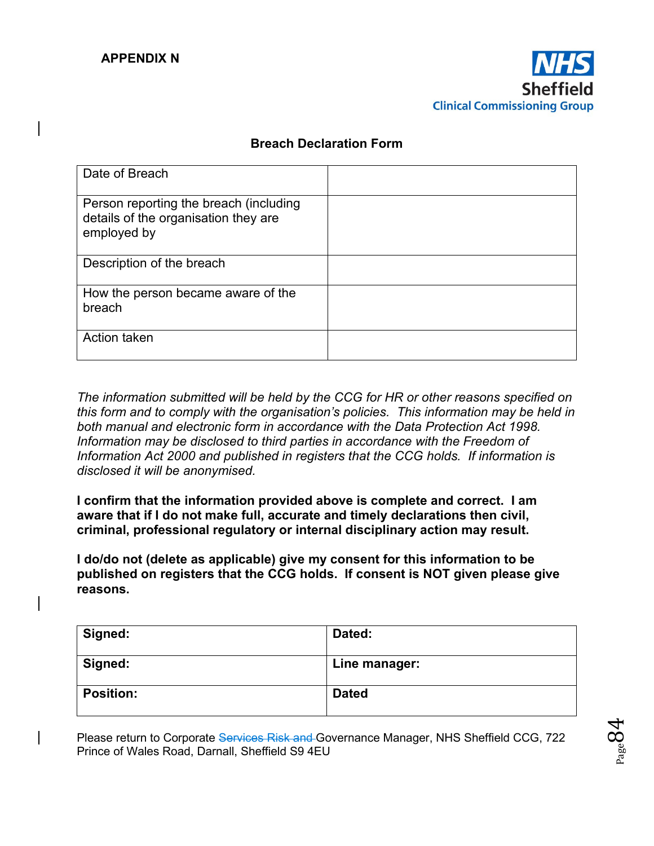

 $_{\rm Page}$  $84$ 

#### **Breach Declaration Form**

| Date of Breach                                                                                |  |
|-----------------------------------------------------------------------------------------------|--|
| Person reporting the breach (including<br>details of the organisation they are<br>employed by |  |
| Description of the breach                                                                     |  |
| How the person became aware of the<br>breach                                                  |  |
| Action taken                                                                                  |  |

*The information submitted will be held by the CCG for HR or other reasons specified on this form and to comply with the organisation's policies. This information may be held in both manual and electronic form in accordance with the Data Protection Act 1998. Information may be disclosed to third parties in accordance with the Freedom of Information Act 2000 and published in registers that the CCG holds. If information is disclosed it will be anonymised.*

**I confirm that the information provided above is complete and correct. I am aware that if I do not make full, accurate and timely declarations then civil, criminal, professional regulatory or internal disciplinary action may result.**

**I do/do not (delete as applicable) give my consent for this information to be published on registers that the CCG holds. If consent is NOT given please give reasons.**

| Signed:          | Dated:        |
|------------------|---------------|
| Signed:          | Line manager: |
| <b>Position:</b> | <b>Dated</b>  |

Please return to Corporate Services Risk and Governance Manager, NHS Sheffield CCG, 722 Prince of Wales Road, Darnall, Sheffield S9 4EU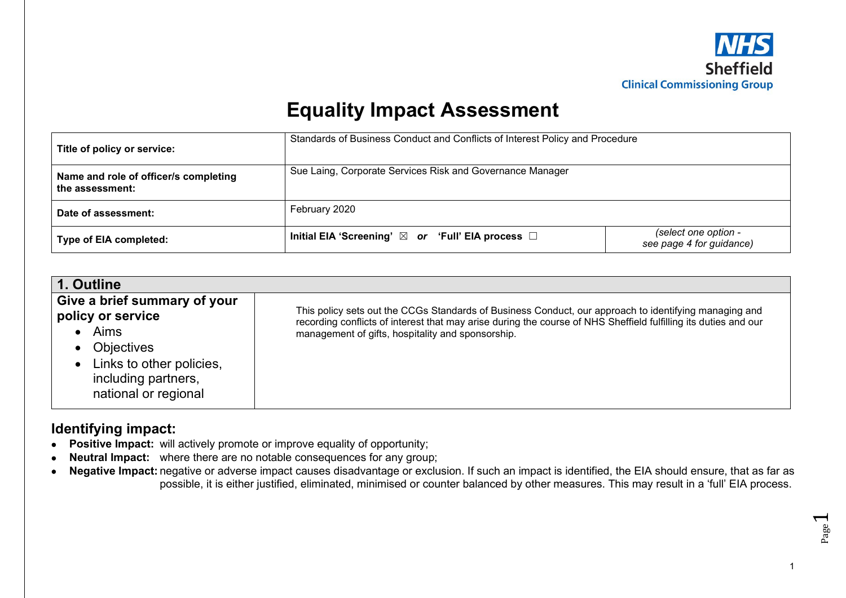

# **Equality Impact Assessment**

| Title of policy or service:                              | Standards of Business Conduct and Conflicts of Interest Policy and Procedure |                                                  |  |
|----------------------------------------------------------|------------------------------------------------------------------------------|--------------------------------------------------|--|
| Name and role of officer/s completing<br>the assessment: | Sue Laing, Corporate Services Risk and Governance Manager                    |                                                  |  |
| Date of assessment:                                      | February 2020                                                                |                                                  |  |
| Type of EIA completed:                                   | Initial EIA 'Screening' ⊠ or 'Full' EIA process □                            | (select one option -<br>see page 4 for guidance) |  |

| 1. Outline                                                                                                                                                             |                                                                                                                                                                                                                                                                               |
|------------------------------------------------------------------------------------------------------------------------------------------------------------------------|-------------------------------------------------------------------------------------------------------------------------------------------------------------------------------------------------------------------------------------------------------------------------------|
| Give a brief summary of your<br>policy or service<br>Aims<br><b>Objectives</b><br>Links to other policies,<br>$\bullet$<br>including partners,<br>national or regional | This policy sets out the CCGs Standards of Business Conduct, our approach to identifying managing and<br>recording conflicts of interest that may arise during the course of NHS Sheffield fulfilling its duties and our<br>management of gifts, hospitality and sponsorship. |

# **Identifying impact:**

- **Positive Impact:** will actively promote or improve equality of opportunity;
- **Neutral Impact:** where there are no notable consequences for any group;
- **Negative Impact:** negative or adverse impact causes disadvantage or exclusion. If such an impact is identified, the EIA should ensure, that as far as possible, it is either justified, eliminated, minimised or counter balanced by other measures. This may result in a 'full' EIA process.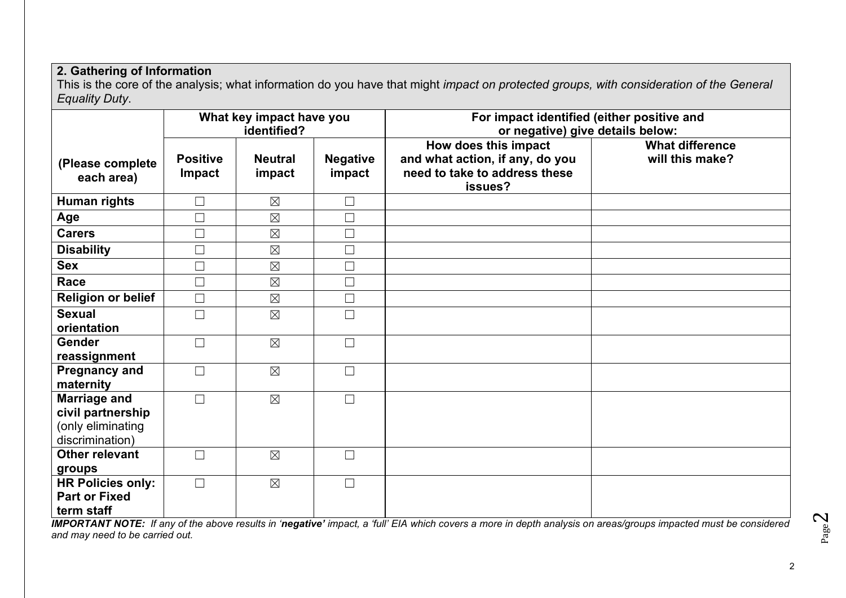# **2. Gathering of Information**

This is the core of the analysis; what information do you have that might *impact on protected groups, with consideration of the General Equality Duty*.

|                                                                                  | What key impact have you<br>identified? |                          |                           | For impact identified (either positive and<br>or negative) give details below:                      |                                           |  |
|----------------------------------------------------------------------------------|-----------------------------------------|--------------------------|---------------------------|-----------------------------------------------------------------------------------------------------|-------------------------------------------|--|
| (Please complete<br>each area)                                                   | <b>Positive</b><br>Impact               | <b>Neutral</b><br>impact | <b>Negative</b><br>impact | How does this impact<br>and what action, if any, do you<br>need to take to address these<br>issues? | <b>What difference</b><br>will this make? |  |
| Human rights                                                                     | $\Box$                                  | $\boxtimes$              | $\Box$                    |                                                                                                     |                                           |  |
| Age                                                                              | $\Box$                                  | $\boxtimes$              | $\Box$                    |                                                                                                     |                                           |  |
| <b>Carers</b>                                                                    | $\Box$                                  | $\boxtimes$              | $\Box$                    |                                                                                                     |                                           |  |
| <b>Disability</b>                                                                | $\Box$                                  | $\boxtimes$              | $\Box$                    |                                                                                                     |                                           |  |
| <b>Sex</b>                                                                       | $\Box$                                  | $\boxtimes$              | $\Box$                    |                                                                                                     |                                           |  |
| Race                                                                             | $\Box$                                  | $\boxtimes$              | $\Box$                    |                                                                                                     |                                           |  |
| <b>Religion or belief</b>                                                        | $\Box$                                  | $\boxtimes$              | $\Box$                    |                                                                                                     |                                           |  |
| <b>Sexual</b><br>orientation                                                     | $\Box$                                  | $\boxtimes$              | $\Box$                    |                                                                                                     |                                           |  |
| <b>Gender</b><br>reassignment                                                    | $\Box$                                  | $\boxtimes$              | $\Box$                    |                                                                                                     |                                           |  |
| <b>Pregnancy and</b><br>maternity                                                | $\Box$                                  | $\boxtimes$              | $\Box$                    |                                                                                                     |                                           |  |
| <b>Marriage and</b><br>civil partnership<br>(only eliminating<br>discrimination) | $\Box$                                  | $\boxtimes$              | $\Box$                    |                                                                                                     |                                           |  |
| Other relevant<br>groups                                                         | $\Box$                                  | $\boxtimes$              | $\Box$                    |                                                                                                     |                                           |  |
| <b>HR Policies only:</b><br><b>Part or Fixed</b><br>term staff                   | $\Box$                                  | $\boxtimes$              | $\Box$                    |                                                                                                     |                                           |  |

*IMPORTANT NOTE: If any of the above results in 'negative' impact, a 'full' EIA which covers a more in depth analysis on areas/groups impacted must be considered and may need to be carried out.*